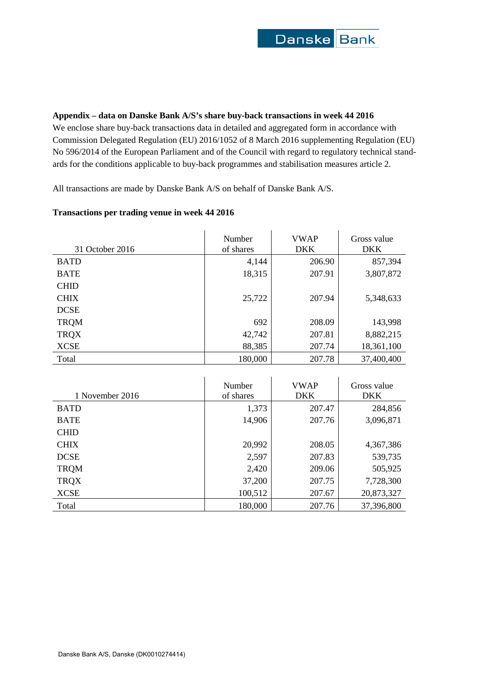## **Appendix – data on Danske Bank A/S's share buy-back transactions in week 44 2016**

We enclose share buy-back transactions data in detailed and aggregated form in accordance with Commission Delegated Regulation (EU) 2016/1052 of 8 March 2016 supplementing Regulation (EU) No 596/2014 of the European Parliament and of the Council with regard to regulatory technical standards for the conditions applicable to buy-back programmes and stabilisation measures article 2.

All transactions are made by Danske Bank A/S on behalf of Danske Bank A/S.

# **Transactions per trading venue in week 44 2016**

| 31 October 2016 | Number<br>of shares | <b>VWAP</b><br><b>DKK</b> | Gross value<br><b>DKK</b> |  |  |
|-----------------|---------------------|---------------------------|---------------------------|--|--|
| <b>BATD</b>     | 4,144               | 206.90                    | 857,394                   |  |  |
| <b>BATE</b>     | 18,315              | 207.91                    | 3,807,872                 |  |  |
| <b>CHID</b>     |                     |                           |                           |  |  |
| <b>CHIX</b>     | 25,722              | 207.94                    | 5,348,633                 |  |  |
| <b>DCSE</b>     |                     |                           |                           |  |  |
| <b>TRQM</b>     | 692                 | 208.09                    | 143,998                   |  |  |
| <b>TRQX</b>     | 42,742              | 207.81                    | 8,882,215                 |  |  |
| <b>XCSE</b>     | 88,385              | 207.74                    | 18,361,100                |  |  |
| Total           | 180,000             | 207.78                    | 37,400,400                |  |  |

| 1 November 2016 | Number<br>of shares | <b>VWAP</b><br><b>DKK</b> | Gross value<br><b>DKK</b> |
|-----------------|---------------------|---------------------------|---------------------------|
| <b>BATD</b>     | 1,373               | 207.47                    | 284,856                   |
| <b>BATE</b>     | 14,906              | 207.76                    | 3,096,871                 |
| <b>CHID</b>     |                     |                           |                           |
| <b>CHIX</b>     | 20,992              | 208.05                    | 4,367,386                 |
| <b>DCSE</b>     | 2,597               | 207.83                    | 539,735                   |
| <b>TRQM</b>     | 2,420               | 209.06                    | 505,925                   |
| <b>TRQX</b>     | 37,200              | 207.75                    | 7,728,300                 |
| <b>XCSE</b>     | 100,512             | 207.67                    | 20,873,327                |
| Total           | 180,000             | 207.76                    | 37,396,800                |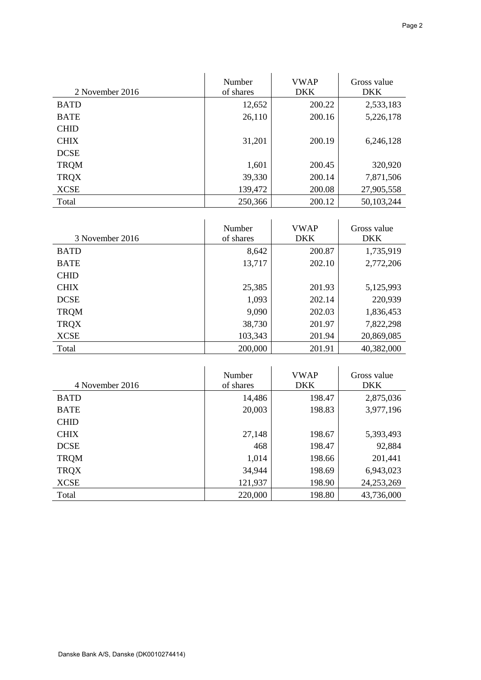| 2 November 2016 | Number<br>of shares | <b>VWAP</b><br><b>DKK</b> | Gross value<br><b>DKK</b> |
|-----------------|---------------------|---------------------------|---------------------------|
| <b>BATD</b>     | 12,652              | 200.22                    | 2,533,183                 |
| <b>BATE</b>     | 26,110              | 200.16                    | 5,226,178                 |
| <b>CHID</b>     |                     |                           |                           |
| <b>CHIX</b>     | 31,201              | 200.19                    | 6,246,128                 |
| <b>DCSE</b>     |                     |                           |                           |
| <b>TRQM</b>     | 1,601               | 200.45                    | 320,920                   |
| <b>TRQX</b>     | 39,330              | 200.14                    | 7,871,506                 |
| <b>XCSE</b>     | 139,472             | 200.08                    | 27,905,558                |
| Total           | 250,366             | 200.12                    | 50,103,244                |

| 3 November 2016 | Number<br>of shares | <b>VWAP</b><br><b>DKK</b> | Gross value<br><b>DKK</b> |  |  |
|-----------------|---------------------|---------------------------|---------------------------|--|--|
| <b>BATD</b>     | 8,642               | 200.87                    | 1,735,919                 |  |  |
| <b>BATE</b>     | 13,717              | 202.10                    | 2,772,206                 |  |  |
| <b>CHID</b>     |                     |                           |                           |  |  |
| <b>CHIX</b>     | 25,385              | 201.93                    | 5,125,993                 |  |  |
| <b>DCSE</b>     | 1,093               | 202.14                    | 220,939                   |  |  |
| <b>TRQM</b>     | 9,090               | 202.03                    | 1,836,453                 |  |  |
| <b>TRQX</b>     | 38,730              | 201.97                    | 7,822,298                 |  |  |
| <b>XCSE</b>     | 103,343             | 201.94                    | 20,869,085                |  |  |
| Total           | 200,000             | 201.91                    | 40,382,000                |  |  |

| 4 November 2016 | Number<br>of shares | <b>VWAP</b><br><b>DKK</b> | Gross value<br><b>DKK</b> |
|-----------------|---------------------|---------------------------|---------------------------|
| <b>BATD</b>     | 14,486              | 198.47                    | 2,875,036                 |
| <b>BATE</b>     | 20,003              | 198.83                    | 3,977,196                 |
| <b>CHID</b>     |                     |                           |                           |
| <b>CHIX</b>     | 27,148              | 198.67                    | 5,393,493                 |
| <b>DCSE</b>     | 468                 | 198.47                    | 92,884                    |
| <b>TRQM</b>     | 1,014               | 198.66                    | 201,441                   |
| <b>TRQX</b>     | 34,944              | 198.69                    | 6,943,023                 |
| <b>XCSE</b>     | 121,937             | 198.90                    | 24, 253, 269              |
| Total           | 220,000             | 198.80                    | 43,736,000                |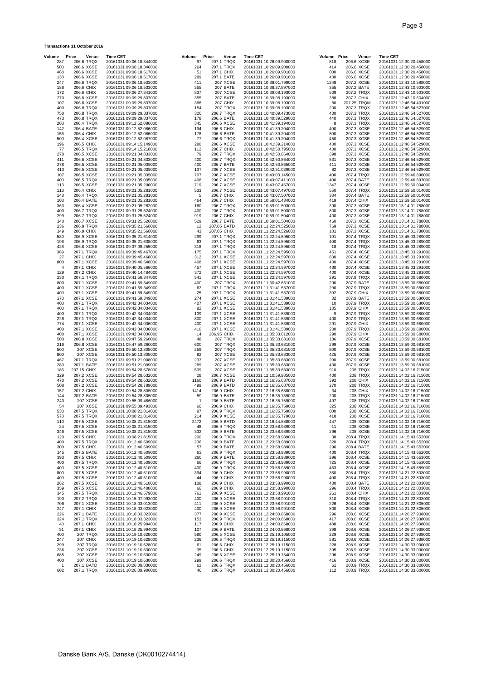| <b>Transactions 31 October 2016</b> |                                    |                                                      |             |                          |                               |                                                      |              |                             |                                                      |
|-------------------------------------|------------------------------------|------------------------------------------------------|-------------|--------------------------|-------------------------------|------------------------------------------------------|--------------|-----------------------------|------------------------------------------------------|
| Volume                              | Price<br>Venue                     | <b>Time CET</b>                                      | Volume      | Price                    | Venue                         | <b>Time CET</b>                                      | Volume Price | Venue                       | <b>Time CET</b>                                      |
| 287<br>500                          | 206.6 TRQX<br>206.6 XCSE           | 20161031 09:06:18.344000<br>20161031 09:06:18.346000 | 97<br>264   |                          | 207.1 TRQX<br>207.1 TRQX      | 20161031 10:26:09.900000<br>20161031 10:26:09.900000 | 818<br>414   | 206.6 XCSE<br>206.6 XCSE    | 20161031 12:30:20.458000<br>20161031 12:30:20.458000 |
| 468                                 | 206.6 XCSE                         | 20161031 09:06:18.517000                             | 51          | 207.1 CHIX               |                               | 20161031 10:26:09.901000                             | 800          | 206.6 XCSE                  | 20161031 12:30:20.458000                             |
| 138<br>247                          | 206.6 XCSE<br>206.6 TRQX           | 20161031 09:06:18.517000<br>20161031 09:06:18.533000 | 289<br>411  | 207.1 BATE               | 207 XCSE                      | 20161031 10:26:09.901000<br>20161031 10:38:01.799000 | 400<br>1248  | 206.6 XCSE<br>207.2 XCSE    | 20161031 12:30:20.458000<br>20161031 12:43:10.588000 |
| 188                                 | 206.6 CHIX                         | 20161031 09:06:18.533000                             | 355         |                          | 207 BATE                      | 20161031 10:38:37.897000                             | 355          | 207.2 BATE                  | 20161031 12:43:10.603000                             |
| 172<br>270                          | 206.6 CHIX<br>206.8 XCSE           | 20161031 09:06:27.841000<br>20161031 09:09:29.837000 | 837<br>355  |                          | <b>207 XCSE</b><br>207 BATE   | 20161031 10:39:08.193000<br>20161031 10:39:08.193000 | 509<br>388   | 207.2 TRQX<br>207.2 CHIX    | 20161031 12:43:10.603000<br>20161031 12:43:10.604000 |
| 107                                 | 206.8 XCSE                         | 20161031 09:09:29.837000                             | 388         |                          | 207 CHIX                      | 20161031 10:39:08.193000                             | 80           | 207.25 TRQM                 | 20161031 12:46:54.491000                             |
| 400<br>750                          | 206.8 TRQX<br>206.8 TRQX           | 20161031 09:09:29.837000<br>20161031 09:09:29.837000 | 154<br>320  |                          | 207 TRQX<br>206.7 TRQX        | 20161031 10:39:08.193000<br>20161031 10:40:09.473000 | 200<br>400   | 207.3 TRQX<br>207.3 TRQX    | 20161031 12:46:54.527000<br>20161031 12:46:54.527000 |
| 473<br>203                          | 206.8 TRQX                         | 20161031 09:09:29.837000                             | 178         | 206.6 BATE               |                               | 20161031 10:40:39.529000                             | 440          | 207.3 TRQX<br>207.3 TRQX    | 20161031 12:46:54.527000<br>20161031 12:46:54.527000 |
| 142                                 | 206.4 TRQX<br>206.4 BATE           | 20161031 09:12:52.086000<br>20161031 09:12:52.086000 | 345<br>194  | 206.6 CHIX               | 206.6 XCSE                    | 20161031 10:41:39.194000<br>20161031 10:41:39.204000 | 8<br>400     | 207.3 XCSE                  | 20161031 12:46:54.529000                             |
| 155<br>500                          | 206.4 CHIX<br>206.4 XCSE           | 20161031 09:12:52.086000<br>20161031 09:12:52.087000 | 178<br>77   | 206.6 BATE               | 206.6 TRQX                    | 20161031 10:41:39.204000<br>20161031 10:41:39.204000 | 800<br>450   | 207.3 XCSE<br>207.3 XCSE    | 20161031 12:46:54.529000<br>20161031 12:46:54.529000 |
| 196                                 | 206.5 CHIX                         | 20161031 09:14:15.149000                             | 280         |                          | 206.6 XCSE                    | 20161031 10:41:39.214000                             | 400          | 207.3 XCSE                  | 20161031 12:46:54.529000                             |
| 77<br>278                           | 206.5 TRQX<br>206.5 XCSE           | 20161031 09:14:15.218000<br>20161031 09:21:04.833000 | 112<br>79   | 206.7 CHIX               | 206.7 TRQX                    | 20161031 10:42:50.795000<br>20161031 10:42:50.864000 | 400<br>398   | 207.3 XCSE<br>207.3 XCSE    | 20161031 12:46:54.529000<br>20161031 12:46:54.529000 |
| 411                                 | 206.5 XCSE                         | 20161031 09:21:04.833000                             | 400         |                          | 206.7 TRQX                    | 20161031 10:42:50.864000                             | 531          | 207.3 XCSE                  | 20161031 12:46:54.529000                             |
| 278<br>413                          | 206.5 XCSE<br>206.5 XCSE           | 20161031 09:21:05.035000<br>20161031 09:21:05.035000 | 400<br>137  | 206.7 BATE               | 206.7 XCSE                    | 20161031 10:42:50.865000<br>20161031 10:42:51.039000 | 411<br>82    | 207.3 XCSE<br>207.3 XCSE    | 20161031 12:46:54.529000<br>20161031 12:46:54.529000 |
| 107                                 | 206.5 XCSE                         | 20161031 09:21:05.035000                             | 707         |                          | 206.7 XCSE                    | 20161031 10:43:03.145000                             | 400          | 207.4 TRQX                  | 20161031 12:59:46.896000                             |
| 400<br>113                          | 206.5 TRQX<br>206.5 XCSE           | 20161031 09:21:05.035000<br>20161031 09:21:05.206000 | 408<br>719  |                          | 206.7 XCSE<br>206.7 XCSE      | 20161031 10:43:07.411000<br>20161031 10:43:07.457000 | 400<br>1347  | 207.4 BATE<br>207.4 XCSE    | 20161031 12:59:46.897000<br>20161031 12:59:50.004000 |
| 113                                 | 206.4 CHIX                         | 20161031 09:21:05.281000                             | 533         |                          | 206.7 XCSE                    | 20161031 10:43:07.497000                             | 550          | 207.4 TRQX                  | 20161031 12:59:50.014000                             |
| 148<br>103                          | 206.4 TRQX<br>206.4 BATE           | 20161031 09:21:05.281000<br>20161031 09:21:05.281000 | 5<br>464    | 206.7 CHIX<br>206.7 CHIX |                               | 20161031 10:43:07.507000<br>20161031 10:59:01.434000 | 384<br>419   | 207.4 BATE<br>207.4 CHIX    | 20161031 12:59:50.014000<br>20161031 12:59:50.014000 |
| 363                                 | 206.4 XCSE                         | 20161031 09:21:05.282000                             | 160         |                          | 206.7 TRQX                    | 20161031 10:59:01.503000                             | 390          | 207.3 XCSE                  | 20161031 13:14:01.788000                             |
| 400<br>299                          | 206.7 TRQX                         | 20161031 09:31:25.524000                             | 400<br>919  |                          | 206.7 TRQX                    | 20161031 10:59:01.503000                             | 800<br>400   | 207.3 XCSE                  | 20161031 13:14:01.788000                             |
| 140                                 | 206.7 TRQX<br>206.7 XCSE           | 20161031 09:31:25.524000<br>20161031 09:31:25.526000 | 529         | 206.7 CHIX<br>206.7 BATE |                               | 20161031 10:59:01.504000<br>20161031 10:59:01.504000 | 460          | 207.3 XCSE<br>207.3 XCSE    | 20161031 13:14:01.788000<br>20161031 13:14:01.788000 |
| 236                                 | 206.9 TRQX                         | 20161031 09:35:21.568000                             | 12          | 207.05 BATD              |                               | 20161031 11:22:24.525000                             | 769          | 207.3 XCSE                  | 20161031 13:14:01.788000                             |
| 149<br>580                          | 206.9 CHIX<br>206.9 XCSE           | 20161031 09:35:21.568000<br>20161031 09:35:21.614000 | 43<br>299   | 207.05 CHIX              | 207.1 TRQX                    | 20161031 11:22:24.526000<br>20161031 11:22:24.595000 | 181<br>101   | 207.3 XCSE<br>207.4 TRQX    | 20161031 13:14:01.788000<br>20161031 13:45:03.289000 |
| 196                                 | 206.9 TRQX                         | 20161031 09:35:21.638000                             | 63          |                          | 207.1 TRQX                    | 20161031 11:22:24.595000                             | 400          | 207.4 TRQX                  | 20161031 13:45:03.289000                             |
| 428<br>369                          | 206.8 XCSE<br>207.1 TRQX           | 20161031 09:37:09.255000<br>20161031 09:39:45.467000 | 318<br>175  |                          | 207.1 TRQX<br>207.1 TRQX      | 20161031 11:22:24.595000<br>20161031 11:22:24.595000 | 18<br>451    | 207.4 TRQX<br>207.4 XCSE    | 20161031 13:45:03.289000<br>20161031 13:45:03.291000 |
| 27                                  | 207.1 CHIX                         | 20161031 09:39:45.468000                             | 312         |                          | 207.1 XCSE                    | 20161031 11:22:24.597000                             | 800          | 207.4 XCSE                  | 20161031 13:45:03.291000                             |
| 800<br>$\overline{4}$               | 207.1 XCSE<br>207.1 CHIX           | 20161031 09:39:46.548000<br>20161031 09:40:05.566000 | 408<br>457  |                          | 207.1 XCSE<br>207.1 XCSE      | 20161031 11:22:24.597000<br>20161031 11:22:24.597000 | 400<br>430   | 207.4 XCSE<br>207.4 XCSE    | 20161031 13:45:03.291000<br>20161031 13:45:03.291000 |
| 129                                 | 207.2 CHIX                         | 20161031 09:40:14.484000                             | 372         |                          | 207.1 XCSE                    | 20161031 11:22:24.597000                             | 400          | 207.4 XCSE                  | 20161031 13:45:03.291000                             |
| 230<br>800                          | 207.1 TRQX<br>207.1 XCSE           | 20161031 09:41:59.347000<br>20161031 09:41:59.349000 | 541<br>400  |                          | 207.1 XCSE<br>207 TRQX        | 20161031 11:22:24.597000<br>20161031 11:30:42.661000 | 291<br>290   | 207.9 TRQX<br>207.9 BATE    | 20161031 13:59:00.680000<br>20161031 13:59:00.680000 |
| 400                                 | 207.1 XCSE                         | 20161031 09:41:59.349000                             | 63          |                          | 207.1 TRQX                    | 20161031 11:31:41.537000                             | 290          | 207.9 TRQX                  | 20161031 13:59:00.680000                             |
| 400<br>170                          | 207.1 XCSE<br>207.1 XCSE           | 20161031 09:41:59.349000<br>20161031 09:41:59.349000 | 25<br>274   |                          | 207.1 TRQX<br>207.1 XCSE      | 20161031 11:31:41.537000<br>20161031 11:31:41.539000 | 392<br>32    | 207.9 CHIX<br>207.9 BATE    | 20161031 13:59:00.680000<br>20161031 13:59:00.680000 |
| 400                                 | 207.1 TRQX                         | 20161031 09:42:34.034000                             | 407         |                          | 207.1 XCSE                    | 20161031 11:31:41.539000                             | 10           | 207.9 TRQX                  | 20161031 13:59:00.680000                             |
| 400<br>400                          | 207.1 TRQX<br>207.1 TRQX           | 20161031 09:42:34.034000<br>20161031 09:42:34.034000 | 82<br>139   |                          | 207.1 XCSE<br>207.1 XCSE      | 20161031 11:31:41.539000<br>20161031 11:31:41.539000 | 105<br>9     | 207.9 CHIX<br>207.9 TRQX    | 20161031 13:59:00.680000<br>20161031 13:59:00.680000 |
| 226                                 | 207.1 TRQX                         | 20161031 09:42:34.034000                             | 800         |                          | 207.1 XCSE                    | 20161031 11:31:41.539000                             | 400          | 207.9 TRQX                  | 20161031 13:59:00.680000                             |
| 774<br>400                          | 207.1 XCSE<br>207.1 XCSE           | 20161031 09:42:34.036000<br>20161031 09:42:34.036000 | 400<br>410  |                          | 207.1 XCSE<br>207.1 XCSE      | 20161031 11:31:41.539000<br>20161031 11:31:41.539000 | 291<br>200   | 207.9 CHIX<br>207.9 TRQX    | 20161031 13:59:00.680000<br>20161031 13:59:00.680000 |
| 400                                 | 207.1 XCSE                         | 20161031 09:42:34.036000                             | 14          | 206.95 CHIX              |                               | 20161031 11:35:33.612000                             | 290          | 207.9 CHIX                  | 20161031 13:59:00.680000                             |
| 500<br>216                          | 206.8 XCSE<br>206.8 XCSE           | 20161031 09:47:59.260000<br>20161031 09:47:59.260000 | 48<br>600   |                          | 207 TRQX<br>207 TRQX          | 20161031 11:35:33.681000<br>20161031 11:35:33.681000 | 186<br>299   | 207.9 XCSE<br>207.9 XCSE    | 20161031 13:59:00.681000<br>20161031 13:59:00.681000 |
| 500                                 | <b>207 XCSE</b>                    | 20161031 09:50:13.805000                             | 259         |                          | <b>207 TRQX</b>               | 20161031 11:35:33.681000                             | 800          | 207.9 XCSE                  | 20161031 13:59:00.681000                             |
| 800<br>467                          | <b>207 XCSE</b><br>207.1 TRQX      | 20161031 09:50:13.805000<br>20161031 09:51:21.008000 | 82<br>233   |                          | 207 XCSE<br><b>207 XCSE</b>   | 20161031 11:35:33.683000<br>20161031 11:35:33.683000 | 425<br>290   | 207.9 XCSE<br>207.9 XCSE    | 20161031 13:59:00.681000<br>20161031 13:59:00.681000 |
| 289                                 | 207.1 BATE                         | 20161031 09:51:21.009000                             | 289         |                          | 207 XCSE                      | 20161031 11:35:33.683000                             | 400          | 207.9 XCSE                  | 20161031 13:59:00.681000                             |
| 186<br>329                          | 207.15 CHIX<br>207.2 XCSE          | 20161031 09:54:28.578000<br>20161031 09:54:28.632000 | 539<br>28   |                          | <b>207 XCSE</b><br>206.7 XCSE | 20161031 11:35:33.683000<br>20161031 12:10:59.985000 | 910<br>400   | <b>208 TRQX</b><br>208 TRQX | 20161031 14:02:16.715000<br>20161031 14:02:16.715000 |
| 470                                 | 207.2 XCSE                         | 20161031 09:54:28.632000                             | 1160        | 206.9 BATD               |                               | 20161031 12:16:35.687000                             | 392          | 208 CHIX                    | 20161031 14:02:16.715000                             |
| 508<br>157                          | 207.2 XCSE<br>207.2 CHIX           | 20161031 09:54:28.789000<br>20161031 09:54:28.805000 | 499<br>1414 | 206.9 BATD<br>206.9 CHIX |                               | 20161031 12:16:35.687000<br>20161031 12:16:35.688000 | 270<br>34    | 208 TRQX<br><b>208 CHIX</b> | 20161031 14:02:16.715000<br>20161031 14:02:16.715000 |
| 144                                 | 207.2 BATE                         | 20161031 09:54:28.805000                             | 59          | 206.9 BATE               |                               | 20161031 12:16:35.759000                             | 200          | 208 TRQX                    | 20161031 14:02:16.715000                             |
| 240<br>54                           | 207 XCSE<br>207 XCSE               | 20161031 09:55:09.486000<br>20161031 09:55:09.493000 | -1<br>66    | 206.9 BATE<br>206.9 CHIX |                               | 20161031 12:16:35.759000<br>20161031 12:16:35.759000 | 497<br>325   | <b>208 TRQX</b><br>208 XCSE | 20161031 14:02:16.715000<br>20161031 14:02:16.716000 |
| 538                                 | 207.5 TRQX                         | 20161031 10:08:21.814000                             | 87          |                          | 206.9 TRQX                    | 20161031 12:16:35.759000                             | 800          | 208 XCSE                    | 20161031 14:02:16.716000                             |
| 578<br>110                          | 207.5 TRQX<br>207.5 XCSE           | 20161031 10:08:21.814000<br>20161031 10:08:21.815000 | 214<br>2472 |                          | 206.9 XCSE<br>206.9 BATD      | 20161031 12:16:35.779000<br>20161031 12:16:44.588000 | 418<br>447   | 208 XCSE<br>208 XCSE        | 20161031 14:02:16.716000<br>20161031 14:02:16.716000 |
| 24                                  | 207.5 XCSE                         | 20161031 10:08:21.815000                             | 48          |                          | 206.9 TRQX                    | 20161031 12:23:58.989000                             | 11           | 208 XCSE                    | 20161031 14:02:16.716000                             |
| 346<br>120                          | 207.5 XCSE<br>207.5 CHIX           | 20161031 10:08:21.815000<br>20161031 10:08:21.815000 | 332<br>200  |                          | 206.9 BATE<br>206.9 TRQX      | 20161031 12:23:58.989000<br>20161031 12:23:58.989000 | 296<br>38    | 208 XCSE<br>208.4 TRQX      | 20161031 14:02:16.716000<br>20161031 14:15:43.652000 |
| 400                                 | 207.5 TRQX                         | 20161031 10:12:40.509000                             | 236         |                          | 206.9 BATE                    | 20161031 12:23:58.989000                             | 320          | 208.4 TRQX                  | 20161031 14:15:43.652000                             |
| 300<br>145                          | 207.5 CHIX<br>207.5 BATE           | 20161031 10:12:40.509000<br>20161031 10:12:40.509000 | 57<br>63    |                          | 206.9 BATE<br>206.9 TRQX      | 20161031 12:23:58.989000<br>20161031 12:23:58.989000 | 296<br>400   | 208.4 BATE<br>208.4 TRQX    | 20161031 14:15:43.652000<br>20161031 14:15:43.652000 |
| 393                                 | 207.5 CHIX                         | 20161031 10:12:40.509000                             | 260         |                          | 206.9 BATE                    | 20161031 12:23:58.989000                             | 296          | 208.4 XCSE                  | 20161031 14:15:43.653000                             |
| 400<br>400                          | 207.5 TRQX<br>207.5 XCSE           | 20161031 10:12:40.509000<br>20161031 10:12:40.510000 | 66<br>400   |                          | 206.9 TRQX<br>206.9 TRQX      | 20161031 12:23:58.989000<br>20161031 12:23:58.989000 | 725<br>463   | 208.4 XCSE<br>208.4 XCSE    | 20161031 14:15:43.653000<br>20161031 14:15:49.889000 |
| 800                                 | 207.5 XCSE                         | 20161031 10:12:40.510000                             | 394         | 206.9 CHIX               |                               | 20161031 12:23:58.990000                             | 360          | 208.4 TRQX                  | 20161031 14:21:22.803000                             |
| 400<br>262                          | 207.5 XCSE<br>207.5 XCSE           | 20161031 10:12:40.510000<br>20161031 10:12:40.510000 | 44<br>108   | 206.9 CHIX<br>206.9 CHIX |                               | 20161031 12:23:58.990000<br>20161031 12:23:58.990000 | 400<br>400   | 208.4 TRQX<br>208.4 BATE    | 20161031 14:21:22.803000<br>20161031 14:21:22.803000 |
| 359                                 | 207.5 XCSE                         | 20161031 10:12:46.408000                             | 66          | 206.9 CHIX               |                               | 20161031 12:23:58.990000                             | 296          | 208.4 TRQX                  | 20161031 14:21:22.803000                             |
| 345<br>190                          | 207.5 TRQX<br>207.2 TRQX           | 20161031 10:12:46.579000<br>20161031 10:15:07.993000 | 761<br>400  |                          | 206.9 XCSE<br>206.9 XCSE      | 20161031 12:23:58.991000<br>20161031 12:23:58.991000 | 261<br>310   | 208.4 CHIX<br>208.4 TRQX    | 20161031 14:21:22.803000<br>20161031 14:21:22.803000 |
| 706                                 | 207.1 XCSE                         | 20161031 10:18:03.013000                             | 411         |                          | 206.9 XCSE                    | 20161031 12:23:58.991000                             | 226          | 208.4 XCSE                  | 20161031 14:21:22.805000                             |
| 247<br>226                          | 207.1 CHIX<br>207.1 BATE           | 20161031 10:18:03.023000<br>20161031 10:18:03.023000 | 400<br>377  |                          | 206.9 XCSE<br>206.9 XCSE      | 20161031 12:23:58.991000<br>20161031 12:24:00.858000 | 800<br>296   | 208.4 XCSE<br>208.6 XCSE    | 20161031 14:21:22.805000<br>20161031 14:26:27.938000 |
| 324                                 | 207.1 TRQX                         | 20161031 10:18:03.023000                             | 153         |                          | 206.9 TRQX                    | 20161031 12:24:00.868000                             | 417          | 208.6 XCSE                  | 20161031 14:26:27.938000                             |
| 40<br>51                            | 207.1 CHIX<br>207.1 CHIX           | 20161031 10:18:25.994000<br>20161031 10:18:25.994000 | 117<br>107  | 206.9 CHIX               | 206.9 BATE                    | 20161031 12:24:00.868000<br>20161031 12:24:00.868000 | 488<br>398   | 208.6 XCSE<br>208.6 XCSE    | 20161031 14:26:27.938000<br>20161031 14:26:27.938000 |
| 400                                 | 207 TRQX                           | 20161031 10:19:10.628000                             | 580         |                          | 206.5 XCSE                    | 20161031 12:25:19.105000                             | 229          | 208.6 XCSE                  | 20161031 14:26:27.938000                             |
| 247<br>299                          | <b>207 CHIX</b><br><b>207 TRQX</b> | 20161031 10:19:10.628000<br>20161031 10:19:10.628000 | 236<br>61   | 206.5 CHIX               | 206.5 TRQX                    | 20161031 12:25:19.115000<br>20161031 12:25:19.115000 | 581<br>228   | 208.6 XCSE<br>208.9 XCSE    | 20161031 14:26:27.938000<br>20161031 14:30:33.000000 |
| 236                                 | 207 XCSE                           | 20161031 10:19:10.630000                             | 35          | 206.5 CHIX               |                               | 20161031 12:25:19.115000                             | 395          | 208.9 XCSE                  | 20161031 14:30:33.000000                             |
| 685<br>400                          | 207 XCSE<br>207 XCSE               | 20161031 10:19:10.630000<br>20161031 10:19:10.630000 | 249<br>299  |                          | 206.5 XCSE<br>206.6 TRQX      | 20161031 12:25:19.154000<br>20161031 12:30:20.456000 | 296<br>416   | 208.9 XCSE<br>208.9 XCSE    | 20161031 14:30:33.000000<br>20161031 14:30:33.000000 |
| -1                                  | 207.1 BATD                         | 20161031 10:26:09.830000                             | 62          |                          | 206.6 TRQX                    | 20161031 12:30:20.456000                             | 61           | 208.9 TRQX                  | 20161031 14:30:33.000000                             |
| 602                                 | 207.1 TRQX                         | 20161031 10:26:09.900000                             | 46          |                          | 206.6 TRQX                    | 20161031 12:30:20.456000                             | 112          | 208.9 TRQX                  | 20161031 14:30:33.000000                             |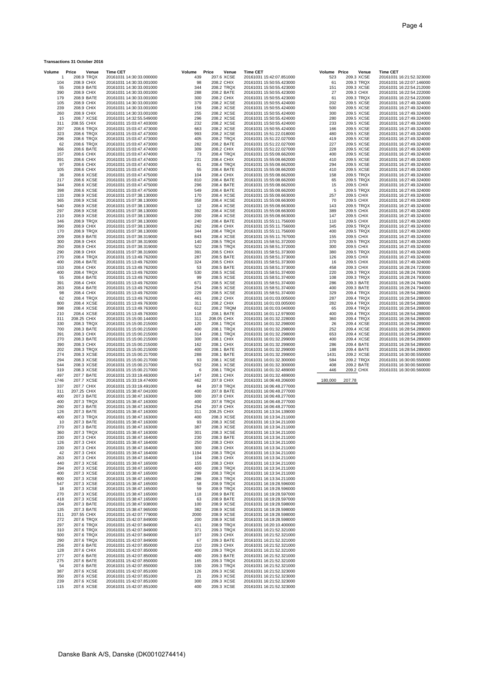| <b>Transactions 31 October 2016</b> |  |  |  |
|-------------------------------------|--|--|--|
|-------------------------------------|--|--|--|

| Volume     | Price<br>Venue            | <b>Time CET</b>                                      | Price<br>Volume | Venue                    | Time CET                                             | Volume Price | Venue                    | <b>Time CET</b>                                      |
|------------|---------------------------|------------------------------------------------------|-----------------|--------------------------|------------------------------------------------------|--------------|--------------------------|------------------------------------------------------|
| -1         | 208.9 TRQX                | 20161031 14:30:33.000000                             | 439             | 207.6 XCSE               | 20161031 15:42:07.851000                             | 523          | 209.3 XCSE               | 20161031 16:21:52.323000                             |
| 104<br>55  | 208.9 CHIX<br>208.9 BATE  | 20161031 14:30:33.001000<br>20161031 14:30:33.001000 | 98<br>344       | 208.2 CHIX<br>208.2 TRQX | 20161031 15:50:55.423000<br>20161031 15:50:55.423000 | 61<br>151    | 209.3 TRQX<br>209.3 XCSE | 20161031 16:22:07.146000<br>20161031 16:22:54.212000 |
| 390        | 208.9 CHIX                | 20161031 14:30:33.001000                             | 288             | 208.2 BATE               | 20161031 15:50:55.423000                             | 27           | 209.3 CHIX               | 20161031 16:22:54.222000                             |
| 179        | 208.9 BATE                | 20161031 14:30:33.001000                             | 300             | 208.2 CHIX               | 20161031 15:50:55.423000                             | 61           | 209.3 TRQX               | 20161031 16:22:54.222000                             |
| 105        | 208.9 CHIX                | 20161031 14:30:33.001000                             | 379             | 208.2 XCSE               | 20161031 15:50:55.424000                             | 202          | 209.5 XCSE               | 20161031 16:27:49.324000                             |
| 239        | 208.9 CHIX                | 20161031 14:30:33.001000                             | 156             | 208.2 XCSE               | 20161031 15:50:55.424000                             | 500          | 209.5 XCSE               | 20161031 16:27:49.324000                             |
| 260        | 208.9 CHIX                | 20161031 14:30:33.001000                             | 255             | 208.2 XCSE               | 20161031 15:50:55.424000                             | 300          | 209.5 XCSE               | 20161031 16:27:49.324000                             |
| 15<br>311  | 208.7 XCSE<br>208.55 CHIX | 20161031 14:32:55.549000<br>20161031 15:03:47.403000 | 296<br>232      | 208.2 XCSE<br>208.2 XCSE | 20161031 15:50:55.424000<br>20161031 15:50:55.424000 | 280<br>233   | 209.5 XCSE<br>209.5 XCSE | 20161031 16:27:49.324000<br>20161031 16:27:49.324000 |
| 297        | 208.6 TRQX                | 20161031 15:03:47.473000                             | 663             | 208.2 XCSE               | 20161031 15:50:55.424000                             | 166          | 209.5 XCSE               | 20161031 16:27:49.324000                             |
| 323        | 208.6 TRQX                | 20161031 15:03:47.473000                             | 993             | 208.2 XCSE               | 20161031 15:51:22.018000                             | 480          | 209.5 XCSE               | 20161031 16:27:49.324000                             |
| 296        | 208.6 TRQX                | 20161031 15:03:47.473000                             | 405             | 208.2 TRQX               | 20161031 15:51:22.027000                             | 419          | 209.5 XCSE               | 20161031 16:27:49.324000                             |
| 62         | 208.6 TRQX                | 20161031 15:03:47.473000                             | 282             | 208.2 BATE               | 20161031 15:51:22.027000                             | 227          | 209.5 XCSE               | 20161031 16:27:49.324000                             |
| 366        | 208.6 BATE                | 20161031 15:03:47.474000                             | 309             | 208.2 CHIX               | 20161031 15:51:22.027000                             | 228          | 209.5 XCSE               | 20161031 16:27:49.324000                             |
| 157<br>391 | 208.6 CHIX<br>208.6 CHIX  | 20161031 15:03:47.474000<br>20161031 15:03:47.474000 | 73<br>231       | 208.4 TRQX<br>208.4 CHIX | 20161031 15:55:08.662000<br>20161031 15:55:08.662000 | 400<br>410   | 209.5 XCSE<br>209.5 XCSE | 20161031 16:27:49.324000<br>20161031 16:27:49.324000 |
| 97         | 208.6 CHIX                | 20161031 15:03:47.474000                             | 61              | 208.4 TRQX               | 20161031 15:55:08.662000                             | 294          | 209.5 XCSE               | 20161031 16:27:49.324000                             |
| 105        | 208.6 CHIX                | 20161031 15:03:47.474000                             | 55              | 208.4 BATE               | 20161031 15:55:08.662000                             | 410          | 209.5 XCSE               | 20161031 16:27:49.324000                             |
| 36         | 208.6 XCSE                | 20161031 15:03:47.475000                             | 104             | 208.4 CHIX               | 20161031 15:55:08.662000                             | 158          | 209.5 TRQX               | 20161031 16:27:49.324000                             |
| 217        | 208.6 XCSE                | 20161031 15:03:47.475000                             | 810             | 208.4 BATE               | 20161031 15:55:08.662000                             | 65           | 209.5 TRQX               | 20161031 16:27:49.324000                             |
| 344        | 208.6 XCSE                | 20161031 15:03:47.475000                             | 296             | 208.4 BATE               | 20161031 15:55:08.662000                             | 15           | 209.5 CHIX               | 20161031 16:27:49.324000                             |
| 398<br>133 | 208.6 XCSE<br>208.9 XCSE  | 20161031 15:03:47.475000<br>20161031 15:07:38.130000 | 549<br>170      | 208.4 BATE<br>208.4 XCSE | 20161031 15:55:08.662000<br>20161031 15:55:08.663000 | 5<br>257     | 209.5 TRQX<br>209.5 CHIX | 20161031 16:27:49.324000<br>20161031 16:27:49.324000 |
| 365        | 208.9 XCSE                | 20161031 15:07:38.130000                             | 358             | 208.4 XCSE               | 20161031 15:55:08.663000                             | 70           | 209.5 CHIX               | 20161031 16:27:49.324000                             |
| 540        | 208.9 XCSE                | 20161031 15:07:38.130000                             | 12              | 208.4 XCSE               | 20161031 15:55:08.663000                             | 143          | 209.5 TRQX               | 20161031 16:27:49.324000                             |
| 297        | 208.9 XCSE                | 20161031 15:07:38.130000                             | 392             | 208.4 XCSE               | 20161031 15:55:08.663000                             | 389          | 209.5 CHIX               | 20161031 16:27:49.324000                             |
| 210        | 208.9 XCSE                | 20161031 15:07:38.130000                             | 200             | 208.4 XCSE               | 20161031 15:55:08.663000                             | 147          | 209.5 CHIX               | 20161031 16:27:49.324000                             |
| 346        | 208.9 TRQX                | 20161031 15:07:38.130000                             | 240             | 208.4 BATE               | 20161031 15:55:11.756000                             | 110          | 209.5 CHIX               | 20161031 16:27:49.324000                             |
| 390<br>170 | 208.9 CHIX<br>208.9 TRQX  | 20161031 15:07:38.130000<br>20161031 15:07:38.130000 | 262<br>344      | 208.4 CHIX<br>208.4 TRQX | 20161031 15:55:11.756000<br>20161031 15:55:11.756000 | 345<br>400   | 209.5 TRQX<br>209.5 TRQX | 20161031 16:27:49.324000<br>20161031 16:27:49.324000 |
| 209        | 208.9 BATE                | 20161031 15:07:38.319000                             | 843             | 208.4 XCSE               | 20161031 15:55:11.767000                             | 155          | 209.5 CHIX               | 20161031 16:27:49.324000                             |
| 300        | 208.9 CHIX                | 20161031 15:07:38.319000                             | 140             | 208.5 TRQX               | 20161031 15:58:51.372000                             | 370          | 209.5 TRQX               | 20161031 16:27:49.324000                             |
| 250        | 208.9 CHIX                | 20161031 15:07:38.319000                             | 522             | 208.5 TRQX               | 20161031 15:58:51.372000                             | 300          | 209.5 CHIX               | 20161031 16:27:49.324000                             |
| 290        | 208.9 CHIX                | 20161031 15:07:38.319000                             | 391             | 208.5 CHIX               | 20161031 15:58:51.373000                             | 380          | 209.5 TRQX               | 20161031 16:27:49.324000                             |
| 270        | 208.4 TRQX                | 20161031 15:13:49.762000                             | 287             | 208.5 BATE               | 20161031 15:58:51.373000                             | 126          | 209.5 CHIX<br>209.5 CHIX | 20161031 16:27:49.324000<br>20161031 16:27:49.324000 |
| 400<br>153 | 208.4 BATE<br>208.4 CHIX  | 20161031 15:13:49.762000<br>20161031 15:13:49.762000 | 324<br>53       | 208.5 CHIX<br>208.5 BATE | 20161031 15:58:51.373000<br>20161031 15:58:51.373000 | 16<br>458    | 209.3 CHIX               | 20161031 16:28:24.723000                             |
| 400        | 208.4 TRQX                | 20161031 15:13:49.762000                             | 530             | 208.5 XCSE               | 20161031 15:58:51.374000                             | 220          | 209.3 TRQX               | 20161031 16:28:24.793000                             |
| 55         | 208.4 BATE                | 20161031 15:13:49.762000                             | 99              | 208.5 XCSE               | 20161031 15:58:51.374000                             | 108          | 209.3 TRQX               | 20161031 16:28:24.793000                             |
| 391        | 208.4 CHIX                | 20161031 15:13:49.762000                             | 671             | 208.5 XCSE               | 20161031 15:58:51.374000                             | 286          | 209.3 BATE               | 20161031 16:28:24.794000                             |
| 263        | 208.4 BATE                | 20161031 15:13:49.762000                             | 254             | 208.5 XCSE               | 20161031 15:58:51.374000                             | 400          | 209.3 BATE               | 20161031 16:28:24.794000                             |
| 98         | 208.4 CHIX                | 20161031 15:13:49.762000                             | 229             | 208.5 XCSE               | 20161031 15:58:51.374000                             | 329          | 209.4 TRQX               | 20161031 16:28:54.288000                             |
| 62<br>800  | 208.4 TRQX<br>208.4 XCSE  | 20161031 15:13:49.762000<br>20161031 15:13:49.763000 | 461<br>311      | 208.2 CHIX<br>208.2 CHIX | 20161031 16:01:03.005000<br>20161031 16:01:03.005000 | 287<br>282   | 209.4 TRQX<br>209.4 TRQX | 20161031 16:28:54.288000<br>20161031 16:28:54.288000 |
| 398        | 208.4 XCSE                | 20161031 15:13:49.763000                             | 612             | 208.2 TRQM               | 20161031 16:01:03.040000                             | 65           | 209.4 TRQX               | 20161031 16:28:54.288000                             |
| 210        | 208.4 XCSE                | 20161031 15:13:49.763000                             | 118             | 208.1 BATE               | 20161031 16:01:12.979000                             | 400          | 209.4 TRQX               | 20161031 16:28:54.288000                             |
| 311        | 208.25 CHIX               | 20161031 15:15:00.144000                             | 311             | 208.05 CHIX              | 20161031 16:01:32.228000                             | 360          | 209.4 TRQX               | 20161031 16:28:54.288000                             |
| 330        | 208.3 TRQX                | 20161031 15:15:00.215000                             | 120             | 208.1 TRQX               | 20161031 16:01:32.298000                             | 26           | 209.4 XCSE               | 20161031 16:28:54.289000                             |
| 700<br>391 | 208.3 BATE<br>208.3 CHIX  | 20161031 15:15:00.215000<br>20161031 15:15:00.215000 | 400<br>314      | 208.1 TRQX<br>208.1 TRQX | 20161031 16:01:32.298000<br>20161031 16:01:32.298000 | 252<br>653   | 209.4 XCSE<br>209.4 XCSE | 20161031 16:28:54.289000<br>20161031 16:28:54.289000 |
| 270        | 208.3 BATE                | 20161031 15:15:00.215000                             | 300             | 208.1 CHIX               | 20161031 16:01:32.299000                             | 400          | 209.4 XCSE               | 20161031 16:28:54.289000                             |
| 390        | 208.3 CHIX                | 20161031 15:15:00.215000                             | 162             | 208.1 CHIX               | 20161031 16:01:32.299000                             | 286          | 209.4 BATE               | 20161031 16:28:54.289000                             |
| 202        | 208.3 TRQX                | 20161031 15:15:00.215000                             | 400             | 208.1 BATE               | 20161031 16:01:32.299000                             | 188          | 209.4 BATE               | 20161031 16:28:54.289000                             |
| 274        | 208.3 XCSE                | 20161031 15:15:00.217000                             | 288             | 208.1 BATE               | 20161031 16:01:32.299000                             | 1431         | 209.2 XCSE               | 20161031 16:30:00.550000                             |
| 294        | 208.3 XCSE                | 20161031 15:15:00.217000                             | 93              | 208.1 XCSE               | 20161031 16:01:32.300000                             | 584          | 209.2 TRQX               | 20161031 16:30:00.550000                             |
| 544<br>319 | 208.3 XCSE<br>208.3 XCSE  | 20161031 15:15:00.217000<br>20161031 15:15:00.217000 | 552<br>6        | 208.1 XCSE<br>208.1 TRQX | 20161031 16:01:32.300000<br>20161031 16:01:32.489000 | 408<br>446   | 209.2 BATE<br>209.2 CHIX | 20161031 16:30:00.560000<br>20161031 16:30:00.560000 |
| 497        | 207.7 BATE                | 20161031 15:33:19.463000                             | 147             | 208.1 CHIX               | 20161031 16:01:32.489000                             |              |                          |                                                      |
| 1746       | 207.7 XCSE                | 20161031 15:33:19.474000                             | 462             | 207.8 CHIX               | 20161031 16:06:48.206000                             | 180,000      | 207.78                   |                                                      |
| 337        | 207.7 CHIX                | 20161031 15:33:19.491000                             | 84              | 207.8 TRQX               | 20161031 16:06:48.277000                             |              |                          |                                                      |
| 311        | 207.25 CHIX               | 20161031 15:38:47.041000                             | 400             | 207.8 BATE               | 20161031 16:06:48.277000                             |              |                          |                                                      |
| 400        | 207.3 BATE                | 20161031 15:38:47.163000                             | 300             | 207.8 CHIX               | 20161031 16:06:48.277000                             |              |                          |                                                      |
| 400<br>260 | 207.3 TRQX<br>207.3 BATE  | 20161031 15:38:47.163000<br>20161031 15:38:47.163000 | 400<br>254      | 207.8 TRQX<br>207.8 CHIX | 20161031 16:06:48.277000<br>20161031 16:06:48.277000 |              |                          |                                                      |
| 126        | 207.3 BATE                | 20161031 15:38:47.163000                             | 311             | 208.25 CHIX              | 20161031 16:13:34.139000                             |              |                          |                                                      |
| 400        | 207.3 TRQX                | 20161031 15:38:47.163000                             | 400             | 208.3 XCSE               | 20161031 16:13:34.211000                             |              |                          |                                                      |
| 10         | 207.3 BATE                | 20161031 15:38:47.163000                             | 93              | 208.3 XCSE               | 20161031 16:13:34.211000                             |              |                          |                                                      |
| 270        | 207.3 BATE                | 20161031 15:38:47.163000                             | 387             | 208.3 XCSE               | 20161031 16:13:34.211000                             |              |                          |                                                      |
| 360<br>230 | 207.3 TRQX<br>207.3 CHIX  | 20161031 15:38:47.163000<br>20161031 15:38:47.164000 | 301<br>230      | 208.3 XCSE<br>208.3 BATE | 20161031 16:13:34.211000<br>20161031 16:13:34.211000 |              |                          |                                                      |
| 126        | 207.3 CHIX                | 20161031 15:38:47.164000                             | 250             | 208.3 CHIX               | 20161031 16:13:34.211000                             |              |                          |                                                      |
| 230        | 207.3 CHIX                | 20161031 15:38:47.164000                             | 300             | 208.3 CHIX               | 20161031 16:13:34.211000                             |              |                          |                                                      |
| 42         | 207.3 CHIX                | 20161031 15:38:47.164000                             | 1194            | 208.3 TRQX               | 20161031 16:13:34.211000                             |              |                          |                                                      |
| 263        | 207.3 CHIX                | 20161031 15:38:47.164000                             | 104             | 208.3 CHIX               | 20161031 16:13:34.211000                             |              |                          |                                                      |
| 440        | 207.3 XCSE                | 20161031 15:38:47.165000<br>20161031 15:38:47.165000 | 155             | 208.3 CHIX               | 20161031 16:13:34.211000<br>20161031 16:13:34.211000 |              |                          |                                                      |
| 294<br>400 | 207.3 XCSE<br>207.3 XCSE  | 20161031 15:38:47.165000                             | 400<br>299      | 208.3 TRQX<br>208.3 TRQX | 20161031 16:13:34.211000                             |              |                          |                                                      |
| 800        | 207.3 XCSE                | 20161031 15:38:47.165000                             | 286             | 208.3 TRQX               | 20161031 16:13:34.211000                             |              |                          |                                                      |
| 547        | 207.3 XCSE                | 20161031 15:38:47.165000                             | 58              | 208.9 TRQX               | 20161031 16:19:28.596000                             |              |                          |                                                      |
| 18         | 207.3 XCSE                | 20161031 15:38:47.165000                             | 59              | 208.9 TRQX               | 20161031 16:19:28.596000                             |              |                          |                                                      |
| 270        | 207.3 XCSE                | 20161031 15:38:47.165000                             | 118             | 208.9 BATE               | 20161031 16:19:28.597000                             |              |                          |                                                      |
| 418<br>204 | 207.3 XCSE<br>207.3 BATE  | 20161031 15:38:47.165000<br>20161031 15:38:47.938000 | 63<br>100       | 208.9 BATE<br>208.9 XCSE | 20161031 16:19:28.597000<br>20161031 16:19:28.598000 |              |                          |                                                      |
| 135        | 207.3 BATE                | 20161031 15:38:47.965000                             | 382             | 208.9 XCSE               | 20161031 16:19:28.598000                             |              |                          |                                                      |
| 311        | 207.55 CHIX               | 20161031 15:42:07.779000                             | 2000            | 208.9 XCSE               | 20161031 16:19:28.598000                             |              |                          |                                                      |
| 272        | 207.6 TRQX                | 20161031 15:42:07.849000                             | 200             | 208.9 XCSE               | 20161031 16:19:28.598000                             |              |                          |                                                      |
| 297        | 207.6 TRQX                | 20161031 15:42:07.849000                             | 411             | 208.9 TRQX               | 20161031 16:20:10.400000                             |              |                          |                                                      |
| 310        | 207.6 TRQX<br>207.6 TRQX  | 20161031 15:42:07.849000                             | 371<br>107      | 209.3 TRQX<br>209.3 CHIX | 20161031 16:21:52.321000                             |              |                          |                                                      |
| 500<br>290 | 207.6 TRQX                | 20161031 15:42:07.849000<br>20161031 15:42:07.849000 | 67              | 209.3 BATE               | 20161031 16:21:52.321000<br>20161031 16:21:52.321000 |              |                          |                                                      |
| 256        | 207.6 BATE                | 20161031 15:42:07.850000                             | 210             | 209.3 CHIX               | 20161031 16:21:52.321000                             |              |                          |                                                      |
| 128        | 207.6 CHIX                | 20161031 15:42:07.850000                             | 400             | 209.3 TRQX               | 20161031 16:21:52.321000                             |              |                          |                                                      |
| 277        | 207.6 BATE                | 20161031 15:42:07.850000                             | 400             | 209.3 BATE               | 20161031 16:21:52.321000                             |              |                          |                                                      |
| 275<br>54  | 207.6 BATE<br>207.6 BATE  | 20161031 15:42:07.850000<br>20161031 15:42:07.850000 | 165<br>330      | 209.3 TRQX<br>209.3 TRQX | 20161031 16:21:52.321000<br>20161031 16:21:52.321000 |              |                          |                                                      |
| 387        | 207.6 XCSE                | 20161031 15:42:07.851000                             | 126             | 209.3 XCSE               | 20161031 16:21:52.323000                             |              |                          |                                                      |
| 350        | 207.6 XCSE                | 20161031 15:42:07.851000                             | 21              | 209.3 XCSE               | 20161031 16:21:52.323000                             |              |                          |                                                      |
| 239        | 207.6 XCSE                | 20161031 15:42:07.851000                             | 300             | 209.3 XCSE               | 20161031 16:21:52.323000                             |              |                          |                                                      |
| 115        | 207.6 XCSE                | 20161031 15:42:07.851000                             | 400             | 209.3 XCSE               | 20161031 16:21:52.323000                             |              |                          |                                                      |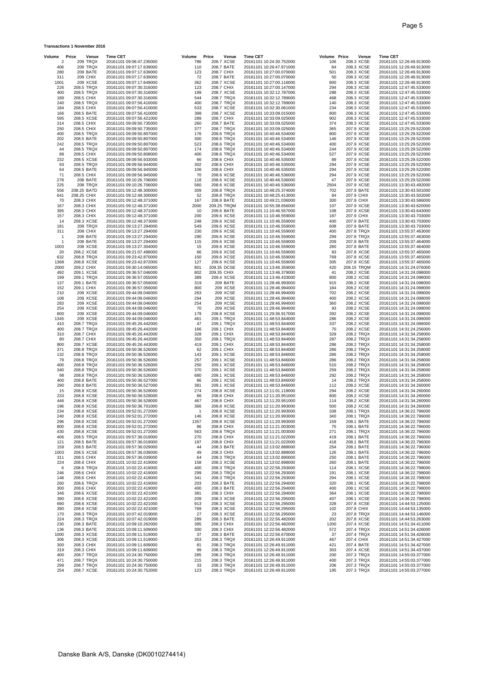### **Transactions 1 November 2016**

| Volume      | Price<br>Venue           | <b>Time CET</b>                                      | Volume     | Price       | Venue                    | <b>Time CET</b>                                      | Volume Price |            | Venue                    | <b>Time CET</b> |                                                      |
|-------------|--------------------------|------------------------------------------------------|------------|-------------|--------------------------|------------------------------------------------------|--------------|------------|--------------------------|-----------------|------------------------------------------------------|
| 2           | 209 TRQX                 | 20161101 09:06:47.235000                             | 786        |             | 208.7 XCSE               | 20161101 10:24:30.752000                             | 106          |            | 208.3 XCSE               |                 | 20161101 12:26:49.913000                             |
| 406         | <b>209 TRQX</b>          | 20161101 09:07:17.639000                             | 110        |             | 208.7 BATE               | 20161101 10:26:47.871000                             | 84           |            | 208.3 XCSE               |                 | 20161101 12:26:49.913000                             |
| 280         | 209 BATE<br>209 CHIX     | 20161101 09:07:17.639000                             | 123<br>72  |             | 208.7 CHIX               | 20161101 10:27:00.070000                             | 501          |            | 208.3 XCSE               |                 | 20161101 12:26:49.913000                             |
| 311<br>1001 | 209 XCSE                 | 20161101 09:07:17.639000<br>20161101 09:07:17.649000 | 362        |             | 208.7 BATE<br>208.7 XCSE | 20161101 10:27:00.070000<br>20161101 10:27:00.116000 | 50<br>800    |            | 208.3 XCSE<br>208.3 XCSE |                 | 20161101 12:26:49.913000<br>20161101 12:26:49.913000 |
| 226         | 208.5 TRQX               | 20161101 09:07:30.316000                             | 123        |             | 208.7 CHIX               | 20161101 10:27:00.147000                             | 294          |            | 208.3 XCSE               |                 | 20161101 12:47:45.533000                             |
| 400         | 208.5 TRQX               | 20161101 09:07:30.316000                             | 199        |             | 208.7 XCSE               | 20161101 10:32:12.787000                             | 288          |            | 208.3 XCSE               |                 | 20161101 12:47:45.533000                             |
| 189         | 208.5 CHIX               | 20161101 09:07:30.316000                             | 544        |             | 208.7 TRQX               | 20161101 10:32:12.789000                             | 468          |            | 208.3 XCSE               |                 | 20161101 12:47:45.533000                             |
| 240         | 208.5 TRQX               | 20161101 09:07:56.410000                             | 400        |             | 208.7 TRQX               | 20161101 10:32:12.789000                             | 140          |            | 208.3 XCSE               |                 | 20161101 12:47:45.533000                             |
| 184         | 208.5 CHIX               | 20161101 09:07:56.410000                             | 533        |             | 208.7 XCSE               | 20161101 10:32:30.061000                             | 234          |            | 208.3 XCSE               |                 | 20161101 12:47:45.533000                             |
| 166<br>595  | 208.5 BATE<br>208.5 XCSE | 20161101 09:07:56.410000<br>20161101 09:07:56.421000 | 398<br>289 |             | 208.7 XCSE<br>208.7 CHIX | 20161101 10:33:09.015000<br>20161101 10:33:09.025000 | 800<br>902   |            | 208.3 XCSE<br>208.3 XCSE |                 | 20161101 12:47:45.533000<br>20161101 12:47:45.533000 |
| 314         | 208.5 CHIX               | 20161101 09:09:50.735000                             | 260        |             | 208.7 BATE               | 20161101 10:33:09.025000                             | 374          |            | 208.3 XCSE               |                 | 20161101 12:47:45.533000                             |
| 250         | 208.5 CHIX               | 20161101 09:09:50.735000                             | 377        |             | 208.7 TRQX               | 20161101 10:33:09.025000                             | 365          |            | 207.9 XCSE               |                 | 20161101 13:25:29.522000                             |
| 400         | 208.5 TRQX               | 20161101 09:09:50.807000                             | 176        |             | 208.6 TRQX               | 20161101 10:40:46.534000                             | 800          |            | 207.9 XCSE               |                 | 20161101 13:25:29.522000                             |
| 202         | 208.5 BATE               | 20161101 09:09:50.807000                             | 300        |             | 208.6 TRQX               | 20161101 10:40:46.534000                             | 146          |            | 207.9 XCSE               |                 | 20161101 13:25:29.522000                             |
| 242         | 208.5 TRQX               | 20161101 09:09:50.807000                             | 523        |             | 208.6 TRQX               | 20161101 10:40:46.534000                             | 400          |            | 207.9 XCSE               |                 | 20161101 13:25:29.522000                             |
| 44<br>88    | 208.5 TRQX               | 20161101 09:09:50.807000<br>20161101 09:09:50.808000 | 174<br>400 |             | 208.6 TRQX               | 20161101 10:40:46.534000                             | 244<br>527   |            | 207.9 XCSE<br>207.9 XCSE |                 | 20161101 13:25:29.522000                             |
| 232         | 208.5 CHIX<br>208.5 XCSE | 20161101 09:09:56.933000                             | 66         |             | 208.6 TRQX<br>208.6 CHIX | 20161101 10:40:46.534000<br>20161101 10:40:46.535000 | 89           |            | 207.9 XCSE               |                 | 20161101 13:25:29.522000<br>20161101 13:25:29.522000 |
| 93          | 208.5 TRQX               | 20161101 09:09:56.944000                             | 302        |             | 208.6 CHIX               | 20161101 10:40:46.535000                             | 294          |            | 207.9 XCSE               |                 | 20161101 13:25:29.522000                             |
| 64          | 208.5 BATE               | 20161101 09:09:56.945000                             | 106        |             | 208.6 CHIX               | 20161101 10:40:46.535000                             | 294          |            | 207.9 XCSE               |                 | 20161101 13:25:29.522000                             |
| 71          | 208.5 CHIX               | 20161101 09:09:56.945000                             | 70         |             | 208.6 XCSE               | 20161101 10:40:46.536000                             | 294          |            | 207.9 XCSE               |                 | 20161101 13:25:29.522000                             |
| 278         | 208 BATE                 | 20161101 09:10:26.706000                             | 118        |             | 208.6 XCSE               | 20161101 10:40:46.536000                             | 47           |            | 207.9 XCSE               |                 | 20161101 13:25:29.522000                             |
| 225<br>556  | 208 TRQX<br>208.25 BATD  | 20161101 09:10:26.706000<br>20161101 09:12:48.300000 | 560<br>309 |             | 208.6 XCSE<br>208.8 TRQX | 20161101 10:40:46.536000<br>20161101 10:48:25.374000 | 2504<br>702  |            | 207.9 XCSE<br>207.9 BATE |                 | 20161101 13:30:43.492000<br>20161101 13:30:43.501000 |
| 641         | 208.25 CHIX              | 20161101 09:12:48.300000                             | 52         |             | 208.8 TRQX               | 20161101 10:48:25.413000                             | 84           | 207.9 CHIX |                          |                 | 20161101 13:30:43.502000                             |
| 70          | 208.3 CHIX               | 20161101 09:12:48.371000                             | 167        |             | 208.8 BATE               | 20161101 10:49:21.036000                             | 300          | 207.9 CHIX |                          |                 | 20161101 13:30:43.586000                             |
| 167         | 208.3 CHIX               | 20161101 09:12:48.371000                             | 2000       |             | 209.25 TRQM              | 20161101 10:55:38.656000                             | 107          |            | 207.9 XCSE               |                 | 20161101 13:30:43.620000                             |
| 395         | 208.3 CHIX               | 20161101 09:12:48.371000                             | 10         |             | 209.6 BATE               | 20161101 11:10:46.557000                             | 108          |            | 207.9 XCSE               |                 | 20161101 13:30:43.643000                             |
| 157         | 208.3 CHIX               | 20161101 09:12:48.371000                             | 200        |             | 209.6 XCSE               | 20161101 11:10:46.559000                             | 187          | 207.9 CHIX |                          |                 | 20161101 13:30:43.703000                             |
| 14<br>181   | 208.3 XCSE<br>208 TRQX   | 20161101 09:12:48.373000<br>20161101 09:13:27.294000 | 248<br>549 |             | 209.6 XCSE<br>209.6 XCSE | 20161101 11:10:46.559000<br>20161101 11:10:46.559000 | 400<br>608   |            | 207.9 BATE<br>207.9 BATE |                 | 20161101 13:30:43.703000<br>20161101 13:30:43.703000 |
| 311         | <b>208 CHIX</b>          | 20161101 09:13:27.294000                             | 230        |             | 209.6 XCSE               | 20161101 11:10:46.559000                             | 400          |            | 207.8 TRQX               |                 | 20161101 13:55:37.463000                             |
| -1          | 208 BATE                 | 20161101 09:13:27.294000                             | 290        |             | 209.6 XCSE               | 20161101 11:10:46.559000                             | 299          |            | 207.8 TRQX               |                 | 20161101 13:55:37.463000                             |
| -1          | 208 BATE                 | 20161101 09:13:27.294000                             | 115        |             | 209.6 XCSE               | 20161101 11:10:46.559000                             | 209          |            | 207.8 BATE               |                 | 20161101 13:55:37.464000                             |
| 1003        | 208 XCSE                 | 20161101 09:13:27.304000                             | 15         |             | 209.6 XCSE               | 20161101 11:10:46.559000                             | 280          | 207.8 BATE |                          |                 | 20161101 13:55:37.464000                             |
| 20          | 208.2 XCSE               | 20161101 09:21:07.488000                             | 66         |             | 209.6 XCSE               | 20161101 11:10:46.559000                             | 83           |            | 207.8 XCSE               |                 | 20161101 13:55:37.465000                             |
| 632<br>1368 | 208.8 TRQX<br>208.8 XCSE | 20161101 09:23:42.870000<br>20161101 09:23:42.872000 | 150<br>127 |             | 209.6 XCSE<br>209.6 XCSE | 20161101 11:10:46.559000<br>20161101 11:10:46.559000 | 769<br>305   |            | 207.8 XCSE<br>207.8 XCSE |                 | 20161101 13:55:37.465000<br>20161101 13:55:37.465000 |
| 2000        | 209.2 CHIX               | 20161101 09:30:14.065000                             | 801        | 209.35 DCSE |                          | 20161101 11:13:46.359000                             | 420          |            | 208.15 TRQM              |                 | 20161101 14:31:24.076000                             |
| 492         | 209.1 XCSE               | 20161101 09:36:57.046000                             | 802        | 209.35 CHIX |                          | 20161101 11:13:46.379000                             | 41           |            | 208.2 XCSE               |                 | 20161101 14:31:24.098000                             |
| 199         | 209.1 TRQX               | 20161101 09:36:57.055000                             | 389        |             | 209.4 XCSE               | 20161101 11:13:46.433000                             | 800          |            | 208.2 XCSE               |                 | 20161101 14:31:24.098000                             |
| 137         | 209.1 BATE               | 20161101 09:36:57.056000                             | 319        |             | 209 BATE                 | 20161101 11:28:46.993000                             | 915          |            | 208.2 XCSE               |                 | 20161101 14:31:24.098000                             |
| 152         | 209.1 CHIX               | 20161101 09:36:57.056000                             | 800        |             | 209 XCSE                 | 20161101 11:28:46.994000                             | 184          |            | 208.2 XCSE               |                 | 20161101 14:31:24.098000                             |
| 210<br>108  | 209 XCSE<br>209 XCSE     | 20161101 09:44:09.046000<br>20161101 09:44:09.046000 | 263<br>294 |             | 209 XCSE<br>209 XCSE     | 20161101 11:28:46.994000<br>20161101 11:28:46.994000 | 702<br>400   |            | 208.2 XCSE<br>208.2 XCSE |                 | 20161101 14:31:24.098000<br>20161101 14:31:24.098000 |
| 283         | 209 XCSE                 | 20161101 09:44:09.046000                             | 254        |             | 209 XCSE                 | 20161101 11:28:46.994000                             | 360          |            | 208.2 XCSE               |                 | 20161101 14:31:24.098000                             |
| 254         | 209 XCSE                 | 20161101 09:44:09.046000                             | 70         |             | 209 XCSE                 | 20161101 11:28:46.994000                             | 93           |            | 208.2 XCSE               |                 | 20161101 14:31:24.098000                             |
| 800         | 209 XCSE                 | 20161101 09:44:09.046000                             | 179        |             | 208.8 XCSE               | 20161101 11:29:36.917000                             | 392          |            | 208.2 XCSE               |                 | 20161101 14:31:24.098000                             |
| 1345        | 209 XCSE                 | 20161101 09:44:09.046000                             | 461        |             | 209.1 TRQX               | 20161101 11:48:53.844000                             | 286          |            | 208.2 XCSE               |                 | 20161101 14:31:24.098000                             |
| 410<br>400  | 208.7 TRQX<br>208.7 TRQX | 20161101 09:45:26.442000<br>20161101 09:45:26.442000 | 47<br>166  |             | 209.1 TRQX<br>209.1 CHIX | 20161101 11:48:53.844000<br>20161101 11:48:53.844000 | 337<br>70    |            | 208.2 XCSE<br>208.2 XCSE |                 | 20161101 14:31:24.098000<br>20161101 14:31:24.256000 |
| 310         | 208.7 CHIX               | 20161101 09:45:26.442000                             | 328        |             | 209.1 CHIX               | 20161101 11:48:53.844000                             | 329          |            | 208.2 TRQX               |                 | 20161101 14:31:34.258000                             |
| 80          | 208.7 CHIX               | 20161101 09:45:26.442000                             | 350        |             | 209.1 TRQX               | 20161101 11:48:53.844000                             | 287          |            | 208.2 TRQX               |                 | 20161101 14:31:34.258000                             |
| 800         | 208.7 XCSE               | 20161101 09:45:26.443000                             | 419        |             | 209.1 CHIX               | 20161101 11:48:53.844000                             | 286          |            | 208.2 TRQX               |                 | 20161101 14:31:34.258000                             |
| 371         | 208.8 TRQX               | 20161101 09:50:36.526000                             | 62         |             | 209.1 CHIX               | 20161101 11:48:53.844000                             | 286          |            | 208.2 TRQX               |                 | 20161101 14:31:34.258000                             |
| 132         | 208.8 TRQX               | 20161101 09:50:36.526000                             | 143        |             | 209.1 XCSE               | 20161101 11:48:53.846000                             | 286          |            | 208.2 TRQX               |                 | 20161101 14:31:34.258000                             |
| 79<br>400   | 208.8 TRQX<br>208.8 TRQX | 20161101 09:50:36.526000<br>20161101 09:50:36.526000 | 257<br>250 |             | 209.1 XCSE<br>209.1 XCSE | 20161101 11:48:53.846000<br>20161101 11:48:53.846000 | 286<br>510   |            | 208.2 TRQX<br>208.2 TRQX |                 | 20161101 14:31:34.258000<br>20161101 14:31:34.258000 |
| 340         | 208.8 TRQX               | 20161101 09:50:36.526000                             | 370        |             | 209.1 XCSE               | 20161101 11:48:53.846000                             | 259          |            | 208.2 TRQX               |                 | 20161101 14:31:34.258000                             |
| 98          | 208.8 TRQX               | 20161101 09:50:36.526000                             | 680        |             | 209.1 XCSE               | 20161101 11:48:53.846000                             | 292          |            | 208.2 TRQX               |                 | 20161101 14:31:34.258000                             |
| 400         | 208.8 BATE               | 20161101 09:50:36.527000                             | 86         |             | 209.1 XCSE               | 20161101 11:48:53.846000                             | 14           |            | 208.2 TRQX               |                 | 20161101 14:31:34.258000                             |
| 290         | 208.8 BATE               | 20161101 09:50:36.527000                             | 381        |             | 209.1 XCSE               | 20161101 11:48:53.846000                             | 112          |            | 208.2 XCSE               |                 | 20161101 14:31:34.260000                             |
| 15<br>233   | 208.8 XCSE<br>208.8 XCSE | 20161101 09:50:36.528000<br>20161101 09:50:36.528000 | 274<br>86  |             | 208.8 XCSE<br>208.8 CHIX | 20161101 12:11:01.118000                             | 294<br>800   |            | 208.2 XCSE               |                 | 20161101 14:31:34.260000                             |
| 446         | 208.8 XCSE               | 20161101 09:50:36.528000                             | 467        |             | 208.8 CHIX               | 20161101 12:11:20.951000<br>20161101 12:11:20.951000 | 114          |            | 208.2 XCSE<br>208.2 XCSE |                 | 20161101 14:31:34.260000<br>20161101 14:31:34.260000 |
| 196         | 208.8 XCSE               | 20161101 09:50:36.701000                             | 366        |             | 208.8 XCSE               | 20161101 12:11:20.993000                             | 500          |            | 208.2 XCSE               |                 | 20161101 14:31:34.260000                             |
| 234         | 208.8 XCSE               | 20161101 09:52:01.272000                             | -1         |             | 208.8 XCSE               | 20161101 12:11:20.993000                             | 338          |            | 208.1 TRQX               |                 | 20161101 14:36:22.796000                             |
| 240         | 208.8 XCSE               | 20161101 09:52:01.272000                             | 146        |             | 208.8 XCSE               | 20161101 12:11:20.993000                             | 340          |            | 208.1 TRQX               |                 | 20161101 14:36:22.796000                             |
| 296         | 208.8 XCSE               | 20161101 09:52:01.272000                             | 1357       |             | 208.8 XCSE               | 20161101 12:11:20.993000                             | 159          |            | 208.1 BATE               |                 | 20161101 14:36:22.796000                             |
| 800<br>430  | 208.8 XCSE<br>208.8 XCSE | 20161101 09:52:01.272000<br>20161101 09:52:01.272000 | 86<br>563  |             | 208.8 CHIX<br>208.8 TRQX | 20161101 12:11:21.003000<br>20161101 12:11:21.003000 | 75<br>271    |            | 208.1 BATE<br>208.1 TRQX |                 | 20161101 14:36:22.796000<br>20161101 14:36:22.796000 |
| 406         | 208.5 TRQX               | 20161101 09:57:36.019000                             | 270        |             | 208.8 CHIX               | 20161101 12:11:21.022000                             | 419          |            | 208.1 BATE               |                 | 20161101 14:36:22.796000                             |
| 121         | 208.5 BATE               | 20161101 09:57:36.019000                             | 197        |             | 208.8 CHIX               | 20161101 12:11:21.022000                             | 418          |            | 208.1 BATE               |                 | 20161101 14:36:22.796000                             |
| 159         | 208.5 BATE               | 20161101 09:57:36.029000                             | 44         |             | 208.3 BATE               | 20161101 12:13:02.888000                             | 254          |            | 208.1 BATE               |                 | 20161101 14:36:22.796000                             |
| 1003        | 208.5 XCSE               | 20161101 09:57:36.039000                             | 49         |             | 208.3 CHIX               | 20161101 12:13:02.888000                             | 126          |            | 208.1 BATE               |                 | 20161101 14:36:22.796000                             |
| 311<br>224  | 208.5 CHIX<br>208.6 CHIX | 20161101 09:57:36.039000<br>20161101 10:02:22.419000 | 64<br>158  |             | 208.3 TRQX<br>208.3 XCSE | 20161101 12:13:02.890000<br>20161101 12:13:02.898000 | 250<br>260   |            | 208.1 BATE<br>208.1 BATE |                 | 20161101 14:36:22.796000<br>20161101 14:36:22.796000 |
| 6           | 208.6 TRQX               | 20161101 10:02:22.419000                             | 400        |             | 208.3 TRQX               | 20161101 12:22:56.293000                             | 114          |            | 208.1 XCSE               |                 | 20161101 14:36:22.798000                             |
| 246         | 208.6 CHIX               | 20161101 10:02:22.419000                             | 299        |             | 208.3 TRQX               | 20161101 12:22:56.293000                             | 191          |            | 208.1 XCSE               |                 | 20161101 14:36:22.798000                             |
| 148         | 208.6 CHIX               | 20161101 10:02:22.419000                             | 341        |             | 208.3 TRQX               | 20161101 12:22:56.293000                             | 294          |            | 208.1 XCSE               |                 | 20161101 14:36:22.798000                             |
| 260         | 208.6 TRQX               | 20161101 10:02:22.419000                             | 203        |             | 208.3 BATE               | 20161101 12:22:56.294000                             | 320          |            | 208.1 XCSE               |                 | 20161101 14:36:22.798000                             |
| 300         | 208.6 CHIX               | 20161101 10:02:22.419000                             | 400        |             | 208.3 BATE               | 20161101 12:22:56.294000                             | 400          |            | 208.1 XCSE               |                 | 20161101 14:36:22.798000                             |
| 346<br>390  | 208.6 XCSE<br>208.6 XCSE | 20161101 10:02:22.421000<br>20161101 10:02:22.421000 | 381<br>209 |             | 208.3 CHIX<br>208.3 XCSE | 20161101 12:22:56.294000<br>20161101 12:22:56.295000 | 364<br>407   |            | 208.1 XCSE<br>208.1 XCSE |                 | 20161101 14:36:22.798000<br>20161101 14:36:22.798000 |
| 690         | 208.6 XCSE               | 20161101 10:02:22.421000                             | 913        |             | 208.3 XCSE               | 20161101 12:22:56.295000                             | 328          |            | 207.8 XCSE               |                 | 20161101 14:44:53.125000                             |
| 390         | 208.6 XCSE               | 20161101 10:02:22.421000                             | 769        |             | 208.3 XCSE               | 20161101 12:22:56.295000                             | 102          | 207.8 CHIX |                          |                 | 20161101 14:44:53.135000                             |
| 170         | 208.3 TRQX               | 20161101 10:07:42.019000                             | 27         |             | 208.3 XCSE               | 20161101 12:22:56.295000                             | 23           |            | 207.8 TRQX               |                 | 20161101 14:44:53.146000                             |
| 224         | 208.3 TRQX               | 20161101 10:07:42.019000                             | 289        |             | 208.3 BATE               | 20161101 12:22:56.482000                             | 202          |            | 207.8 XCSE               |                 | 20161101 14:44:53.263000                             |
| 230<br>136  | 208.3 BATE<br>208.3 BATE | 20161101 10:09:10.262000<br>20161101 10:09:11.509000 | 395<br>300 |             | 208.3 CHIX<br>208.3 CHIX | 20161101 12:22:56.482000<br>20161101 12:22:56.482000 | 1200<br>572  |            | 207.4 XCSE<br>207.4 TRQX |                 | 20161101 14:51:34.411000<br>20161101 14:51:34.426000 |
| 1000        | 208.3 XCSE               | 20161101 10:09:11.519000                             | 37         |             | 208.3 BATE               | 20161101 12:22:56.670000                             | 37           |            | 207.4 TRQX               |                 | 20161101 14:51:34.426000                             |
| 306         | 208.3 XCSE               | 20161101 10:09:11.519000                             | 353        |             | 208.3 TRQX               | 20161101 12:26:49.911000                             | 467          | 207.4 CHIX |                          |                 | 20161101 14:51:34.427000                             |
| 300         | 208.3 CHIX               | 20161101 10:09:11.609000                             | 81         |             | 208.3 TRQX               | 20161101 12:26:49.911000                             | 421          |            | 207.4 BATE               |                 | 20161101 14:51:34.427000                             |
| 319         | 208.3 CHIX               | 20161101 10:09:11.609000                             | 99         |             | 208.3 TRQX               | 20161101 12:26:49.911000                             | 303          |            | 207.4 XCSE               |                 | 20161101 14:51:34.437000                             |
| 400         | 208.7 TRQX               | 20161101 10:24:30.750000                             | 285        |             | 208.3 TRQX<br>208.3 TRQX | 20161101 12:26:49.911000                             | 200          |            | 207.3 TRQX               |                 | 20161101 14:55:03.377000                             |
| 471<br>299  | 208.7 TRQX<br>208.7 TRQX | 20161101 10:24:30.750000<br>20161101 10:24:30.750000 | 215<br>33  |             | 208.3 TRQX               | 20161101 12:26:49.911000<br>20161101 12:26:49.911000 | 400<br>206   |            | 207.3 TRQX<br>207.3 TRQX |                 | 20161101 14:55:03.377000<br>20161101 14:55:03.377000 |
| 254         | 208.7 XCSE               | 20161101 10:24:30.752000                             | 123        |             | 208.3 TRQX               | 20161101 12:26:49.911000                             | 195          |            | 207.3 TRQX               |                 | 20161101 14:55:03.377000                             |
|             |                          |                                                      |            |             |                          |                                                      |              |            |                          |                 |                                                      |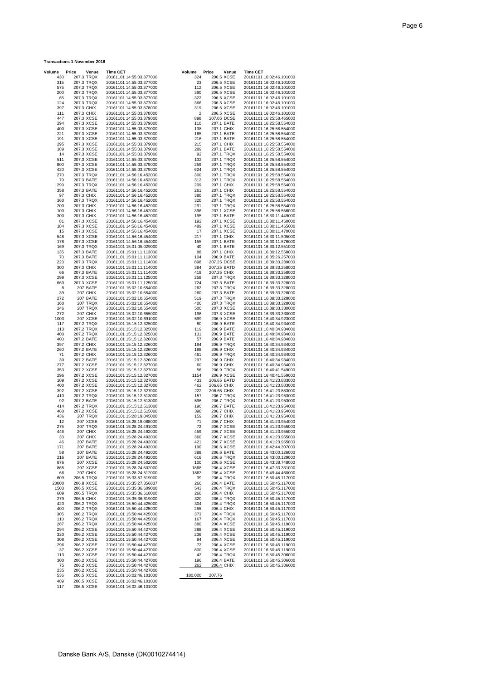#### **Transactions 1 November 2016**

| Volume      | Price      |                             | <b>Time CET</b> |                                                      |                | Price                    |                          | <b>Time CET</b> |                                                      |
|-------------|------------|-----------------------------|-----------------|------------------------------------------------------|----------------|--------------------------|--------------------------|-----------------|------------------------------------------------------|
| 430         |            | Venue<br>207.3 TRQX         |                 | 20161101 14:55:03.377000                             | Volume<br>324  |                          | Venue<br>206.5 XCSE      |                 | 20161101 16:02:46.101000                             |
| 315         |            | 207.3 TRQX                  |                 | 20161101 14:55:03.377000                             | 23             |                          | 206.5 XCSE               |                 | 20161101 16:02:46.101000                             |
| 575         |            | 207.3 TRQX                  |                 | 20161101 14:55:03.377000                             | 112            |                          | 206.5 XCSE               |                 | 20161101 16:02:46.101000                             |
| 200<br>65   |            | 207.3 TRQX<br>207.3 TRQX    |                 | 20161101 14:55:03.377000<br>20161101 14:55:03.377000 | 390<br>322     |                          | 206.5 XCSE<br>206.5 XCSE |                 | 20161101 16:02:46.101000<br>20161101 16:02:46.101000 |
| 124         |            | 207.3 TRQX                  |                 | 20161101 14:55:03.377000                             | 366            |                          | 206.5 XCSE               |                 | 20161101 16:02:46.101000                             |
| 397         |            | 207.3 CHIX                  |                 | 20161101 14:55:03.378000                             | 319            | 206.5 XCSE               |                          |                 | 20161101 16:02:46.101000                             |
| 111         | 207.3 CHIX |                             |                 | 20161101 14:55:03.378000                             | $\overline{2}$ | 206.5 XCSE               |                          |                 | 20161101 16:02:46.101000                             |
| 447         |            | 207.3 XCSE                  |                 | 20161101 14:55:03.379000                             | 898            | 207.05 DCSE              |                          |                 | 20161101 16:25:58.465000                             |
| 294<br>400  |            | 207.3 XCSE<br>207.3 XCSE    |                 | 20161101 14:55:03.379000<br>20161101 14:55:03.379000 | 110<br>138     | 207.1 BATE<br>207.1 CHIX |                          |                 | 20161101 16:25:58.554000<br>20161101 16:25:58.554000 |
| 221         |            | 207.3 XCSE                  |                 | 20161101 14:55:03.379000                             | 165            |                          | 207.1 BATE               |                 | 20161101 16:25:58.554000                             |
| 191         |            | 207.3 XCSE                  |                 | 20161101 14:55:03.379000                             | 216            | 207.1 BATE               |                          |                 | 20161101 16:25:58.554000                             |
| 295         |            | 207.3 XCSE                  |                 | 20161101 14:55:03.379000                             | 215            | 207.1 CHIX               |                          |                 | 20161101 16:25:58.554000                             |
| 189         |            | 207.3 XCSE                  |                 | 20161101 14:55:03.379000<br>20161101 14:55:03.379000 | 289            |                          | 207.1 BATE               |                 | 20161101 16:25:58.554000<br>20161101 16:25:58.554000 |
| 14<br>511   |            | 207.3 XCSE<br>207.3 XCSE    |                 | 20161101 14:55:03.379000                             | 92<br>132      |                          | 207.1 TRQX<br>207.1 TRQX |                 | 20161101 16:25:58.554000                             |
| 800         |            | 207.3 XCSE                  |                 | 20161101 14:55:03.379000                             | 259            |                          | 207.1 TRQX               |                 | 20161101 16:25:58.554000                             |
| 420         |            | 207.3 XCSE                  |                 | 20161101 14:55:03.379000                             | 624            |                          | 207.1 TRQX               |                 | 20161101 16:25:58.554000                             |
| 270         |            | 207.3 TRQX                  |                 | 20161101 14:56:16.452000                             | 300            |                          | 207.1 TRQX               |                 | 20161101 16:25:58.554000                             |
| 79          |            | 207.3 BATE                  |                 | 20161101 14:56:16.452000                             | 312            |                          | 207.1 TRQX               |                 | 20161101 16:25:58.554000                             |
| 299<br>358  |            | 207.3 TRQX<br>207.3 BATE    |                 | 20161101 14:56:16.452000<br>20161101 14:56:16.452000 | 209<br>261     | 207.1 CHIX<br>207.1 CHIX |                          |                 | 20161101 16:25:58.554000<br>20161101 16:25:58.554000 |
| 97          |            | 207.3 CHIX                  |                 | 20161101 14:56:16.452000                             | 380            |                          | 207.1 TRQX               |                 | 20161101 16:25:58.554000                             |
| 360         |            | 207.3 TRQX                  |                 | 20161101 14:56:16.452000                             | 320            |                          | 207.1 TRQX               |                 | 20161101 16:25:58.554000                             |
| 200         | 207.3 CHIX |                             |                 | 20161101 14:56:16.452000                             | 291            |                          | 207.1 TRQX               |                 | 20161101 16:25:58.554000                             |
| 100         | 207.3 CHIX |                             |                 | 20161101 14:56:16.452000                             | 396            |                          | 207.1 XCSE               |                 | 20161101 16:25:58.556000                             |
| 300<br>81   |            | 207.3 CHIX<br>207.3 XCSE    |                 | 20161101 14:56:16.452000<br>20161101 14:56:16.454000 | 195<br>192     | 207.1 BATE               | 207.1 XCSE               |                 | 20161101 16:30:11.449000<br>20161101 16:30:11.460000 |
| 184         |            | 207.3 XCSE                  |                 | 20161101 14:56:16.454000                             | 489            |                          | 207.1 XCSE               |                 | 20161101 16:30:11.465000                             |
| 15          |            | 207.3 XCSE                  |                 | 20161101 14:56:16.454000                             | 17             |                          | 207.1 XCSE               |                 | 20161101 16:30:11.470000                             |
| 548         |            | 207.3 XCSE                  |                 | 20161101 14:56:16.454000                             | 217            | 207.1 CHIX               |                          |                 | 20161101 16:30:11.505000                             |
| 178         |            | 207.3 XCSE                  |                 | 20161101 14:56:16.454000                             | 155            |                          | 207.1 BATE               |                 | 20161101 16:30:11.576000                             |
| 169<br>135  |            | 207.3 TRQX<br>207.3 BATE    |                 | 20161101 15:01:05.029000<br>20161101 15:01:11.113000 | 40<br>88       | 207.1 BATE<br>207.1 CHIX |                          |                 | 20161101 16:30:12.551000<br>20161101 16:30:12.558000 |
| 70          |            | 207.3 BATE                  |                 | 20161101 15:01:11.113000                             | 104            | 206.9 BATE               |                          |                 | 20161101 16:35:26.257000                             |
| 223         |            | 207.3 TRQX                  |                 | 20161101 15:01:11.114000                             | 898            | 207.25 DCSE              |                          |                 | 20161101 16:39:33.239000                             |
| 300         |            | 207.3 CHIX                  |                 | 20161101 15:01:11.114000                             | 384            | 207.25 BATD              |                          |                 | 20161101 16:39:33.258000                             |
| 66          |            | 207.3 BATE                  |                 | 20161101 15:01:11.114000                             | 419            | 207.25 CHIX              |                          |                 | 20161101 16:39:33.258000                             |
| 299<br>669  |            | 207.3 XCSE<br>207.3 XCSE    |                 | 20161101 15:01:11.125000<br>20161101 15:01:11.125000 | 258<br>724     | 207.3 BATE               | 207.3 TRQX               |                 | 20161101 16:39:33.328000<br>20161101 16:39:33.328000 |
| 8           |            | 207 BATE                    |                 | 20161101 15:02:10.654000                             | 262            |                          | 207.3 TRQX               |                 | 20161101 16:39:33.328000                             |
| 39          |            | 207 CHIX                    |                 | 20161101 15:02:10.654000                             | 260            |                          | 207.3 BATE               |                 | 20161101 16:39:33.328000                             |
| 272         |            | 207 BATE                    |                 | 20161101 15:02:10.654000                             | 519            |                          | 207.3 TRQX               |                 | 20161101 16:39:33.328000                             |
| 160         |            | 207 TRQX                    |                 | 20161101 15:02:10.654000                             | 400            |                          | 207.3 TRQX               |                 | 20161101 16:39:33.328000                             |
| 246<br>272  |            | 207 TRQX<br><b>207 CHIX</b> |                 | 20161101 15:02:10.654000<br>20161101 15:02:10.655000 | 500<br>196     |                          | 207.3 XCSE<br>207.3 XCSE |                 | 20161101 16:39:33.330000<br>20161101 16:39:33.330000 |
| 1003        |            | 207 XCSE                    |                 | 20161101 15:02:10.691000                             | 599            |                          | 206.9 XCSE               |                 | 20161101 16:40:34.923000                             |
| 117         |            | 207.2 TRQX                  |                 | 20161101 15:15:12.325000                             | 80             |                          | 206.9 BATE               |                 | 20161101 16:40:34.934000                             |
| 113         |            | 207.2 TRQX                  |                 | 20161101 15:15:12.325000                             | 119            |                          | 206.9 BATE               |                 | 20161101 16:40:34.934000                             |
| 400         |            | 207.2 TRQX                  |                 | 20161101 15:15:12.325000                             | 131            | 206.9 BATE               |                          |                 | 20161101 16:40:34.934000                             |
| 400<br>397  |            | 207.2 BATE<br>207.2 CHIX    |                 | 20161101 15:15:12.326000<br>20161101 15:15:12.326000 | 57<br>194      |                          | 206.9 BATE<br>206.9 TRQX |                 | 20161101 16:40:34.934000<br>20161101 16:40:34.934000 |
| 260         |            | 207.2 BATE                  |                 | 20161101 15:15:12.326000                             | 188            | 206.9 CHIX               |                          |                 | 20161101 16:40:34.934000                             |
| 71          | 207.2 CHIX |                             |                 | 20161101 15:15:12.326000                             | 461            |                          | 206.9 TRQX               |                 | 20161101 16:40:34.934000                             |
| 39          |            | 207.2 BATE                  |                 | 20161101 15:15:12.326000                             | 297            | 206.9 CHIX               |                          |                 | 20161101 16:40:34.934000                             |
| 277         |            | 207.2 XCSE                  |                 | 20161101 15:15:12.327000                             | 60             | 206.9 CHIX               |                          |                 | 20161101 16:40:34.934000                             |
| 353<br>296  |            | 207.2 XCSE<br>207.2 XCSE    |                 | 20161101 15:15:12.327000<br>20161101 15:15:12.327000 | 56<br>1154     |                          | 206.9 TRQX<br>206.9 XCSE |                 | 20161101 16:40:41.549000<br>20161101 16:40:41.559000 |
| 109         |            | 207.2 XCSE                  |                 | 20161101 15:15:12.327000                             | 433            | 206.65 BATD              |                          |                 | 20161101 16:41:23.883000                             |
| 400         |            | 207.2 XCSE                  |                 | 20161101 15:15:12.327000                             | 462            | 206.65 CHIX              |                          |                 | 20161101 16:41:23.883000                             |
| 392         |            | 207.2 XCSE                  |                 | 20161101 15:15:12.327000                             | 222            | 206.65 CHIX              |                          |                 | 20161101 16:41:23.883000                             |
| 410         |            | 207.2 TRQX                  |                 | 20161101 15:15:12.513000                             | 157            |                          | 206.7 TRQX               |                 | 20161101 16:41:23.953000                             |
| 92<br>414   |            | 207.2 BATE<br>207.2 TRQX    |                 | 20161101 15:15:12.513000<br>20161101 15:15:12.513000 | 596<br>190     | 206.7 BATE               | 206.7 TRQX               |                 | 20161101 16:41:23.953000<br>20161101 16:41:23.954000 |
| 460         |            | 207.2 XCSE                  |                 | 20161101 15:15:12.515000                             | 398            | 206.7 CHIX               |                          |                 | 20161101 16:41:23.954000                             |
| 436         |            | 207 TRQX                    |                 | 20161101 15:28:19.045000                             | 159            | 206.7 CHIX               |                          |                 | 20161101 16:41:23.954000                             |
| 12          |            | 207 XCSE                    |                 | 20161101 15:28:19.088000                             | 71             | 206.7 CHIX               |                          |                 | 20161101 16:41:23.954000                             |
| 275         |            | <b>207 TRQX</b>             |                 | 20161101 15:28:24.491000                             | 72             | 206.7 XCSE               |                          |                 | 20161101 16:41:23.955000                             |
| 446<br>33   |            | <b>207 CHIX</b><br>207 CHIX |                 | 20161101 15:28:24.492000<br>20161101 15:28:24.492000 | 459<br>360     |                          | 206.7 XCSE<br>206.7 XCSE |                 | 20161101 16:41:23.955000<br>20161101 16:41:23.955000 |
| 46          |            | 207 BATE                    |                 | 20161101 15:28:24.492000                             | 421            |                          | 206.7 XCSE               |                 | 20161101 16:41:23.955000                             |
| 171         |            | 207 BATE                    |                 | 20161101 15:28:24.492000                             | 190            |                          | 206.6 XCSE               |                 | 20161101 16:42:44.307000                             |
| 58          |            | 207 BATE                    |                 | 20161101 15:28:24.492000                             | 388            |                          | 206.6 BATE               |                 | 20161101 16:43:00.126000                             |
| 216         |            | 207 BATE                    |                 | 20161101 15:28:24.492000                             | 616            |                          | 206.6 TRQX               |                 | 20161101 16:43:00.129000                             |
| 876<br>865  |            | 207 XCSE<br>207 XCSE        |                 | 20161101 15:28:24.502000<br>20161101 15:28:24.502000 | 100<br>1868    |                          | 206.6 XCSE<br>206.4 XCSE |                 | 20161101 16:43:38.748000<br>20161101 16:47:33.331000 |
| 66          |            | 207 CHIX                    |                 | 20161101 15:28:24.512000                             | 1863           |                          | 206.4 XCSE               |                 | 20161101 16:49:44.460000                             |
| 609         |            | 206.5 TRQX                  |                 | 20161101 15:33:57.519000                             | 39             |                          | 206.4 TRQX               |                 | 20161101 16:50:45.117000                             |
| 20000       |            | 206.8 XCSE                  |                 | 20161101 15:35:27.356837                             | 260            |                          | 206.4 BATE               |                 | 20161101 16:50:45.117000                             |
| 1503<br>609 |            | 206.5 XCSE                  |                 | 20161101 15:35:36.609000                             | 543<br>268     |                          | 206.4 TRQX<br>206.4 CHIX |                 | 20161101 16:50:45.117000                             |
| 279         |            | 206.5 TRQX<br>206.5 CHIX    |                 | 20161101 15:35:36.618000<br>20161101 15:35:36.619000 | 320            |                          | 206.4 TRQX               |                 | 20161101 16:50:45.117000<br>20161101 16:50:45.117000 |
| 420         |            | 206.2 TRQX                  |                 | 20161101 15:50:44.425000                             | 304            |                          | 206.4 TRQX               |                 | 20161101 16:50:45.117000                             |
| 400         |            | 206.2 TRQX                  |                 | 20161101 15:50:44.425000                             | 255            | 206.4 CHIX               |                          |                 | 20161101 16:50:45.117000                             |
| 305         |            | 206.2 TRQX                  |                 | 20161101 15:50:44.425000                             | 373            |                          | 206.4 TRQX               |                 | 20161101 16:50:45.117000                             |
| 110         |            | 206.2 TRQX                  |                 | 20161101 15:50:44.425000                             | 167            |                          | 206.4 TRQX<br>206.4 XCSE |                 | 20161101 16:50:45.117000<br>20161101 16:50:45.119000 |
| 287<br>294  |            | 206.2 TRQX<br>206.2 XCSE    |                 | 20161101 15:50:44.425000<br>20161101 15:50:44.427000 | 380<br>388     |                          | 206.4 XCSE               |                 | 20161101 16:50:45.119000                             |
| 320         |            | 206.2 XCSE                  |                 | 20161101 15:50:44.427000                             | 236            |                          | 206.4 XCSE               |                 | 20161101 16:50:45.119000                             |
| 308         |            | 206.2 XCSE                  |                 | 20161101 15:50:44.427000                             | 94             |                          | 206.4 XCSE               |                 | 20161101 16:50:45.119000                             |
| 296         |            | 206.2 XCSE                  |                 | 20161101 15:50:44.427000                             | 72             |                          | 206.4 XCSE               |                 | 20161101 16:50:45.119000                             |
| 37<br>113   |            | 206.2 XCSE<br>206.2 XCSE    |                 | 20161101 15:50:44.427000<br>20161101 15:50:44.427000 | 800<br>43      |                          | 206.4 XCSE<br>206.4 TRQX |                 | 20161101 16:50:45.119000<br>20161101 16:50:45.306000 |
| 300         |            | 206.2 XCSE                  |                 | 20161101 15:50:44.427000                             | 196            |                          | 206.4 BATE               |                 | 20161101 16:50:45.306000                             |
| 75          |            | 206.2 XCSE                  |                 | 20161101 15:50:44.427000                             | 262            | 206.4 CHIX               |                          |                 | 20161101 16:50:45.306000                             |
| 235         |            | 206.2 XCSE                  |                 | 20161101 15:50:44.427000                             |                |                          |                          |                 |                                                      |
| 536         |            | 206.5 XCSE                  |                 | 20161101 16:02:46.101000                             | 180,000        | 207.76                   |                          |                 |                                                      |
| 489<br>117  |            | 206.5 XCSE<br>206.5 XCSE    |                 | 20161101 16:02:46.101000<br>20161101 16:02:46.101000 |                |                          |                          |                 |                                                      |
|             |            |                             |                 |                                                      |                |                          |                          |                 |                                                      |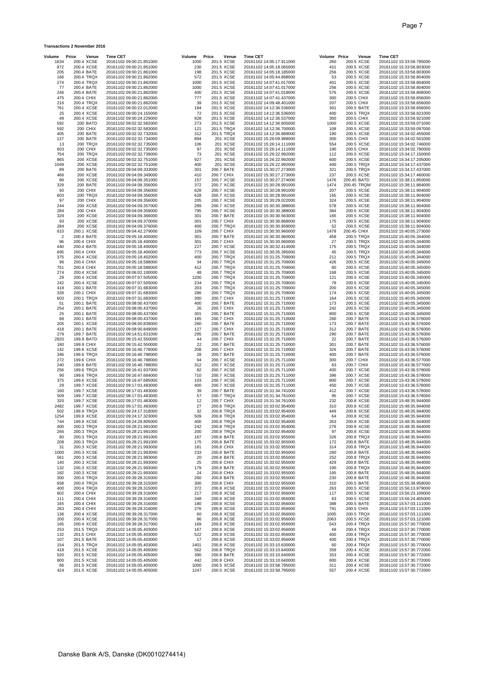### **Transactions 2 November 2016**

| Volume               | Price<br>Venue              | <b>Time CET</b>                                      | Volume       | Price | Venue                    | <b>Time CET</b>                                      | Volume Price |                          | Venue                    | <b>Time CET</b>                                      |
|----------------------|-----------------------------|------------------------------------------------------|--------------|-------|--------------------------|------------------------------------------------------|--------------|--------------------------|--------------------------|------------------------------------------------------|
| 1634<br>872          | 200.4 XCSE<br>200.4 XCSE    | 20161102 09:00:21.851000<br>20161102 09:00:21.851000 | 1000<br>230  |       | 201.5 XCSE<br>201.5 XCSE | 20161102 14:05:17.911000<br>20161102 14:05:18.065000 | 260<br>431   | 200.5 XCSE<br>200.5 XCSE |                          | 20161102 15:33:58.795000<br>20161102 15:33:58.803000 |
| 205                  | 200.4 BATE                  | 20161102 09:00:21.861000                             | 198          |       | 201.5 XCSE               | 20161102 14:05:18.185000                             | 256          | 200.5 XCSE               |                          | 20161102 15:33:58.803000                             |
| 166                  | 200.4 TRQX                  | 20161102 09:00:21.862000                             | 572          |       | 201.5 XCSE               | 20161102 14:05:44.898000                             | 53           | 200.5 XCSE               |                          | 20161102 15:33:58.804000                             |
| 274<br>77            | 200.4 TRQX<br>200.4 BATE    | 20161102 09:00:21.862000<br>20161102 09:00:21.862000 | 1000<br>1000 |       | 201.5 XCSE<br>201.5 XCSE | 20161102 14:07:41.017000<br>20161102 14:07:41.017000 | 401<br>256   | 200.5 XCSE<br>200.5 XCSE |                          | 20161102 15:33:58.804000<br>20161102 15:33:58.804000 |
| 246                  | 200.4 BATE                  | 20161102 09:00:21.862000                             | 400          |       | 201.5 XCSE               | 20161102 14:07:41.018000                             | 576          | 200.5 XCSE               |                          | 20161102 15:33:58.808000                             |
| 475                  | 200.4 CHIX                  | 20161102 09:00:21.862000                             | 777          |       | 201.5 XCSE               | 20161102 14:07:41.437000                             | 300          | 200.5 CHIX               |                          | 20161102 15:33:58.856000                             |
| 216<br>761           | 200.4 TRQX<br>200.4 XCSE    | 20161102 09:00:21.862000<br>20161102 09:00:22.012000 | 39<br>184    |       | 201.5 XCSE<br>201.5 XCSE | 20161102 14:09:48.401000                             | 207<br>301   | 200.5 CHIX<br>200.5 BATE |                          | 20161102 15:33:58.856000                             |
| 25                   | 200.4 XCSE                  | 20161102 09:00:24.155000                             | 72           |       | 201.5 XCSE               | 20161102 14:12:36.536000<br>20161102 14:12:36.536000 | 400          | 200.5 TRQX               |                          | 20161102 15:33:58.856000<br>20161102 15:33:58.921000 |
| 49                   | 200.4 XCSE                  | 20161102 09:00:24.229000                             | 928          |       | 201.5 XCSE               | 20161102 14:12:36.537000                             | 300          | 200.5 CHIX               |                          | 20161102 15:33:58.921000                             |
| 592                  | 200 BATD                    | 20161102 09:02:32.582000                             | 273          |       | 201.5 XCSE               | 20161102 14:12:36.605000                             | 1000         | 200.5 XCSE               |                          | 20161102 15:33:59.071000                             |
| 592<br>405           | 200 CHIX<br>200 BATE        | 20161102 09:02:32.583000<br>20161102 09:02:32.732000 | 121<br>312   |       | 201.5 TRQX<br>201.5 TRQX | 20161102 14:12:36.700000<br>20161102 14:12:36.889000 | 108<br>190   | 200.5 XCSE<br>200.5 XCSE |                          | 20161102 15:33:59.097000<br>20161102 15:34:02.455000 |
| 127                  | 200 BATE                    | 20161102 09:02:32.734000                             | 894          |       | 201 XCSE                 | 20161102 15:26:09.988000                             | 300          | 200.5 CHIX               |                          | 20161102 15:34:02.501000                             |
| 13                   | 200 TRQX                    | 20161102 09:02:32.735000                             | 106          |       | 201 XCSE                 | 20161102 15:26:14.111000                             | 554          | 200.5 XCSE               |                          | 20161102 15:34:02.746000                             |
| 603<br>754           | 200 CHIX<br>200 TRQX        | 20161102 09:02:32.735000<br>20161102 09:02:32.739000 | 97<br>73     |       | 201 XCSE<br>201 XCSE     | 20161102 15:26:14.111000<br>20161102 15:26:22.992000 | 190<br>112   | 200.5 CHIX<br>200.5 XCSE |                          | 20161102 15:34:02.790000<br>20161102 15:34:17.150000 |
| 865                  | 200 XCSE                    | 20161102 09:02:32.751000                             | 927          |       | 201 XCSE                 | 20161102 15:26:22.992000                             | 600          | 200.5 XCSE               |                          | 20161102 15:34:17.205000                             |
| 1049                 | <b>200 XCSE</b>             | 20161102 09:02:32.751000                             | 400          |       | 201 XCSE                 | 20161102 15:26:22.992000                             | 400          | 200.5 TRQX               |                          | 20161102 15:34:17.437000                             |
| 89<br>466            | 200 BATE<br>200 XCSE        | 20161102 09:04:09.333000<br>20161102 09:04:09.349000 | 301<br>410   |       | 200.7 BATE<br>200.7 CHIX | 20161102 15:30:27.273000<br>20161102 15:30:27.273000 | 321<br>237   | 200.5 TRQX<br>200.5 XCSE |                          | 20161102 15:34:17.437000<br>20161102 15:34:17.460000 |
| 89                   | 200 XCSE                    | 20161102 09:04:09.351000                             | 157          |       | 200.7 XCSE               | 20161102 15:30:27.274000                             | 1476         | 200.45 BATD              |                          | 20161102 15:38:11.850000                             |
| 329                  | 200 BATE                    | 20161102 09:04:09.356000                             | 372          |       | 200.7 XCSE               | 20161102 15:30:28.991000                             | 1474         | 200.45 TRQM              |                          | 20161102 15:38:11.884000                             |
| 93<br>603            | 200 CHIX<br>200 TRQX        | 20161102 09:04:09.356000<br>20161102 09:04:09.356000 | 628<br>628   |       | 200.7 XCSE<br>200.7 XCSE | 20161102 15:30:28.991000<br>20161102 15:30:28.991000 | 207<br>165   | 200.5 XCSE<br>200.5 XCSE |                          | 20161102 15:38:11.904000<br>20161102 15:38:11.904000 |
| 97                   | <b>200 CHIX</b>             | 20161102 09:04:09.356000                             | 205          |       | 200.7 XCSE               | 20161102 15:30:29.022000                             | 324          | 200.5 XCSE               |                          | 20161102 15:38:11.904000                             |
| 244                  | 200 XCSE                    | 20161102 09:04:09.357000                             | 289          |       | 200.7 XCSE               | 20161102 15:30:30.388000                             | 578          | 200.5 XCSE               |                          | 20161102 15:38:11.904000                             |
| 284<br>329           | <b>200 CHIX</b><br>200 XCSE | 20161102 09:04:09.359000<br>20161102 09:04:09.366000 | 795<br>301   |       | 200.7 XCSE<br>200.7 BATE | 20161102 15:30:30.388000                             | 384<br>165   | 200.5 XCSE<br>200.5 XCSE |                          | 20161102 15:38:11.904000<br>20161102 15:38:11.904000 |
| 93                   | 200 XCSE                    | 20161102 09:04:09.370000                             | 301          |       | 200.7 CHIX               | 20161102 15:30:30.563000<br>20161102 15:30:30.868000 | 175          | 200.5 XCSE               |                          | 20161102 15:38:11.904000                             |
| 284                  | 200 XCSE                    | 20161102 09:04:09.376000                             | 400          |       | 200.7 TRQX               | 20161102 15:30:30.959000                             | 52           | 200.5 XCSE               |                          | 20161102 15:38:11.904000                             |
| 610                  | 200.1 XCSE                  | 20161102 09:04:42.279000                             | 109          |       | 200.7 CHIX               | 20161102 15:30:30.960000                             | 1478         | 200.45 CHIX              |                          | 20161102 15:40:05.273000                             |
| $\overline{c}$<br>96 | 200.4 BATE<br>200.4 CHIX    | 20161102 09:05:18.400000<br>20161102 09:05:18.400000 | 301<br>301   |       | 200.7 BATE<br>200.7 CHIX | 20161102 15:30:30.960000<br>20161102 15:30:30.960000 | 458<br>27    | 200.5 TRQX<br>200.5 TRQX |                          | 20161102 15:40:05.344000<br>20161102 15:40:05.344000 |
| 440                  | 200.4 BATE                  | 20161102 09:05:18.400000                             | 227          |       | 200.7 XCSE               | 20161102 15:30:32.414000                             | 175          | 200.5 TRQX               |                          | 20161102 15:40:05.344000                             |
| 695                  | 200.4 CHIX                  | 20161102 09:05:18.400000                             | 773          |       | 200.7 XCSE               | 20161102 15:30:35.395000                             | 45           |                          | 200.5 TRQX               | 20161102 15:40:05.344000                             |
| 375<br>96            | 200.4 XCSE<br>200.4 CHIX    | 20161102 09:05:18.402000<br>20161102 09:05:18.588000 | 400<br>34    |       | 200.7 TRQX<br>200.7 TRQX | 20161102 15:31:25.709000<br>20161102 15:31:25.709000 | 211<br>426   | 200.5 XCSE               | 200.5 TRQX               | 20161102 15:40:05.344000<br>20161102 15:40:05.345000 |
| 751                  | 200.4 CHIX                  | 20161102 09:05:18.588000                             | 412          |       | 200.7 TRQX               | 20161102 15:31:25.709000                             | 60           | 200.5 XCSE               |                          | 20161102 15:40:05.345000                             |
| 274                  | 200.4 XCSE                  | 20161102 09:06:02.100000                             | 48           |       | 200.7 TRQX               | 20161102 15:31:25.709000                             | 168          | 200.5 XCSE               |                          | 20161102 15:40:05.345000                             |
| 29<br>242            | 200.4 XCSE<br>200.4 XCSE    | 20161102 09:07:07.505000<br>20161102 09:07:07.505000 | 1200<br>234  |       | 200.7 TRQX<br>200.7 TRQX | 20161102 15:31:25.709000<br>20161102 15:31:25.709000 | 121<br>78    | 200.5 XCSE<br>200.5 XCSE |                          | 20161102 15:40:05.345000<br>20161102 15:40:05.345000 |
| 418                  | 200.1 BATE                  | 20161102 09:07:31.683000                             | 203          |       | 200.7 TRQX               | 20161102 15:31:25.709000                             | 200          | 200.5 XCSE               |                          | 20161102 15:40:05.345000                             |
| 328                  | 200.1 CHIX                  | 20161102 09:07:31.683000                             | 286          |       | 200.7 TRQX               | 20161102 15:31:25.709000                             | 174          | 200.5 XCSE               |                          | 20161102 15:40:05.345000                             |
| 603<br>51            | 200.1 TRQX<br>200.1 BATE    | 20161102 09:07:31.683000                             | 300<br>400   |       | 200.7 CHIX<br>200.7 BATE | 20161102 15:31:25.710000                             | 164<br>173   | 200.5 XCSE<br>200.5 XCSE |                          | 20161102 15:40:05.345000                             |
| 254                  | 200.1 BATE                  | 20161102 09:08:00.437000<br>20161102 09:08:00.437000 | 26           |       | 200.7 CHIX               | 20161102 15:31:25.710000<br>20161102 15:31:25.710000 | 242          | 200.5 XCSE               |                          | 20161102 15:40:05.345000<br>20161102 15:40:05.345000 |
| 25                   | 200.1 BATE                  | 20161102 09:08:00.437000                             | 301          |       | 200.7 BATE               | 20161102 15:31:25.710000                             | 800          | 200.5 XCSE               |                          | 20161102 15:40:05.345000                             |
| 88                   | 200.1 BATE                  | 20161102 09:08:00.437000                             | 185          |       | 200.7 CHIX               | 20161102 15:31:25.710000                             | 260          | 200.7 BATE               |                          | 20161102 15:43:36.576000                             |
| 205<br>418           | 200.1 XCSE<br>200.1 BATE    | 20161102 09:08:00.839000<br>20161102 09:08:00.849000 | 260<br>127   |       | 200.7 BATE<br>200.7 CHIX | 20161102 15:31:25.710000<br>20161102 15:31:25.710000 | 173<br>312   | 200.7 BATE<br>200.7 BATE |                          | 20161102 15:43:36.576000<br>20161102 15:43:36.576000 |
| 279                  | 199.7 BATE                  | 20161102 09:14:51.631000                             | 295          |       | 200.7 BATE               | 20161102 15:31:25.710000                             | 290          | 200.7 BATE               |                          | 20161102 15:43:36.576000                             |
| 2820                 | 199.9 BATD                  | 20161102 09:15:42.550000                             | 44           |       | 200.7 CHIX               | 20161102 15:31:25.710000                             | 22           | 200.7 BATE               |                          | 20161102 15:43:36.576000                             |
| 180<br>142           | 199.9 CHIX<br>199.6 XCSE    | 20161102 09:15:42.550000<br>20161102 09:16:40.778000 | 22<br>208    |       | 200.7 BATE<br>200.7 CHIX | 20161102 15:31:25.710000<br>20161102 15:31:25.710000 | 301<br>326   | 200.7 BATE<br>200.7 BATE |                          | 20161102 15:43:36.576000<br>20161102 15:43:36.576000 |
| 346                  | 199.6 TRQX                  | 20161102 09:16:40.788000                             | 28           |       | 200.7 BATE               | 20161102 15:31:25.710000                             | 400          | 200.7 BATE               |                          | 20161102 15:43:36.576000                             |
| 272                  | 199.6 CHIX                  | 20161102 09:16:40.788000                             | 94           |       | 200.7 XCSE               | 20161102 15:31:25.711000                             | 300          | 200.7 CHIX               |                          | 20161102 15:43:36.577000                             |
| 240<br>256           | 199.6 BATE<br>199.6 TRQX    | 20161102 09:16:40.788000<br>20161102 09:16:41.937000 | 312<br>82    |       | 200.7 XCSE<br>200.7 XCSE | 20161102 15:31:25.711000<br>20161102 15:31:25.711000 | 63<br>400    | 200.7 CHIX<br>200.7 XCSE |                          | 20161102 15:43:36.577000<br>20161102 15:43:36.578000 |
| 90                   | 199.6 TRQX                  | 20161102 09:16:47.684000                             | 710          |       | 200.7 XCSE               | 20161102 15:31:25.711000                             | 396          | 200.7 XCSE               |                          | 20161102 15:43:36.578000                             |
| 375                  | 199.6 XCSE                  | 20161102 09:16:47.685000                             | 103          |       | 200.7 XCSE               | 20161102 15:31:25.711000                             | 800          | 200.7 XCSE               |                          | 20161102 15:43:36.578000                             |
| 29                   | 199.7 XCSE                  | 20161102 09:17:01.483000                             | 400          |       | 200.7 XCSE<br>200.7 BATE | 20161102 15:31:25.711000                             | 450          | 200.7 XCSE               |                          | 20161102 15:43:36.578000                             |
| 160<br>509           | 199.7 XCSE<br>199.7 XCSE    | 20161102 09:17:01.483000<br>20161102 09:17:01.483000 | 39<br>57     |       | 200.7 TRQX               | 20161102 15:31:34.741000<br>20161102 15:31:34.761000 | 412<br>95    | 200.7 XCSE<br>200.7 XCSE |                          | 20161102 15:43:36.578000<br>20161102 15:43:36.578000 |
| 320                  | 199.7 XCSE                  | 20161102 09:17:01.483000                             | 12           |       | 200.7 CHIX               | 20161102 15:31:34.761000                             | 232          | 200.8 XCSE               |                          | 20161102 15:48:35.944000                             |
| 2482                 | 199.7 XCSE                  | 20161102 09:17:01.483000                             | 27           |       | 200.8 TRQX               | 20161102 15:33:02.954000                             | 310          | 200.8 XCSE               |                          | 20161102 15:48:35.944000                             |
| 502<br>1254          | 199.9 TRQX<br>199.9 XCSE    | 20161102 09:24:17.318000<br>20161102 09:24:17.323000 | 32<br>509    |       | 200.8 TRQX<br>200.8 TRQX | 20161102 15:33:02.954000<br>20161102 15:33:02.954000 | 449<br>64    | 200.8 XCSE<br>200.8 XCSE |                          | 20161102 15:48:35.944000<br>20161102 15:48:35.944000 |
| 744                  | 199.9 XCSE                  | 20161102 09:24:29.805000                             | 400          |       | 200.8 TRQX               | 20161102 15:33:02.954000                             | 263          | 200.8 XCSE               |                          | 20161102 15:48:35.944000                             |
| 400                  | 200.3 TRQX                  | 20161102 09:28:21.991000                             | 242          |       | 200.8 TRQX               | 20161102 15:33:02.954000                             | 276          | 200.8 XCSE               |                          | 20161102 15:48:35.944000                             |
| 266<br>80            | 200.3 TRQX<br>200.3 TRQX    | 20161102 09:28:21.991000<br>20161102 09:28:21.991000 | 200<br>167   |       | 200.8 TRQX<br>200.8 BATE | 20161102 15:33:02.954000<br>20161102 15:33:02.955000 | 97<br>326    |                          | 200.8 XCSE<br>200.8 TRQX | 20161102 15:48:35.944000<br>20161102 15:48:35.944000 |
| 208                  | 200.3 TRQX                  | 20161102 09:28:21.991000                             | 175          |       | 200.8 BATE               | 20161102 15:33:02.955000                             | 172          | 200.8 BATE               |                          | 20161102 15:48:35.944000                             |
| 31                   | 200.3 XCSE                  | 20161102 09:28:21.993000                             | 181          |       | 200.8 CHIX               | 20161102 15:33:02.955000                             | 314          |                          | 200.8 TRQX               | 20161102 15:48:35.944000                             |
| 1000<br>561          | 200.3 XCSE<br>200.3 XCSE    | 20161102 09:28:21.993000<br>20161102 09:28:21.993000 | 233<br>20    |       | 200.8 BATE<br>200.8 BATE | 20161102 15:33:02.955000<br>20161102 15:33:02.955000 | 260<br>252   | 200.8 BATE<br>200.8 TRQX |                          | 20161102 15:48:35.944000<br>20161102 15:48:35.944000 |
| 140                  | 200.3 XCSE                  | 20161102 09:28:21.993000                             | 25           |       | 200.8 CHIX               | 20161102 15:33:02.955000                             | 429          | 200.8 BATE               |                          | 20161102 15:48:35.944000                             |
| 132                  | 200.3 XCSE                  | 20161102 09:28:21.993000                             | 179          |       | 200.8 BATE               | 20161102 15:33:02.955000                             | 190          |                          | 200.8 TRQX               | 20161102 15:48:35.944000                             |
| 182                  | 200.3 XCSE                  | 20161102 09:28:21.993000<br>20161102 09:39:28.315000 | 24           |       | 200.8 CHIX<br>200.8 BATE | 20161102 15:33:02.955000<br>20161102 15:33:02.955000 | 195          | 200.8 BATE               |                          | 20161102 15:48:35.944000                             |
| 300<br>658           | 200.4 TRQX<br>200.4 TRQX    | 20161102 09:39:28.315000                             | 260<br>300   |       | 200.8 CHIX               | 20161102 15:33:02.955000                             | 230<br>310   | 200.8 BATE<br>200.5 BATE |                          | 20161102 15:48:35.944000<br>20161102 15:55:39.958000 |
| 400                  | 200.4 TRQX                  | 20161102 09:39:28.315000                             | 372          |       | 200.8 XCSE               | 20161102 15:33:02.956000                             | 263          | 200.5 XCSE               |                          | 20161102 15:56:13.979000                             |
| 602                  | 200.4 CHIX                  | 20161102 09:39:28.316000                             | 217          |       | 200.8 XCSE               | 20161102 15:33:02.956000                             | 117          | 200.5 XCSE               |                          | 20161102 15:56:23.109000                             |
| 111<br>165           | 200.4 CHIX<br>200.4 CHIX    | 20161102 09:39:28.316000<br>20161102 09:39:28.316000 | 348<br>180   |       | 200.8 XCSE<br>200.8 XCSE | 20161102 15:33:02.956000<br>20161102 15:33:02.956000 | 63<br>388    | 200.5 XCSE<br>200.5 BATE |                          | 20161102 15:56:24.405000<br>20161102 15:57:03.111000 |
| 263                  | 200.4 CHIX                  | 20161102 09:39:28.316000                             | 276          |       | 200.8 XCSE               | 20161102 15:33:02.956000                             | 791          | 200.5 CHIX               |                          | 20161102 15:57:03.111000                             |
| 136                  | 200.4 XCSE                  | 20161102 09:39:28.317000                             | 60           |       | 200.8 XCSE               | 20161102 15:33:02.956000                             | 1005         |                          | 200.5 TRQX               | 20161102 15:57:03.111000                             |
| 200                  | 200.4 XCSE<br>200.4 XCSE    | 20161102 09:39:28.317000                             | 86           |       | 200.8 XCSE<br>200.8 XCSE | 20161102 15:33:02.956000                             | 2063         |                          | 200.5 XCSE               | 20161102 15:57:03.121000                             |
| 165<br>253           | 201.5 TRQX                  | 20161102 09:39:28.317000<br>20161102 14:05:05.403000 | 169<br>167   |       | 200.8 XCSE               | 20161102 15:33:02.956000<br>20161102 15:33:02.956000 | 543<br>48    |                          | 200.4 TRQX<br>200.4 TRQX | 20161102 15:57:30.770000<br>20161102 15:57:30.770000 |
| 132                  | 201.5 CHIX                  | 20161102 14:05:05.403000                             | 522          |       | 200.8 XCSE               | 20161102 15:33:02.956000                             | 400          |                          | 200.4 TRQX               | 20161102 15:57:30.770000                             |
| 107                  | 201.5 BATE                  | 20161102 14:05:05.403000                             | 17           |       | 200.8 XCSE               | 20161102 15:33:02.956000                             | 400          |                          | 200.4 TRQX               | 20161102 15:57:30.770000                             |
| 154<br>418           | 201.5 TRQX<br>201.5 XCSE    | 20161102 14:05:05.403000<br>20161102 14:05:05.405000 | 1401<br>562  |       | 200.8 XCSE<br>200.8 TRQX | 20161102 15:33:10.630000<br>20161102 15:33:10.640000 | 60<br>359    | 200.4 XCSE               | 200.4 TRQX               | 20161102 15:57:30.770000<br>20161102 15:57:30.772000 |
| 520                  | 201.5 XCSE                  | 20161102 14:05:05.405000                             | 390          |       | 200.8 BATE               | 20161102 15:33:10.640000                             | 353          | 200.4 XCSE               |                          | 20161102 15:57:30.772000                             |
| 800                  | 201.5 XCSE                  | 20161102 14:05:05.405000                             | 442          |       | 200.8 CHIX               | 20161102 15:33:10.640000                             | 800          | 200.4 XCSE               |                          | 20161102 15:57:30.772000                             |
| 86<br>424            | 201.5 XCSE<br>201.5 XCSE    | 20161102 14:05:05.405000<br>20161102 14:05:05.405000 | 1000<br>1247 |       | 200.5 XCSE<br>200.5 XCSE | 20161102 15:33:58.795000<br>20161102 15:33:58.795000 | 311<br>557   | 200.4 XCSE<br>200.4 XCSE |                          | 20161102 15:57:30.772000<br>20161102 15:57:30.772000 |
|                      |                             |                                                      |              |       |                          |                                                      |              |                          |                          |                                                      |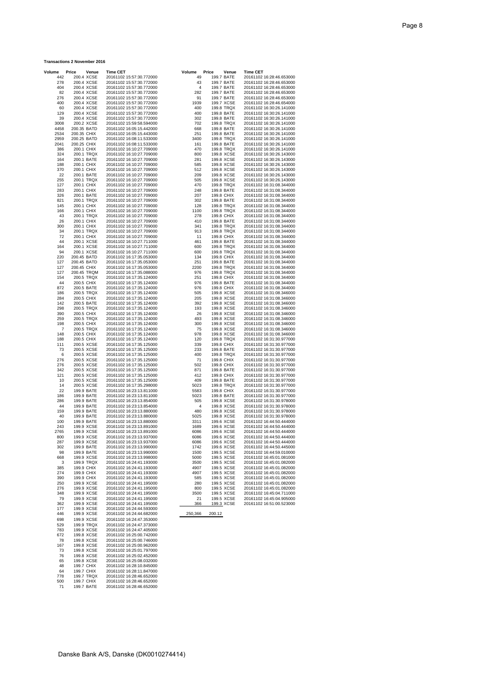#### **Transactions 2 November 2016**

| Volume       | Price                      | Venue                    | <b>Time CET</b>                                      | Volume       | Price      | Venue                    | <b>Time CET</b>                                      |
|--------------|----------------------------|--------------------------|------------------------------------------------------|--------------|------------|--------------------------|------------------------------------------------------|
| 442<br>278   |                            | 200.4 XCSE<br>200.4 XCSE | 20161102 15:57:30.772000<br>20161102 15:57:30.772000 | 49<br>43     |            | 199.7 BATE<br>199.7 BATE | 20161102 16:28:46.653000<br>20161102 16:28:46.653000 |
| 404          |                            | 200.4 XCSE               | 20161102 15:57:30.772000                             | 4            |            | 199.7 BATE               | 20161102 16:28:46.653000                             |
| 82           |                            | 200.4 XCSE               | 20161102 15:57:30.772000                             | 282          |            | 199.7 BATE               | 20161102 16:28:46.653000                             |
| 276          |                            | 200.4 XCSE               | 20161102 15:57:30.772000                             | 91           |            | 199.7 BATE               | 20161102 16:28:46.653000                             |
| 400<br>60    |                            | 200.4 XCSE<br>200.4 XCSE | 20161102 15:57:30.772000<br>20161102 15:57:30.772000 | 1939<br>400  |            | 199.7 XCSE<br>199.8 TRQX | 20161102 16:28:46.654000<br>20161102 16:30:26.141000 |
| 129          |                            | 200.4 XCSE               | 20161102 15:57:30.772000                             | 400          |            | 199.8 BATE               | 20161102 16:30:26.141000                             |
| 39           |                            | 200.4 XCSE               | 20161102 15:57:30.772000                             | 302          |            | 199.8 BATE               | 20161102 16:30:26.141000                             |
| 3008         |                            | 200.2 XCSE               | 20161102 15:59:58.594000                             | 702          |            | 199.8 TRQX               | 20161102 16:30:26.141000                             |
| 4458<br>2534 | 200.35 BATD                |                          | 20161102 16:05:15.442000                             | 668<br>251   |            | 199.8 BATE               | 20161102 16:30:26.141000                             |
| 2959         | 200.35 CHIX<br>200.25 BATD |                          | 20161102 16:05:15.443000<br>20161102 16:08:11.533000 | 3400         |            | 199.8 BATE<br>199.8 TRQX | 20161102 16:30:26.141000<br>20161102 16:30:26.141000 |
| 2041         | 200.25 CHIX                |                          | 20161102 16:08:11.533000                             | 161          |            | 199.8 BATE               | 20161102 16:30:26.141000                             |
| 386          |                            | 200.1 CHIX               | 20161102 16:10:27.709000                             | 470          |            | 199.8 TRQX               | 20161102 16:30:26.141000                             |
| 324          |                            | 200.1 TRQX               | 20161102 16:10:27.709000                             | 800          |            | 199.8 XCSE               | 20161102 16:30:26.143000                             |
| 164<br>188   |                            | 200.1 BATE<br>200.1 CHIX | 20161102 16:10:27.709000<br>20161102 16:10:27.709000 | 281<br>585   |            | 199.8 XCSE<br>199.8 XCSE | 20161102 16:30:26.143000<br>20161102 16:30:26.143000 |
| 370          | 200.1 CHIX                 |                          | 20161102 16:10:27.709000                             | 512          |            | 199.8 XCSE               | 20161102 16:30:26.143000                             |
| 22           |                            | 200.1 BATE               | 20161102 16:10:27.709000                             | 209          |            | 199.8 XCSE               | 20161102 16:30:26.143000                             |
| 255          |                            | 200.1 TRQX               | 20161102 16:10:27.709000                             | 505<br>470   |            | 199.8 XCSE               | 20161102 16:30:26.143000                             |
| 127<br>283   |                            | 200.1 CHIX<br>200.1 CHIX | 20161102 16:10:27.709000<br>20161102 16:10:27.709000 | 248          |            | 199.8 TRQX<br>199.8 BATE | 20161102 16:31:08.344000<br>20161102 16:31:08.344000 |
| 326          |                            | 200.1 BATE               | 20161102 16:10:27.709000                             | 207          |            | 199.8 CHIX               | 20161102 16:31:08.344000                             |
| 821          |                            | 200.1 TRQX               | 20161102 16:10:27.709000                             | 302          |            | 199.8 BATE               | 20161102 16:31:08.344000                             |
| 145          |                            | 200.1 CHIX               | 20161102 16:10:27.709000                             | 128          |            | 199.8 TRQX               | 20161102 16:31:08.344000                             |
| 166<br>43    |                            | 200.1 CHIX<br>200.1 TRQX | 20161102 16:10:27.709000<br>20161102 16:10:27.709000 | 1100<br>278  |            | 199.8 TRQX<br>199.8 CHIX | 20161102 16:31:08.344000<br>20161102 16:31:08.344000 |
| 26           |                            | 200.1 CHIX               | 20161102 16:10:27.709000                             | 410          |            | 199.8 BATE               | 20161102 16:31:08.344000                             |
| 300          |                            | 200.1 CHIX               | 20161102 16:10:27.709000                             | 341          |            | 199.8 TRQX               | 20161102 16:31:08.344000                             |
| 34           |                            | 200.1 TRQX               | 20161102 16:10:27.709000                             | 913          |            | 199.8 TRQX               | 20161102 16:31:08.344000                             |
| 72<br>44     |                            | 200.1 CHIX<br>200.1 XCSE | 20161102 16:10:27.709000<br>20161102 16:10:27.711000 | 11<br>461    |            | 199.8 CHIX<br>199.8 BATE | 20161102 16:31:08.344000<br>20161102 16:31:08.344000 |
| 164          |                            | 200.1 XCSE               | 20161102 16:10:27.711000                             | 600          |            | 199.8 TRQX               | 20161102 16:31:08.344000                             |
| 94           |                            | 200.1 XCSE               | 20161102 16:10:27.711000                             | 600          |            | 199.8 TRQX               | 20161102 16:31:08.344000                             |
| 220          | 200.45 BATD                |                          | 20161102 16:17:35.053000                             | 134          | 199.8 CHIX |                          | 20161102 16:31:08.344000                             |
| 127<br>127   | 200.45 BATD<br>200.45 CHIX |                          | 20161102 16:17:35.053000<br>20161102 16:17:35.053000 | 251<br>2200  |            | 199.8 BATE<br>199.8 TRQX | 20161102 16:31:08.344000<br>20161102 16:31:08.344000 |
| 127          |                            | 200.45 TRQM              | 20161102 16:17:35.088000                             | 976          |            | 199.8 TRQX               | 20161102 16:31:08.344000                             |
| 154          |                            | 200.5 TRQX               | 20161102 16:17:35.124000                             | 251          |            | 199.8 CHIX               | 20161102 16:31:08.344000                             |
| 44           |                            | 200.5 CHIX               | 20161102 16:17:35.124000                             | 976          |            | 199.8 BATE               | 20161102 16:31:08.344000                             |
| 872<br>186   |                            | 200.5 BATE<br>200.5 TRQX | 20161102 16:17:35.124000<br>20161102 16:17:35.124000 | 976<br>505   |            | 199.8 CHIX<br>199.8 XCSE | 20161102 16:31:08.344000<br>20161102 16:31:08.346000 |
| 284          |                            | 200.5 CHIX               | 20161102 16:17:35.124000                             | 205          |            | 199.8 XCSE               | 20161102 16:31:08.346000                             |
| 142          |                            | 200.5 BATE               | 20161102 16:17:35.124000                             | 392          |            | 199.8 XCSE               | 20161102 16:31:08.346000                             |
| 298          |                            | 200.5 TRQX               | 20161102 16:17:35.124000                             | 193          |            | 199.8 XCSE               | 20161102 16:31:08.346000                             |
| 390<br>259   |                            | 200.5 CHIX<br>200.5 TRQX | 20161102 16:17:35.124000<br>20161102 16:17:35.124000 | 26<br>493    |            | 199.8 XCSE<br>199.8 XCSE | 20161102 16:31:08.346000<br>20161102 16:31:08.346000 |
| 198          |                            | 200.5 CHIX               | 20161102 16:17:35.124000                             | 300          |            | 199.8 XCSE               | 20161102 16:31:08.346000                             |
| 7            |                            | 200.5 TRQX               | 20161102 16:17:35.124000                             | 75           |            | 199.8 XCSE               | 20161102 16:31:08.346000                             |
| 148          |                            | 200.5 CHIX               | 20161102 16:17:35.124000                             | 978          |            | 199.8 XCSE               | 20161102 16:31:08.346000                             |
| 188<br>111   |                            | 200.5 CHIX<br>200.5 XCSE | 20161102 16:17:35.124000<br>20161102 16:17:35.125000 | 120<br>339   | 199.8 CHIX | 199.8 TRQX               | 20161102 16:31:30.977000<br>20161102 16:31:30.977000 |
| 73           |                            | 200.5 XCSE               | 20161102 16:17:35.125000                             | 233          |            | 199.8 BATE               | 20161102 16:31:30.977000                             |
| 6            |                            | 200.5 XCSE               | 20161102 16:17:35.125000                             | 400          |            | 199.8 TRQX               | 20161102 16:31:30.977000                             |
| 276          |                            | 200.5 XCSE               | 20161102 16:17:35.125000                             | 71           | 199.8 CHIX |                          | 20161102 16:31:30.977000                             |
| 276<br>342   |                            | 200.5 XCSE<br>200.5 XCSE | 20161102 16:17:35.125000<br>20161102 16:17:35.125000 | 502<br>871   |            | 199.8 CHIX<br>199.8 BATE | 20161102 16:31:30.977000<br>20161102 16:31:30.977000 |
| 121          |                            | 200.5 XCSE               | 20161102 16:17:35.125000                             | 412          |            | 199.8 CHIX               | 20161102 16:31:30.977000                             |
| 10           |                            | 200.5 XCSE               | 20161102 16:17:35.125000                             | 409          |            | 199.8 BATE               | 20161102 16:31:30.977000                             |
| 14           |                            | 200.5 XCSE               | 20161102 16:17:35.298000                             | 5023         |            | 199.8 TRQX               | 20161102 16:31:30.977000<br>20161102 16:31:30.977000 |
| 22<br>186    |                            | 199.9 BATE<br>199.9 BATE | 20161102 16:23:13.811000<br>20161102 16:23:13.811000 | 5583<br>5023 |            | 199.8 CHIX<br>199.8 BATE | 20161102 16:31:30.977000                             |
| 286          |                            | 199.9 BATE               | 20161102 16:23:13.854000                             | 505          |            | 199.8 XCSE               | 20161102 16:31:30.978000                             |
| 44           |                            | 199.9 BATE               | 20161102 16:23:13.854000                             | 4            |            | 199.8 XCSE               | 20161102 16:31:30.978000                             |
| 159          |                            | 199.9 BATE               | 20161102 16:23:13.880000                             | 480          |            | 199.8 XCSE               | 20161102 16:31:30.978000                             |
| 40<br>100    |                            | 199.9 BATE<br>199.9 BATE | 20161102 16:23:13.880000<br>20161102 16:23:13.880000 | 5025<br>3311 |            | 199.8 XCSE<br>199.6 XCSE | 20161102 16:31:30.978000<br>20161102 16:44:50.444000 |
| 243          |                            | 199.9 XCSE               | 20161102 16:23:13.891000                             | 1689         |            | 199.6 XCSE               | 20161102 16:44:50.444000                             |
| 2765         |                            | 199.9 XCSE               | 20161102 16:23:13.891000                             | 6086         |            | 199.6 XCSE               | 20161102 16:44:50.444000                             |
| 800<br>287   |                            | 199.9 XCSE<br>199.9 XCSE | 20161102 16:23:13.937000<br>20161102 16:23:13.937000 | 6086<br>6086 |            | 199.6 XCSE<br>199.6 XCSE | 20161102 16:44:50.444000<br>20161102 16:44:50.444000 |
| 302          |                            | 199.9 BATE               | 20161102 16:23:13.990000                             | 1742         |            | 199.6 XCSE               | 20161102 16:44:50.445000                             |
| 98           |                            | 199.9 BATE               | 20161102 16:23:13.990000                             | 1500         |            | 199.5 XCSE               | 20161102 16:44:59.010000                             |
| 668          |                            | 199.9 XCSE               | 20161102 16:23:13.998000                             | 5000         |            | 199.5 XCSE               | 20161102 16:45:01.081000                             |
| 3<br>385     |                            | 199.9 TRQX<br>199.9 CHIX | 20161102 16:24:41.193000<br>20161102 16:24:41.193000 | 3500<br>4907 |            | 199.5 XCSE<br>199.5 XCSE | 20161102 16:45:01.082000<br>20161102 16:45:01.082000 |
| 274          |                            | 199.9 CHIX               | 20161102 16:24:41.193000                             | 4907         |            | 199.5 XCSE               | 20161102 16:45:01.082000                             |
| 390          |                            | 199.9 CHIX               | 20161102 16:24:41.193000                             | 585          |            | 199.5 XCSE               | 20161102 16:45:01.082000                             |
| 250          |                            | 199.9 XCSE               | 20161102 16:24:41.195000                             | 280          |            | 199.5 XCSE               | 20161102 16:45:01.082000                             |
| 276<br>348   |                            | 199.9 XCSE<br>199.9 XCSE | 20161102 16:24:41.195000<br>20161102 16:24:41.195000 | 800<br>3500  |            | 199.5 XCSE<br>199.5 XCSE | 20161102 16:45:01.082000<br>20161102 16:45:04.711000 |
| 79           |                            | 199.9 XCSE               | 20161102 16:24:41.195000                             | 21           |            | 199.5 XCSE               | 20161102 16:45:04.905000                             |
| 362          |                            | 199.9 XCSE               | 20161102 16:24:41.195000                             | 366          |            | 199.3 XCSE               | 20161102 16:51:00.523000                             |
| 177          |                            | 199.9 XCSE               | 20161102 16:24:44.593000                             |              |            |                          |                                                      |
| 446          |                            | 199.9 XCSE               | 20161102 16:24:44.682000                             | 250,366      | 200.12     |                          |                                                      |
| 698<br>529   |                            | 199.9 XCSE<br>199.9 TRQX | 20161102 16:24:47.353000<br>20161102 16:24:47.373000 |              |            |                          |                                                      |
| 783          |                            | 199.9 XCSE               | 20161102 16:24:47.405000                             |              |            |                          |                                                      |
| 672          |                            | 199.8 XCSE               | 20161102 16:25:00.742000                             |              |            |                          |                                                      |
| 78           |                            | 199.8 XCSE               | 20161102 16:25:00.746000                             |              |            |                          |                                                      |
| 167<br>73    |                            | 199.8 XCSE<br>199.8 XCSE | 20161102 16:25:00.962000<br>20161102 16:25:01.797000 |              |            |                          |                                                      |
| 76           |                            | 199.8 XCSE               | 20161102 16:25:02.452000                             |              |            |                          |                                                      |
| 65           |                            | 199.8 XCSE               | 20161102 16:25:08.032000                             |              |            |                          |                                                      |
| 48           |                            | 199.7 CHIX               | 20161102 16:28:10.845000                             |              |            |                          |                                                      |
| 64<br>778    |                            | 199.7 CHIX<br>199.7 TRQX | 20161102 16:28:11.847000<br>20161102 16:28:46.652000 |              |            |                          |                                                      |
| 500          |                            | 199.7 CHIX               | 20161102 16:28:46.652000                             |              |            |                          |                                                      |
| 71           |                            | 199.7 BATE               | 20161102 16:28:46.652000                             |              |            |                          |                                                      |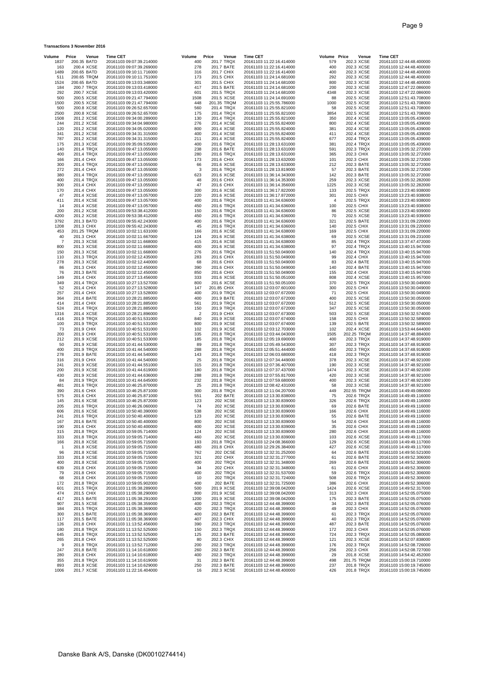### **Transactions 3 November 2016**

| Volume               | Price<br>Venue            | <b>Time CET</b>                                      | Volume                | Price<br>Venue              | Time CET                                             | Volume         | Price                     | Venue | <b>Time CET</b>                                      |
|----------------------|---------------------------|------------------------------------------------------|-----------------------|-----------------------------|------------------------------------------------------|----------------|---------------------------|-------|------------------------------------------------------|
| 1837                 | 200.35 BATD               | 20161103 09:07:39.214000                             | 400                   | 201.7 TRQX                  | 20161103 11:22:16.414000                             | 579            | 202.3 XCSE                |       | 20161103 12:44:48.400000                             |
| 163<br>1489          | 200.4 XCSE<br>200.65 BATD | 20161103 09:07:39.269000<br>20161103 09:10:11.716000 | 278<br>316            | 201.7 BATE<br>201.7 CHIX    | 20161103 11:22:16.414000<br>20161103 11:22:16.414000 | 400<br>400     | 202.3 XCSE<br>202.3 XCSE  |       | 20161103 12:44:48.400000<br>20161103 12:44:48.400000 |
| 511                  | 200.65 TRQM               | 20161103 09:10:11.751000                             | 173                   | 201.5 CHIX                  | 20161103 11:24:14.681000                             | 292            | 202.3 XCSE                |       | 20161103 12:44:48.400000                             |
| 1524                 | 200.65 BATD               | 20161103 09:13:03.348000                             | 301                   | 201.5 CHIX                  | 20161103 11:24:14.681000                             | 800            | 202.3 XCSE                |       | 20161103 12:44:48.400000                             |
| 184                  | 200.7 TRQX                | 20161103 09:13:03.418000                             | 417                   | 201.5 BATE                  | 20161103 11:24:14.681000                             | 200            | 202.3 XCSE                |       | 20161103 12:47:22.086000                             |
| 292                  | 200.7 XCSE                | 20161103 09:13:03.420000                             | 601                   | 201.5 TRQX                  | 20161103 11:24:14.681000                             | 4348           | 202.3 XCSE                |       | 20161103 12:47:22.086000                             |
| 500<br>1500          | 200.5 XCSE<br>200.5 XCSE  | 20161103 09:21:47.794000<br>20161103 09:21:47.794000 | 1508<br>448           | 201.5 XCSE<br>201.35 TRQM   | 20161103 11:24:14.691000<br>20161103 11:25:55.786000 | 88<br>1000     | 202.5 XCSE<br>202.5 XCSE  |       | 20161103 12:51:43.708000<br>20161103 12:51:43.708000 |
| 500                  | 200.8 XCSE                | 20161103 09:26:52.657000                             | 560                   | 201.4 TRQX                  | 20161103 11:25:55.821000                             | 58             | 202.5 XCSE                |       | 20161103 12:51:43.708000                             |
| 2500                 | 200.8 XCSE                | 20161103 09:26:52.657000                             | 175                   | 201.4 TRQX                  | 20161103 11:25:55.821000                             | 3854           | 202.5 XCSE                |       | 20161103 12:51:43.708000                             |
| 1508                 | 201.2 XCSE                | 20161103 09:34:00.289000                             | 130                   | 201.4 TRQX                  | 20161103 11:25:55.821000                             | 350            | 202.4 XCSE                |       | 20161103 13:05:05.439000                             |
| 244                  | 201.2 XCSE                | 20161103 09:34:04.980000                             | 276                   | 201.4 XCSE                  | 20161103 11:25:55.824000                             | 800            | 202.4 XCSE                |       | 20161103 13:05:05.439000                             |
| 120<br>341           | 201.2 XCSE<br>201.2 XCSE  | 20161103 09:34:05.020000<br>20161103 09:34:31.315000 | 800<br>400            | 201.4 XCSE<br>201.4 XCSE    | 20161103 11:25:55.824000<br>20161103 11:25:55.824000 | 381<br>411     | 202.4 XCSE<br>202.4 XCSE  |       | 20161103 13:05:05.439000<br>20161103 13:05:05.439000 |
| 787                  | 201.2 XCSE                | 20161103 09:34:31.315000                             | 211                   | 201.4 XCSE                  | 20161103 11:25:55.824000                             | 677            | 202.4 TRQX                |       | 20161103 13:05:05.439000                             |
| 175                  | 201.3 XCSE                | 20161103 09:35:09.535000                             | 400                   | 201.6 TRQX                  | 20161103 11:28:13.631000                             | 381            | 202.4 TRQX                |       | 20161103 13:05:05.439000                             |
| 140                  | 201.4 TRQX                | 20161103 09:47:13.055000                             | 238                   | 201.6 BATE                  | 20161103 11:28:13.631000                             | 591            | 202.3 TRQX                |       | 20161103 13:05:32.272000                             |
| 400                  | 201.4 TRQX                | 20161103 09:47:13.055000                             | 280                   | 201.6 TRQX                  | 20161103 11:28:13.631000                             | 365            | 202.3 CHIX                |       | 20161103 13:05:32.272000                             |
| 166<br>300           | 201.4 CHIX<br>201.4 TRQX  | 20161103 09:47:13.055000<br>20161103 09:47:13.055000 | 173<br>66             | 201.6 CHIX<br>201.6 XCSE    | 20161103 11:28:13.632000<br>20161103 11:28:13.633000 | 101<br>212     | 202.3 CHIX<br>202.3 BATE  |       | 20161103 13:05:32.272000<br>20161103 13:05:32.272000 |
| 272                  | 201.4 CHIX                | 20161103 09:47:13.055000                             | 3                     | 201.6 TRQX                  | 20161103 11:28:13.819000                             | 57             | 202.3 BATE                |       | 20161103 13:05:32.272000                             |
| 380                  | 201.4 TRQX                | 20161103 09:47:13.055000                             | 623                   | 201.6 XCSE                  | 20161103 11:36:14.343000                             | 142            | 202.3 BATE                |       | 20161103 13:05:32.272000                             |
| 400                  | 201.4 TRQX                | 20161103 09:47:13.055000                             | 48                    | 201.6 CHIX                  | 20161103 11:36:14.353000                             | 259            | 202.3 XCSE                |       | 20161103 13:05:32.282000                             |
| 300                  | 201.4 CHIX                | 20161103 09:47:13.055000                             | 47                    | 201.6 CHIX                  | 20161103 11:36:14.356000                             | 1225           | 202.3 XCSE                |       | 20161103 13:05:32.282000                             |
| 170<br>47            | 201.4 CHIX<br>201.4 XCSE  | 20161103 09:47:13.055000<br>20161103 09:47:13.057000 | 300<br>220            | 201.6 XCSE<br>201.6 XCSE    | 20161103 11:36:17.822000<br>20161103 11:36:17.872000 | 133<br>301     | 202.5 TRQX<br>202.5 CHIX  |       | 20161103 13:23:40.938000<br>20161103 13:23:40.938000 |
| 411                  | 201.4 XCSE                | 20161103 09:47:13.057000                             | 400                   | 201.6 TRQX                  | 20161103 11:41:34.636000                             | $\overline{4}$ | 202.5 TRQX                |       | 20161103 13:23:40.938000                             |
| 14                   | 201.4 XCSE                | 20161103 09:47:13.057000                             | 450                   | 201.6 TRQX                  | 20161103 11:41:34.636000                             | 100            | 202.5 CHIX                |       | 20161103 13:23:40.938000                             |
| 200                  | 201.2 XCSE                | 20161103 09:53:38.412000                             | 150                   | 201.6 TRQX                  | 20161103 11:41:34.636000                             | 86             | 202.5 XCSE                |       | 20161103 13:23:40.939000                             |
| 4200                 | 201.2 XCSE                | 20161103 09:53:38.412000                             | 450                   | 201.6 TRQX                  | 20161103 11:41:34.636000                             | 70             | 202.5 XCSE                |       | 20161103 13:23:40.939000                             |
| 3792<br>1208         | 201.3 BATD<br>201.3 CHIX  | 20161103 09:55:42.243000<br>20161103 09:55:42.243000 | 400<br>45             | 201.6 TRQX<br>201.6 TRQX    | 20161103 11:41:34.636000<br>20161103 11:41:34.636000 | 321<br>140     | 202.5 BATE<br>202.5 CHIX  |       | 20161103 13:31:09.220000<br>20161103 13:31:09.220000 |
| 453                  | 201.25 TRQM               | 20161103 10:02:11.631000                             | 166                   | 201.6 XCSE                  | 20161103 11:41:34.638000                             | 169            | 202.5 CHIX                |       | 20161103 13:31:09.220000                             |
| 40                   | 201.3 CHIX                | 20161103 10:02:11.667000                             | 124                   | 201.6 XCSE                  | 20161103 11:41:34.638000                             | 69             | 202.5 XCSE                |       | 20161103 13:31:09.231000                             |
| 7                    | 201.3 XCSE                | 20161103 10:02:11.668000                             | 415                   | 201.6 XCSE                  | 20161103 11:41:34.638000                             | 85             | 202.4 TRQX                |       | 20161103 13:37:47.472000                             |
| 800                  | 201.3 XCSE                | 20161103 10:02:11.668000                             | 400                   | 201.6 XCSE                  | 20161103 11:41:34.638000                             | 97             | 202.4 TRQX                |       | 20161103 13:40:15.947000                             |
| 150<br>110           | 201.3 XCSE<br>201.3 TRQX  | 20161103 10:02:11.668000<br>20161103 10:02:12.435000 | 276<br>283            | 201.6 TRQX<br>201.6 CHIX    | 20161103 11:51:50.049000<br>20161103 11:51:50.049000 | 140<br>99      | 202.4 TRQX<br>202.4 CHIX  |       | 20161103 13:40:15.947000<br>20161103 13:40:15.947000 |
| 278                  | 201.3 XCSE                | 20161103 10:02:12.440000                             | 68                    | 201.6 CHIX                  | 20161103 11:51:50.049000                             | 83             | 202.4 BATE                |       | 20161103 13:40:15.947000                             |
| 86                   | 201.3 CHIX                | 20161103 10:02:12.450000                             | 390                   | 201.6 CHIX                  | 20161103 11:51:50.049000                             | 140            | 202.4 BATE                |       | 20161103 13:40:15.947000                             |
| 76                   | 201.3 BATE                | 20161103 10:02:12.450000                             | 850                   | 201.6 CHIX                  | 20161103 11:51:50.049000                             | 155            | 202.4 CHIX                |       | 20161103 13:40:15.947000                             |
| 149                  | 201.4 CHIX                | 20161103 10:27:13.456000                             | 333                   | 201.6 XCSE                  | 20161103 11:51:50.051000                             | 808            | 202.4 XCSE                |       | 20161103 13:40:15.957000                             |
| 349<br>52            | 201.4 TRQX<br>201.4 CHIX  | 20161103 10:27:13.527000<br>20161103 10:27:13.528000 | 800<br>147            | 201.6 XCSE<br>201.85 CHIX   | 20161103 11:51:50.051000<br>20161103 12:03:07.601000 | 370<br>300     | 202.5 TRQX<br>202.5 CHIX  |       | 20161103 13:50:30.049000<br>20161103 13:50:30.049000 |
| 257                  | 201.4 CHIX                | 20161103 10:27:13.528000                             | 400                   | 201.9 TRQX                  | 20161103 12:03:07.672000                             | 71             | 202.5 CHIX                |       | 20161103 13:50:30.049000                             |
| 364                  | 201.4 BATE                | 20161103 10:28:21.885000                             | 400                   | 201.9 BATE                  | 20161103 12:03:07.672000                             | 400            | 202.5 XCSE                |       | 20161103 13:50:30.050000                             |
| 414                  | 201.4 CHIX                | 20161103 10:28:21.885000                             | 561                   | 201.9 TRQX                  | 20161103 12:03:07.672000                             | 512            | 202.5 XCSE                |       | 20161103 13:50:30.050000                             |
| 524<br>1316          | 201.4 TRQX<br>201.4 XCSE  | 20161103 10:28:21.885000<br>20161103 10:28:21.896000 | 150<br>$\overline{c}$ | 201.9 TRQX<br>201.9 CHIX    | 20161103 12:03:07.672000<br>20161103 12:03:07.673000 | 347<br>503     | 202.5 XCSE<br>202.5 XCSE  |       | 20161103 13:50:30.050000<br>20161103 13:50:32.574000 |
| 416                  | 201.9 TRQX                | 20161103 10:40:51.531000                             | 840                   | 201.9 XCSE                  | 20161103 12:03:07.674000                             | 158            | 202.5 CHIX                |       | 20161103 13:50:32.589000                             |
| 100                  | 201.9 TRQX                | 20161103 10:40:51.531000                             | 800                   | 201.9 XCSE                  | 20161103 12:03:07.674000                             | 139            | 202.5 BATE                |       | 20161103 13:50:32.589000                             |
| 73                   | 201.9 CHIX                | 20161103 10:40:51.531000                             | 102                   | 201.9 XCSE                  | 20161103 12:03:12.703000                             | 102            | 202.4 XCSE                |       | 20161103 13:53:44.644000                             |
| 200<br>212           | 201.9 CHIX<br>201.9 XCSE  | 20161103 10:40:51.531000<br>20161103 10:40:51.533000 | 335<br>185            | 201.8 TRQX<br>201.8 TRQX    | 20161103 12:03:44.043000<br>20161103 12:05:19.690000 | 1505<br>400    | 202.25 TRQM<br>202.3 TRQX |       | 20161103 14:37:48.884000<br>20161103 14:37:48.919000 |
| 50                   | 201.9 XCSE                | 20161103 10:41:44.530000                             | 89                    | 201.8 TRQX                  | 20161103 12:05:49.543000                             | 307            | 202.3 TRQX                |       | 20161103 14:37:48.919000                             |
| 400                  | 201.9 TRQX                | 20161103 10:41:44.540000                             | 288                   | 201.8 TRQX                  | 20161103 12:05:51.444000                             | 450            | 202.3 TRQX                |       | 20161103 14:37:48.919000                             |
| 278                  | 201.9 BATE                | 20161103 10:41:44.540000                             | 143                   | 201.8 TRQX                  | 20161103 12:06:03.680000                             | 418            | 202.3 TRQX                |       | 20161103 14:37:48.919000                             |
| 316<br>241           | 201.9 CHIX<br>201.9 XCSE  | 20161103 10:41:44.540000                             | 25<br>315             | 201.8 TRQX<br>201.8 TRQX    | 20161103 12:07:34.449000                             | 378<br>190     | 202.3 XCSE<br>202.3 XCSE  |       | 20161103 14:37:48.921000                             |
| 200                  | 201.9 XCSE                | 20161103 10:41:44.551000<br>20161103 10:41:44.619000 | 180                   | 201.8 TRQX                  | 20161103 12:07:36.407000<br>20161103 12:07:37.437000 | 1474           | 202.3 XCSE                |       | 20161103 14:37:48.921000<br>20161103 14:37:48.921000 |
| 430                  | 201.9 XCSE                | 20161103 10:41:44.636000                             | 288                   | 201.8 TRQX                  | 20161103 12:07:55.817000                             | 420            | 202.3 XCSE                |       | 20161103 14:37:48.921000                             |
| 84                   | 201.9 TRQX                | 20161103 10:41:44.645000                             | 232                   | 201.8 TRQX                  | 20161103 12:07:59.680000                             | 400            | 202.3 XCSE                |       | 20161103 14:37:48.921000                             |
| 481                  | 201.6 TRQX                | 20161103 10:46:25.870000                             | 25                    | 201.8 TRQX                  | 20161103 12:08:42.431000                             | 58             | 202.3 XCSE                |       | 20161103 14:37:48.921000                             |
| 390<br>575           | 201.6 CHIX<br>201.6 CHIX  | 20161103 10:46:25.871000<br>20161103 10:46:25.871000 | 300<br>551            | 201.8 TRQX<br>202 BATE      | 20161103 12:11:04.207000<br>20161103 12:13:30.838000 | 449<br>75      | 202.55 TRQM<br>202.6 TRQX |       | 20161103 14:49:49.080000<br>20161103 14:49:49.116000 |
| 145                  | 201.6 XCSE                | 20161103 10:46:25.872000                             | 123                   | 202 XCSE                    | 20161103 12:13:30.839000                             | 326            | 202.6 TRQX                |       | 20161103 14:49:49.116000                             |
| 205                  | 201.6 TRQX                | 20161103 10:46:26.060000                             | 74                    | <b>202 XCSE</b>             | 20161103 12:13:30.839000                             | 69             | 202.6 BATE                |       | 20161103 14:49:49.116000                             |
| 606                  | 201.6 XCSE                | 20161103 10:50:40.390000                             | 538                   | <b>202 XCSE</b>             | 20161103 12:13:30.839000                             | 166            | 202.6 CHIX                |       | 20161103 14:49:49.116000                             |
| 241<br>167           | 201.6 TRQX<br>201.6 BATE  | 20161103 10:50:40.400000<br>20161103 10:50:40.400000 | 123<br>800            | 202 XCSE<br>202 XCSE        | 20161103 12:13:30.839000<br>20161103 12:13:30.839000 | 55<br>54       | 202.6 BATE<br>202.6 CHIX  |       | 20161103 14:49:49.116000<br>20161103 14:49:49.116000 |
| 190                  | 201.6 CHIX                | 20161103 10:50:40.400000                             | 400                   | 202 XCSE                    | 20161103 12:13:30.839000                             | 35             | 202.6 CHIX                |       | 20161103 14:49:49.116000                             |
| 315                  | 201.8 TRQX                | 20161103 10:59:05.714000                             | 124                   | 202 XCSE                    | 20161103 12:13:30.839000                             | 280            | 202.6 CHIX                |       | 20161103 14:49:49.116000                             |
| 333                  | 201.8 TRQX                | 20161103 10:59:05.714000                             | 460                   | 202 XCSE                    | 20161103 12:13:30.839000                             | 103            | 202.6 XCSE                |       | 20161103 14:49:49.117000                             |
| 166                  | 201.8 XCSE                | 20161103 10:59:05.715000                             | 193                   | 201.8 TRQX                  | 20161103 12:24:08.366000                             | 129            | 202.6 XCSE                |       | 20161103 14:49:49.117000                             |
| $\overline{1}$<br>96 | 201.8 XCSE<br>201.8 XCSE  | 20161103 10:59:05.715000<br>20161103 10:59:05.715000 | 480<br>762            | 201.8 CHIX<br>202 DCSE      | 20161103 12:29:26.384000<br>20161103 12:32:31.252000 | 427<br>64      | 202.6 XCSE<br>202.6 BATE  |       | 20161103 14:49:49.117000<br>20161103 14:49:50.521000 |
| 333                  | 201.8 XCSE                | 20161103 10:59:05.715000                             | 321                   | <b>202 CHIX</b>             | 20161103 12:32:31.277000                             | 61             | 202.6 BATE                |       | 20161103 14:49:52.306000                             |
| 400                  | 201.8 XCSE                | 20161103 10:59:05.715000                             | 400                   | 202 TRQX                    | 20161103 12:32:31.348000                             | 269            | 202.6 BATE                |       | 20161103 14:49:52.306000                             |
| 639                  | 201.8 CHIX                | 20161103 10:59:05.715000                             | 34                    | 202 CHIX                    | 20161103 12:32:31.348000                             | 61             | 202.6 CHIX                |       | 20161103 14:49:52.306000                             |
| 79<br>68             | 201.8 CHIX<br>201.8 CHIX  | 20161103 10:59:05.715000<br>20161103 10:59:05.715000 | 400<br>10             | <b>202 TRQX</b><br>202 TRQX | 20161103 12:32:31.537000<br>20161103 12:32:31.724000 | 59<br>508      | 202.6 TRQX<br>202.6 TRQX  |       | 20161103 14:49:52.306000<br>20161103 14:49:52.306000 |
| 172                  | 201.8 TRQX                | 20161103 10:59:05.902000                             | 400                   | 202 BATE                    | 20161103 12:32:31.725000                             | 386            | 202.6 CHIX                |       | 20161103 14:49:52.306000                             |
| 601                  | 201.5 TRQX                | 20161103 11:05:38.289000                             | 500                   | 201.9 XCSE                  | 20161103 12:39:08.042000                             | 1424           | 202.6 XCSE                |       | 20161103 14:49:52.317000                             |
| 474                  | 201.5 CHIX                | 20161103 11:05:38.290000                             | 800                   | 201.9 XCSE                  | 20161103 12:39:08.042000                             | 313            | 202.3 CHIX                |       | 20161103 14:52:05.075000                             |
| 417                  | 201.5 BATE                | 20161103 11:05:38.291000                             | 1200                  | 201.9 XCSE                  | 20161103 12:39:08.042000                             | 175            | 202.3 BATE                |       | 20161103 14:52:05.075000                             |
| 907<br>184           | 201.5 XCSE<br>201.5 TRQX  | 20161103 11:05:38.359000<br>20161103 11:05:38.369000 | 400<br>420            | 202.3 TRQX<br>202.3 TRQX    | 20161103 12:44:48.399000<br>20161103 12:44:48.399000 | 34<br>49       | 202.3 BATE<br>202.3 CHIX  |       | 20161103 14:52:05.076000<br>20161103 14:52:05.076000 |
| 300                  | 201.5 BATE                | 20161103 11:05:38.369000                             | 400                   | 202.3 BATE                  | 20161103 12:44:48.399000                             | 61             | 202.3 TRQX                |       | 20161103 14:52:05.076000                             |
| 117                  | 201.5 BATE                | 20161103 11:05:38.369000                             | 407                   | 202.3 CHIX                  | 20161103 12:44:48.399000                             | 40             | 202.3 TRQX                |       | 20161103 14:52:05.076000                             |
| 126                  | 201.8 CHIX                | 20161103 11:13:52.456000                             | 390                   | 202.3 TRQX                  | 20161103 12:44:48.399000                             | 487            | 202.3 BATE                |       | 20161103 14:52:05.076000                             |
| 180<br>645           | 201.8 TRQX<br>201.8 TRQX  | 20161103 11:13:52.525000<br>20161103 11:13:52.525000 | 150<br>125            | 202.3 TRQX<br>202.3 BATE    | 20161103 12:44:48.399000<br>20161103 12:44:48.399000 | 172<br>724     | 202.3 CHIX<br>202.3 TRQX  |       | 20161103 14:52:05.076000<br>20161103 14:52:05.080000 |
| 265                  | 201.8 CHIX                | 20161103 11:13:52.525000                             | 80                    | 202.3 CHIX                  | 20161103 12:44:48.399000                             | 121            | 202.3 XCSE                |       | 20161103 14:52:07.838000                             |
| 9                    | 201.8 TRQX                | 20161103 11:13:52.712000                             | 200                   | 202.3 TRQX                  | 20161103 12:44:48.399000                             | 176            | 202.3 TRQX                |       | 20161103 14:52:08.726000                             |
| 247                  | 201.8 BATE                | 20161103 11:14:10.618000                             | 260                   | 202.3 BATE                  | 20161103 12:44:48.399000                             | 256            | 202.3 CHIX                |       | 20161103 14:52:08.727000                             |
| 280                  | 201.8 CHIX                | 20161103 11:14:10.618000                             | 400                   | 202.3 TRQX                  | 20161103 12:44:48.399000                             | 29             | 201.8 XCSE                |       | 20161103 14:54:42.452000                             |
| 355<br>893           | 201.8 TRQX<br>201.8 XCSE  | 20161103 11:14:10.619000<br>20161103 11:14:10.629000 | 31<br>250             | 202.3 BATE<br>202.3 BATE    | 20161103 12:44:48.399000<br>20161103 12:44:48.399000 | 498<br>237     | 201.75 TRQM<br>201.8 TRQX |       | 20161103 15:00:19.710000<br>20161103 15:00:19.745000 |
| 1006                 | 201.7 XCSE                | 20161103 11:22:16.404000                             | 16                    | 202.3 XCSE                  | 20161103 12:44:48.400000                             | 426            | 201.8 TRQX                |       | 20161103 15:00:19.745000                             |
|                      |                           |                                                      |                       |                             |                                                      |                |                           |       |                                                      |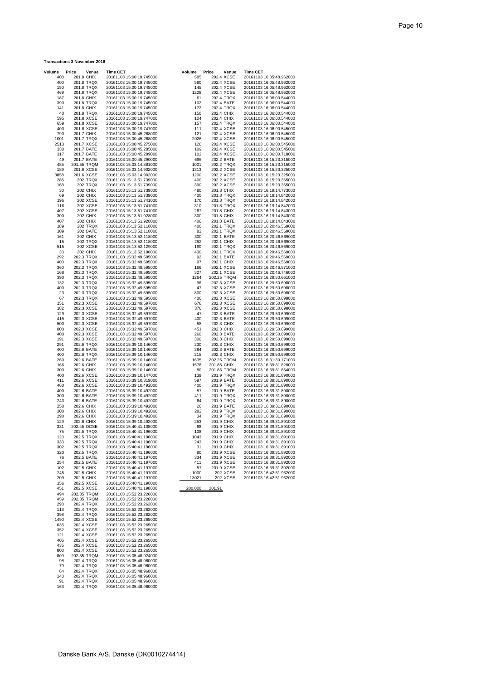## **Transactions 3 November 2016**

| Volume       | Price                      | Venue                | <b>Time CET</b>                                      | Volume       | Price                      | Venue    | <b>Time CET</b>                                      |
|--------------|----------------------------|----------------------|------------------------------------------------------|--------------|----------------------------|----------|------------------------------------------------------|
| 408<br>400   | 201.8 CHIX<br>201.8 TRQX   |                      | 20161103 15:00:19.745000<br>20161103 15:00:19.745000 | 585<br>590   | 202.4 XCSE<br>202.4 XCSE   |          | 20161103 16:05:48.962000<br>20161103 16:05:48.962000 |
| 150          | 201.8 TRQX                 |                      | 20161103 15:00:19.745000                             | 145          | 202.4 XCSE                 |          | 20161103 16:05:48.962000                             |
| 469<br>187   | 201.8 TRQX<br>201.8 CHIX   |                      | 20161103 15:00:19.745000<br>20161103 15:00:19.745000 | 1228<br>61   | 202.4 XCSE<br>202.4 TRQX   |          | 20161103 16:05:48.962000<br>20161103 16:06:00.544000 |
| 390          | 201.8 TRQX                 |                      | 20161103 15:00:19.745000                             | 102          | 202.4 BATE                 |          | 20161103 16:06:00.544000                             |
| 141<br>40    | 201.8 CHIX<br>201.8 TRQX   |                      | 20161103 15:00:19.745000<br>20161103 15:00:19.745000 | 172<br>150   | 202.4 TRQX<br>202.4 CHIX   |          | 20161103 16:06:00.544000<br>20161103 16:06:00.544000 |
| 595          | 201.8 XCSE                 |                      | 20161103 15:00:19.747000                             | 104          | 202.4 CHIX                 |          | 20161103 16:06:00.544000                             |
| 659<br>400   | 201.8 XCSE<br>201.8 XCSE   |                      | 20161103 15:00:19.747000<br>20161103 15:00:19.747000 | 157<br>111   | 202.4 TRQX<br>202.4 XCSE   |          | 20161103 16:06:00.544000<br>20161103 16:06:00.545000 |
| 790          | 201.7 CHIX                 |                      | 20161103 15:00:45.268000                             | 121          | 202.4 XCSE                 |          | 20161103 16:06:00.545000                             |
| 1001<br>2513 | 201.7 TRQX<br>201.7 XCSE   |                      | 20161103 15:00:45.268000<br>20161103 15:00:45.275000 | 2026<br>128  | 202.4 XCSE<br>202.4 XCSE   |          | 20161103 16:06:00.545000<br>20161103 16:06:00.545000 |
| 330          | 201.7 BATE                 |                      | 20161103 15:00:45.285000                             | 109          | 202.4 XCSE                 |          | 20161103 16:06:00.545000                             |
| 317<br>49    | 201.7 BATE<br>201.7 BATE   |                      | 20161103 15:00:45.289000<br>20161103 15:00:45.290000 | 102<br>696   | 202.4 XCSE<br>202.2 BATE   |          | 20161103 16:06:00.718000<br>20161103 16:15:23.315000 |
| 485<br>189   | 201.55 TRQM<br>201.6 XCSE  |                      | 20161103 15:03:14.881000                             | 1001<br>1313 | 202.2 TRQX                 |          | 20161103 16:15:23.315000                             |
| 3858         | 201.6 XCSE                 |                      | 20161103 15:03:14.902000<br>20161103 15:03:14.902000 | 1200         | 202.2 XCSE<br>202.2 XCSE   |          | 20161103 16:15:23.325000<br>20161103 16:15:23.325000 |
| 285<br>168   |                            | 202 TRQX<br>202 TRQX | 20161103 15:13:51.739000<br>20161103 15:13:51.739000 | 400<br>390   | 202.2 XCSE<br>202.2 XCSE   |          | 20161103 16:15:23.365000<br>20161103 16:15:23.365000 |
| 30           |                            | 202 CHIX             | 20161103 15:13:51.739000                             | 480          | 201.8 CHIX                 |          | 20161103 16:19:14.773000                             |
| 69<br>196    |                            | 202 CHIX<br>202 XCSE | 20161103 15:13:51.739000<br>20161103 15:13:51.741000 | 400<br>170   | 201.8 TRQX<br>201.8 TRQX   |          | 20161103 16:19:14.842000<br>20161103 16:19:14.842000 |
| 116          |                            | 202 XCSE             | 20161103 15:13:51.741000                             | 310          | 201.8 TRQX                 |          | 20161103 16:19:14.842000                             |
| 407<br>300   |                            | 202 XCSE<br>202 CHIX | 20161103 15:13:51.741000<br>20161103 15:13:51.928000 | 267<br>300   | 201.8 CHIX<br>201.8 CHIX   |          | 20161103 16:19:14.843000<br>20161103 16:19:14.843000 |
| 407          |                            | 202 CHIX             | 20161103 15:13:51.928000                             | 400          | 201.8 BATE                 |          | 20161103 16:19:14.843000                             |
| 189<br>109   |                            | 202 TRQX<br>202 BATE | 20161103 15:13:52.118000<br>20161103 15:13:52.118000 | 400<br>82    | 202.1 TRQX<br>202.1 TRQX   |          | 20161103 16:20:46.569000<br>20161103 16:20:46.569000 |
| 161          |                            | <b>202 CHIX</b>      | 20161103 15:13:52.118000                             | 300          | 202.1 BATE                 |          | 20161103 16:20:46.569000                             |
| 15<br>515    |                            | 202 TRQX<br>202 XCSE | 20161103 15:13:52.118000<br>20161103 15:13:52.129000 | 252<br>190   | 202.1 CHIX<br>202.1 TRQX   |          | 20161103 16:20:46.569000<br>20161103 16:20:46.569000 |
| 33           |                            | 202 CHIX             | 20161103 15:13:52.190000                             | 430          | 202.1 TRQX                 |          | 20161103 16:20:46.569000                             |
| 292<br>400   | 202.3 TRQX<br>202.3 TRQX   |                      | 20161103 15:32:49.595000<br>20161103 15:32:49.595000 | 92<br>97     | 202.1 BATE<br>202.1 CHIX   |          | 20161103 16:20:46.569000<br>20161103 16:20:46.569000 |
| 360          | 202.3 TRQX                 |                      | 20161103 15:32:49.595000                             | 166          | 202.1 XCSE                 |          | 20161103 16:20:46.571000                             |
| 168<br>390   | 202.3 TRQX<br>202.3 TRQX   |                      | 20161103 15:32:49.595000<br>20161103 15:32:49.595000 | 327<br>1264  | 202.1 XCSE<br>202.25 TRQM  |          | 20161103 16:20:46.746000<br>20161103 16:29:50.661000 |
| 132          | 202.3 TRQX                 |                      | 20161103 15:32:49.595000                             | 96           | 202.3 XCSE                 |          | 20161103 16:29:50.698000                             |
| 400<br>23    | 202.3 TRQX<br>202.3 TRQX   |                      | 20161103 15:32:49.595000<br>20161103 15:32:49.595000 | 47<br>800    | 202.3 XCSE<br>202.3 XCSE   |          | 20161103 16:29:50.698000<br>20161103 16:29:50.698000 |
| 67           | 202.3 TRQX                 |                      | 20161103 15:32:49.595000                             | 400          | 202.3 XCSE                 |          | 20161103 16:29:50.698000                             |
| 151<br>182   | 202.3 XCSE<br>202.3 XCSE   |                      | 20161103 15:32:49.597000<br>20161103 15:32:49.597000 | 678<br>370   | 202.3 XCSE<br>202.3 XCSE   |          | 20161103 16:29:50.698000<br>20161103 16:29:50.698000 |
| 129          | 202.3 XCSE                 |                      | 20161103 15:32:49.597000                             | 47           | 202.3 BATE                 |          | 20161103 16:29:50.699000                             |
| 415<br>500   | 202.3 XCSE<br>202.3 XCSE   |                      | 20161103 15:32:49.597000<br>20161103 15:32:49.597000 | 400<br>58    | 202.3 BATE<br>202.3 CHIX   |          | 20161103 16:29:50.699000<br>20161103 16:29:50.699000 |
| 800<br>400   | 202.3 XCSE<br>202.3 XCSE   |                      | 20161103 15:32:49.597000<br>20161103 15:32:49.597000 | 451<br>260   | 202.3 CHIX<br>202.3 BATE   |          | 20161103 16:29:50.699000<br>20161103 16:29:50.699000 |
| 191          | 202.3 XCSE                 |                      | 20161103 15:32:49.597000                             | 300          | 202.3 CHIX                 |          | 20161103 16:29:50.699000                             |
| 291<br>400   | 202.6 TRQX<br>202.6 BATE   |                      | 20161103 15:39:10.146000<br>20161103 15:39:10.146000 | 230<br>384   | 202.3 CHIX<br>202.3 BATE   |          | 20161103 16:29:50.699000<br>20161103 16:29:50.699000 |
| 400          | 202.6 TRQX                 |                      | 20161103 15:39:10.146000                             | 215          | 202.3 CHIX                 |          | 20161103 16:29:50.699000                             |
| 260<br>166   | 202.6 BATE<br>202.6 CHIX   |                      | 20161103 15:39:10.146000<br>20161103 15:39:10.146000 | 1635<br>1578 | 202.25 TRQM<br>201.85 CHIX |          | 20161103 16:31:30.171000<br>20161103 16:39:31.820000 |
| 300          | 202.6 CHIX                 |                      | 20161103 15:39:10.146000                             | 80           | 201.85 TRQM                |          | 20161103 16:39:31.854000                             |
| 400<br>411   | 202.6 XCSE<br>202.6 XCSE   |                      | 20161103 15:39:10.147000<br>20161103 15:39:10.319000 | 139<br>597   | 201.9 TRQX<br>201.9 BATE   |          | 20161103 16:39:31.890000<br>20161103 16:39:31.890000 |
| 460          | 202.6 XCSE                 |                      | 20161103 15:39:10.492000                             | 400          | 201.9 TRQX                 |          | 20161103 16:39:31.890000                             |
| 400<br>300   | 202.6 BATE<br>202.6 BATE   |                      | 20161103 15:39:10.492000<br>20161103 15:39:10.492000 | 57<br>411    | 201.9 BATE<br>201.9 TRQX   |          | 20161103 16:39:31.890000<br>20161103 16:39:31.890000 |
| 243          | 202.6 BATE                 |                      | 20161103 15:39:10.492000                             | 64           | 201.9 TRQX                 |          | 20161103 16:39:31.890000                             |
| 250<br>300   | 202.6 CHIX<br>202.6 CHIX   |                      | 20161103 15:39:10.492000<br>20161103 15:39:10.492000 | 20<br>282    | 201.9 BATE<br>201.9 TRQX   |          | 20161103 16:39:31.890000<br>20161103 16:39:31.890000 |
| 290<br>129   | 202.6 CHIX                 |                      | 20161103 15:39:10.492000                             | 34<br>253    | 201.9 TRQX                 |          | 20161103 16:39:31.890000                             |
| 331          | 202.6 CHIX<br>202.45 DCSE  |                      | 20161103 15:39:10.492000<br>20161103 15:40:41.108000 | 68           | 201.9 CHIX<br>201.9 CHIX   |          | 20161103 16:39:31.891000<br>20161103 16:39:31.891000 |
| 75<br>123    | 202.5 TRQX<br>202.5 TRQX   |                      | 20161103 15:40:41.196000<br>20161103 15:40:41.196000 | 108<br>1043  | 201.9 CHIX<br>201.9 CHIX   |          | 20161103 16:39:31.891000<br>20161103 16:39:31.891000 |
| 333          | 202.5 TRQX                 |                      | 20161103 15:40:41.196000                             | 243          | 201.9 CHIX                 |          | 20161103 16:39:31.891000                             |
| 302<br>320   | 202.5 TRQX<br>202.5 TRQX   |                      | 20161103 15:40:41.196000<br>20161103 15:40:41.196000 | 31<br>80     | 201.9 CHIX<br>201.9 XCSE   |          | 20161103 16:39:31.891000<br>20161103 16:39:31.892000 |
| 76           | 202.5 BATE                 |                      | 20161103 15:40:41.197000                             | 334          | 201.9 XCSE                 |          | 20161103 16:39:31.892000                             |
| 254<br>102   | 202.5 BATE<br>202.5 CHIX   |                      | 20161103 15:40:41.197000<br>20161103 15:40:41.197000 | 411<br>57    | 201.9 XCSE<br>201.9 XCSE   |          | 20161103 16:39:31.892000<br>20161103 16:39:31.892000 |
| 245          | 202.5 CHIX                 |                      | 20161103 15:40:41.197000                             | 1000         |                            | 202 XCSE | 20161103 16:42:51.962000                             |
| 209<br>156   | 202.5 CHIX<br>202.5 XCSE   |                      | 20161103 15:40:41.197000<br>20161103 15:40:41.198000 | 13021        |                            | 202_XCSE | 20161103 16:42:51.962000                             |
| 451          | 202.5 XCSE                 |                      | 20161103 15:40:41.198000                             | 200,000      | 201.91                     |          |                                                      |
| 494<br>459   | 202.35 TRQM<br>202.35 TRQM |                      | 20161103 15:52:23.226000<br>20161103 15:52:23.226000 |              |                            |          |                                                      |
| 298          | 202.4 TRQX                 |                      | 20161103 15:52:23.262000                             |              |                            |          |                                                      |
| 113<br>398   | 202.4 TRQX<br>202.4 TRQX   |                      | 20161103 15:52:23.262000<br>20161103 15:52:23.262000 |              |                            |          |                                                      |
| 1490         | 202.4 XCSE                 |                      | 20161103 15:52:23.265000                             |              |                            |          |                                                      |
| 635<br>352   | 202.4 XCSE<br>202.4 XCSE   |                      | 20161103 15:52:23.265000<br>20161103 15:52:23.265000 |              |                            |          |                                                      |
| 121          | 202.4 XCSE                 |                      | 20161103 15:52:23.265000                             |              |                            |          |                                                      |
| 405<br>435   | 202.4 XCSE<br>202.4 XCSE   |                      | 20161103 15:52:23.265000<br>20161103 15:52:23.265000 |              |                            |          |                                                      |
| 800          | 202.4 XCSE                 |                      | 20161103 15:52:23.265000                             |              |                            |          |                                                      |
| 809<br>98    | 202.35 TRQM<br>202.4 TRQX  |                      | 20161103 16:05:48.924000<br>20161103 16:05:48.960000 |              |                            |          |                                                      |
| 79<br>64     | 202.4 TRQX<br>202.4 TRQX   |                      | 20161103 16:05:48.960000                             |              |                            |          |                                                      |
| 148          | 202.4 TRQX                 |                      | 20161103 16:05:48.960000<br>20161103 16:05:48.960000 |              |                            |          |                                                      |
| 91<br>163    | 202.4 TRQX<br>202.4 TRQX   |                      | 20161103 16:05:48.960000<br>20161103 16:05:48.960000 |              |                            |          |                                                      |
|              |                            |                      |                                                      |              |                            |          |                                                      |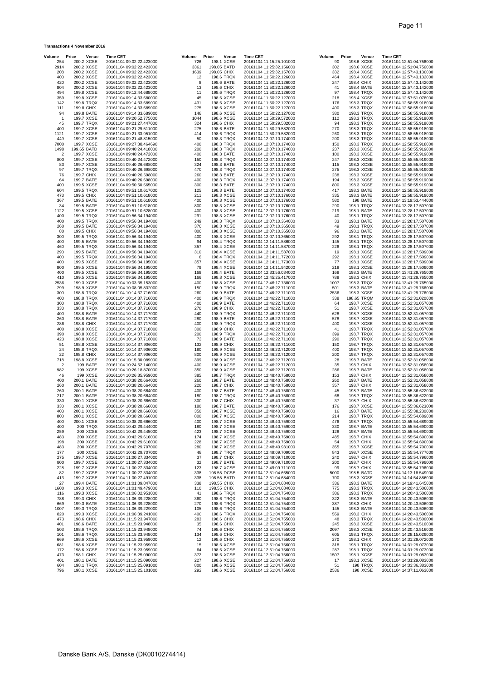#### **Transactions 4 November 2016**

| Volume                  | Price<br>Venue              | <b>Time CET</b>                                      | Volume      | Price                      | Venue                     | <b>Time CET</b>                                      | Volume      | Price | Venue                    | <b>Time CET</b>                                      |
|-------------------------|-----------------------------|------------------------------------------------------|-------------|----------------------------|---------------------------|------------------------------------------------------|-------------|-------|--------------------------|------------------------------------------------------|
| 254<br>2914             | 200.2 XCSE<br>200.2 XCSE    | 20161104 09:02:22.423000<br>20161104 09:02:22.423000 | 726<br>3361 |                            | 198.1 XCSE<br>198.05 BATD | 20161104 11:15:25.101000<br>20161104 11:25:32.156000 | 90<br>302   |       | 198.6 XCSE<br>198.6 XCSE | 20161104 12:51:04.756000<br>20161104 12:51:04.756000 |
| 208                     | 200.2 XCSE                  | 20161104 09:02:22.423000                             | 1639        | 198.05 CHIX                |                           | 20161104 11:25:32.157000                             | 332         |       | 198.4 XCSE               | 20161104 12:57:43.130000                             |
| 400                     | 200.2 XCSE<br>200.2 XCSE    | 20161104 09:02:22.423000                             | 12<br>8     |                            | 198.6 TRQX<br>198.6 BATE  | 20161104 11:50:22.126000                             | 464<br>247  |       | 198.4 XCSE<br>198.4 CHIX | 20161104 12:57:43.132000                             |
| 420<br>804              | 200.2 XCSE                  | 20161104 09:02:22.423000<br>20161104 09:02:22.423000 | 13          |                            | 198.6 CHIX                | 20161104 11:50:22.126000<br>20161104 11:50:22.126000 | 41          |       | 198.4 BATE               | 20161104 12:57:43.142000<br>20161104 12:57:43.142000 |
| 494                     | 199.8 XCSE                  | 20161104 09:12:44.688000                             | 11          |                            | 198.6 TRQX                | 20161104 11:50:22.126000                             | 97          |       | 198.4 TRQX               | 20161104 12:57:43.142000                             |
| 359<br>142              | 199.8 XCSE<br>199.8 TRQX    | 20161104 09:14:33.680000                             | 45<br>431   |                            | 198.6 XCSE<br>198.6 XCSE  | 20161104 11:50:22.127000                             | 218<br>176  |       | 198.4 XCSE<br>198.3 TRQX | 20161104 12:57:51.078000                             |
| 111                     | 199.8 CHIX                  | 20161104 09:14:33.689000<br>20161104 09:14:33.689000 | 275         |                            | 198.6 XCSE                | 20161104 11:50:22.127000<br>20161104 11:50:22.127000 | 400         |       | 198.3 TRQX               | 20161104 12:58:55.918000<br>20161104 12:58:55.918000 |
| 94                      | 199.8 BATE                  | 20161104 09:14:33.689000                             | 148         |                            | 198.6 XCSE                | 20161104 11:50:22.127000                             | 380         |       | 198.3 TRQX               | 20161104 12:58:55.918000                             |
| $\overline{1}$          | 199.7 XCSE                  | 20161104 09:20:52.775000                             | 1044        |                            | 198.6 XCSE                | 20161104 11:50:29.572000                             | 112         |       | 198.3 TRQX               | 20161104 12:58:55.918000                             |
| 45<br>400               | 199.7 TRQX<br>199.7 XCSE    | 20161104 09:21:27.447000<br>20161104 09:21:29.511000 | 324<br>275  |                            | 198.6 CHIX<br>198.6 BATE  | 20161104 11:50:29.582000<br>20161104 11:50:29.582000 | 94<br>270   |       | 198.3 TRQX<br>198.3 TRQX | 20161104 12:58:55.918000<br>20161104 12:58:55.918000 |
| 1121                    | 199.7 XCSE                  | 20161104 09:21:33.951000                             | 414         |                            | 198.6 TRQX                | 20161104 11:50:29.582000                             | 260         |       | 198.3 TRQX               | 20161104 12:58:55.918000                             |
| 449                     | 199.7 XCSE                  | 20161104 09:21:48.815000                             | 50          |                            | 198.3 TRQX                | 20161104 12:07:10.174000                             | 200         |       | 198.3 TRQX               | 20161104 12:58:55.918000                             |
| 7000<br>1498            | 199.7 XCSE<br>199.65 BATD   | 20161104 09:27:38.464690<br>20161104 09:40:24.418000 | 400<br>200  |                            | 198.3 TRQX<br>198.3 TRQX  | 20161104 12:07:10.174000<br>20161104 12:07:10.174000 | 150<br>237  |       | 198.3 TRQX<br>198.3 XCSE | 20161104 12:58:55.918000<br>20161104 12:58:55.919000 |
| $\overline{\mathbf{c}}$ | 199.7 XCSE                  | 20161104 09:40:24.472000                             | 400         |                            | 198.3 BATE                | 20161104 12:07:10.174000                             | 100         |       | 198.3 XCSE               | 20161104 12:58:55.919000                             |
| 800                     | 199.7 XCSE                  | 20161104 09:40:24.472000                             | 150         |                            | 198.3 TRQX                | 20161104 12:07:10.174000<br>20161104 12:07:10.174000 | 247         |       | 198.3 XCSE               | 20161104 12:58:55.919000                             |
| 83<br>97                | 199.7 XCSE<br>199.7 TRQX    | 20161104 09:40:26.688000<br>20161104 09:40:26.698000 | 324<br>470  |                            | 198.3 BATE<br>198.3 TRQX  | 20161104 12:07:10.174000                             | 115<br>275  |       | 198.3 XCSE<br>198.3 XCSE | 20161104 12:58:55.919000<br>20161104 12:58:55.919000 |
| 76                      | 199.7 CHIX                  | 20161104 09:40:26.698000                             | 260         |                            | 198.3 BATE                | 20161104 12:07:10.174000                             | 238         |       | 198.3 XCSE               | 20161104 12:58:55.919000                             |
| 64                      | 199.7 BATE                  | 20161104 09:40:26.698000                             | 400<br>300  |                            | 198.3 TRQX                | 20161104 12:07:10.174000                             | 194<br>800  |       | 198.3 XCSE               | 20161104 12:58:55.919000                             |
| 400<br>604              | 199.5 XCSE<br>199.5 TRQX    | 20161104 09:50:50.565000<br>20161104 09:51:10.617000 | 125         |                            | 198.3 BATE<br>198.3 BATE  | 20161104 12:07:10.174000<br>20161104 12:07:10.174000 | 417         |       | 198.3 XCSE<br>198.3 BATE | 20161104 12:58:55.919000<br>20161104 12:58:55.919000 |
| 473                     | 199.5 CHIX                  | 20161104 09:51:10.618000                             | 211         |                            | 198.3 XCSE                | 20161104 12:07:10.176000                             | 335         |       | 198.3 BATE               | 20161104 12:58:55.919000                             |
| 367                     | 199.5 BATE                  | 20161104 09:51:10.618000                             | 400         |                            | 198.3 XCSE                | 20161104 12:07:10.176000                             | 580         |       | 198 BATE                 | 20161104 13:19:53.444000                             |
| 34<br>1122              | 199.5 BATE<br>199.5 XCSE    | 20161104 09:51:10.618000<br>20161104 09:51:10.628000 | 800<br>400  |                            | 198.3 XCSE<br>198.3 XCSE  | 20161104 12:07:10.176000<br>20161104 12:07:10.176000 | 290<br>219  |       | 198.1 TRQX<br>198.1 BATE | 20161104 13:28:17.507000<br>20161104 13:28:17.507000 |
| 400                     | 199.5 TRQX                  | 20161104 09:56:34.194000                             | 291         |                            | 198.3 XCSE                | 20161104 12:07:10.176000                             | 40          |       | 198.1 TRQX               | 20161104 13:28:17.507000                             |
| 400                     | 199.5 TRQX                  | 20161104 09:56:34.194000                             | 249         |                            | 198.3 TRQX                | 20161104 12:07:10.364000                             | 33          |       | 198.1 BATE               | 20161104 13:28:17.507000                             |
| 260<br>80               | 199.5 BATE<br>199.5 CHIX    | 20161104 09:56:34.194000<br>20161104 09:56:34.194000 | 370<br>800  |                            | 198.3 XCSE<br>198.3 XCSE  | 20161104 12:07:10.365000<br>20161104 12:07:10.365000 | 49<br>96    |       | 198.1 TRQX<br>198.1 BATE | 20161104 13:28:17.507000<br>20161104 13:28:17.507000 |
| 300                     | 199.5 TRQX                  | 20161104 09:56:34.194000                             | 400         |                            | 198.3 XCSE                | 20161104 12:07:10.365000                             | 292         |       | 198.1 TRQX               | 20161104 13:28:17.507000                             |
| 400                     | 199.5 BATE                  | 20161104 09:56:34.194000                             | 94          |                            | 198.4 TRQX                | 20161104 12:14:11.586000                             | 145         |       | 198.1 TRQX               | 20161104 13:28:17.507000                             |
| 460<br>290              | 199.5 TRQX<br>199.5 BATE    | 20161104 09:56:34.194000<br>20161104 09:56:34.194000 | 357<br>310  |                            | 198.4 XCSE<br>198.4 XCSE  | 20161104 12:14:11.587000<br>20161104 12:14:11.587000 | 226<br>19   |       | 198.1 TRQX<br>198.1 XCSE | 20161104 13:28:17.507000<br>20161104 13:28:17.509000 |
| 400                     | 199.5 TRQX                  | 20161104 09:56:34.194000                             | 6           |                            | 198.4 TRQX                | 20161104 12:14:11.772000                             | 292         |       | 198.1 XCSE               | 20161104 13:28:17.509000                             |
| 400                     | 199.5 XCSE                  | 20161104 09:56:34.195000                             | 357         |                            | 198.4 XCSE                | 20161104 12:14:11.773000                             | 77          |       | 198.1 XCSE               | 20161104 13:28:17.509000                             |
| 800<br>400              | 199.5 XCSE<br>199.5 XCSE    | 20161104 09:56:34.195000<br>20161104 09:56:34.195000 | 79<br>168   |                            | 198.4 XCSE<br>198.4 BATE  | 20161104 12:14:11.942000<br>20161104 12:33:56.034000 | 218<br>168  |       | 198.1 XCSE<br>198.3 BATE | 20161104 13:28:17.509000<br>20161104 13:41:29.765000 |
| 410                     | 199.5 XCSE                  | 20161104 09:56:34.195000                             | 166         |                            | 198.8 XCSE                | 20161104 12:45:25.417000                             | 788         |       | 198.3 CHIX               | 20161104 13:41:29.765000                             |
| 2536                    | 199.3 XCSE                  | 20161104 10:03:35.153000                             | 400         |                            | 198.8 XCSE                | 20161104 12:46:17.738000                             | 1007        |       | 198.3 TRQX               | 20161104 13:41:29.765000                             |
| 299<br>300              | 198.9 XCSE<br>198.8 TRQX    | 20161104 10:08:05.832000<br>20161104 10:14:37.716000 | 150<br>260  |                            | 198.9 TRQX<br>198.9 BATE  | 20161104 12:46:22.711000<br>20161104 12:46:22.711000 | 501<br>2536 |       | 198.3 BATE<br>198.3 XCSE | 20161104 13:41:29.766000<br>20161104 13:41:29.776000 |
| 400                     | 198.8 TRQX                  | 20161104 10:14:37.716000                             | 400         |                            | 198.9 TRQX                | 20161104 12:46:22.711000                             | 338         |       | 198.65 TRQM              | 20161104 13:52:31.020000                             |
| 300<br>330              | 198.8 TRQX<br>198.8 TRQX    | 20161104 10:14:37.716000                             | 400<br>270  |                            | 198.9 BATE<br>198.9 CHIX  | 20161104 12:46:22.711000                             | 64<br>51    |       | 198.7 XCSE<br>198.7 XCSE | 20161104 13:52:31.057000<br>20161104 13:52:31.057000 |
| 400                     | 198.8 BATE                  | 20161104 10:14:37.716000<br>20161104 10:14:37.717000 | 440         |                            | 198.9 TRQX                | 20161104 12:46:22.711000<br>20161104 12:46:22.711000 | 628         |       | 198.7 XCSE               | 20161104 13:52:31.057000                             |
| 260                     | 198.8 BATE                  | 20161104 10:14:37.717000                             | 280         |                            | 198.9 BATE                | 20161104 12:46:22.711000                             | 578         |       | 198.7 XCSE               | 20161104 13:52:31.057000                             |
| 286<br>400              | 198.8 CHIX<br>198.8 XCSE    | 20161104 10:14:37.717000<br>20161104 10:14:37.718000 | 400<br>300  |                            | 198.9 TRQX<br>198.9 CHIX  | 20161104 12:46:22.711000<br>20161104 12:46:22.711000 | 400<br>41   |       | 198.7 XCSE<br>198.7 TRQX | 20161104 13:52:31.057000<br>20161104 13:52:31.057000 |
| 390                     | 198.8 XCSE                  | 20161104 10:14:37.718000                             | 200         |                            | 198.9 TRQX                | 20161104 12:46:22.711000                             | 399         |       | 198.7 TRQX               | 20161104 13:52:31.057000                             |
| 423                     | 198.8 XCSE                  | 20161104 10:14:37.718000                             | 73          |                            | 198.9 BATE                | 20161104 12:46:22.711000                             | 290         |       | 198.7 TRQX               | 20161104 13:52:31.057000                             |
| 51<br>24                | 198.8 XCSE<br>198.8 TRQX    | 20161104 10:14:37.906000<br>20161104 10:14:37.906000 | 132<br>180  |                            | 198.9 CHIX<br>198.9 XCSE  | 20161104 12:46:22.711000<br>20161104 12:46:22.712000 | 150<br>400  |       | 198.7 TRQX<br>198.7 TRQX | 20161104 13:52:31.057000<br>20161104 13:52:31.057000 |
| 22                      | 198.8 CHIX                  | 20161104 10:14:37.906000                             | 800         |                            | 198.9 XCSE                | 20161104 12:46:22.712000                             | 200         |       | 198.7 TRQX               | 20161104 13:52:31.057000                             |
| 718                     | 198.8 XCSE                  | 20161104 10:15:30.089000                             | 399         |                            | 198.9 XCSE                | 20161104 12:46:22.712000                             | 28          |       | 198.7 BATE               | 20161104 13:52:31.058000                             |
| $\overline{c}$<br>982   | 199 BATE<br>199 XCSE        | 20161104 10:24:52.140000<br>20161104 10:26:18.870000 | 400<br>350  |                            | 198.9 XCSE<br>198.9 XCSE  | 20161104 12:46:22.712000<br>20161104 12:46:22.712000 | 35<br>286   |       | 198.7 CHIX<br>198.7 BATE | 20161104 13:52:31.058000<br>20161104 13:52:31.058000 |
| 46                      | 199 XCSE                    | 20161104 10:26:35.959000                             | 385         |                            | 198.7 TRQX                | 20161104 12:48:40.758000                             | 153         |       | 198.7 CHIX               | 20161104 13:52:31.058000                             |
| 400                     | 200.1 BATE                  | 20161104 10:38:20.664000                             | 260         |                            | 198.7 BATE                | 20161104 12:48:40.758000                             | 260         |       | 198.7 BATE               | 20161104 13:52:31.058000                             |
| 260<br>260              | 200.1 BATE<br>200.1 BATE    | 20161104 10:38:20.664000<br>20161104 10:38:20.664000 | 220<br>400  |                            | 198.7 CHIX<br>198.7 BATE  | 20161104 12:48:40.758000<br>20161104 12:48:40.758000 | 357<br>45   |       | 198.7 CHIX<br>198.7 BATE | 20161104 13:52:31.058000<br>20161104 13:55:36.622000 |
| 217                     | 200.1 BATE                  | 20161104 10:38:20.664000                             | 180         |                            | 198.7 TRQX                | 20161104 12:48:40.758000                             | 68          |       | 198.7 TRQX               | 20161104 13:55:36.622000                             |
| 330                     | 200.1 XCSE                  | 20161104 10:38:20.666000                             | 300         |                            | 198.7 CHIX                | 20161104 12:48:40.758000                             | 37          |       | 198.7 CHIX               | 20161104 13:55:36.622000                             |
| 330<br>403              | 200.1 XCSE<br>200.1 XCSE    | 20161104 10:38:20.666000<br>20161104 10:38:20.666000 | 180<br>350  |                            | 198.7 BATE<br>198.7 XCSE  | 20161104 12:48:40.758000<br>20161104 12:48:40.759000 | 176<br>16   |       | 198.7 XCSE<br>198.7 BATE | 20161104 13:55:36.623000<br>20161104 13:55:38.230000 |
| 800                     | 200.1 XCSE                  | 20161104 10:38:20.666000                             | 800         |                            | 198.7 XCSE                | 20161104 12:48:40.759000                             | 214         |       | 198.7 TRQX               | 20161104 13:55:54.689000                             |
| 400                     | 200.1 XCSE                  | 20161104 10:38:20.666000                             | 400         |                            | 198.7 XCSE                | 20161104 12:48:40.759000                             | 476         |       | 198.7 TRQX               | 20161104 13:55:54.689000                             |
| 400<br>259              | <b>200 TRQX</b><br>200 XCSE | 20161104 10:42:29.444000<br>20161104 10:42:29.445000 | 180<br>423  |                            | 198.7 XCSE<br>198.7 XCSE  | 20161104 12:48:40.759000<br>20161104 12:48:40.759000 | 330<br>128  |       | 198.7 BATE<br>198.7 BATE | 20161104 13:55:54.690000<br>20161104 13:55:54.690000 |
| 483                     | 200 XCSE                    | 20161104 10:42:29.616000                             | 174         |                            | 198.7 XCSE                | 20161104 12:48:40.759000                             | 485         |       | 198.7 CHIX               | 20161104 13:55:54.690000                             |
| 198<br>483              | 200 XCSE<br>200 XCSE        | 20161104 10:42:29.616000<br>20161104 10:42:29.707000 | 228<br>280  |                            | 198.7 XCSE<br>198.7 XCSE  | 20161104 12:48:40.759000<br>20161104 12:48:40.931000 | 54<br>355   |       | 198.7 CHIX<br>198.7 XCSE | 20161104 13:55:54.690000<br>20161104 13:55:54.700000 |
| 177                     | 200 XCSE                    | 20161104 10:42:29.707000                             | 48          |                            | 198.7 TRQX                | 20161104 12:49:09.709000                             | 843         |       | 198.7 XCSE               | 20161104 13:55:54.777000                             |
| 275                     | 199.7 XCSE                  | 20161104 11:00:27.334000                             | 37          |                            | 198.7 CHIX                | 20161104 12:49:09.710000                             | 240         |       | 198.7 CHIX               | 20161104 13:55:54.796000                             |
| 800                     | 199.7 XCSE<br>199.7 XCSE    | 20161104 11:00:27.334000                             | 32<br>123   |                            | 198.7 BATE                | 20161104 12:49:09.710000                             | 200         |       | 198.7 CHIX               | 20161104 13:55:54.796000                             |
| 228<br>82               | 199.7 XCSE                  | 20161104 11:00:27.334000<br>20161104 11:00:27.334000 | 338         |                            | 198.7 XCSE<br>198.55 DCSE | 20161104 12:49:09.711000<br>20161104 12:51:04.665000 | 99<br>5000  |       | 198.7 CHIX<br>198.5 BATD | 20161104 13:55:54.796000<br>20161104 14:13:18.549000 |
| 413                     | 199.7 XCSE                  | 20161104 11:00:27.491000                             | 338         |                            | 198.55 BATD               | 20161104 12:51:04.684000                             | 700         |       | 198.3 XCSE               | 20161104 14:14:54.886000                             |
| 27<br>1600              | 199.4 BATE<br>199.3 XCSE    | 20161104 11:01:09.847000<br>20161104 11:01:49.479000 | 338<br>110  | 198.55 CHIX<br>198.55 CHIX |                           | 20161104 12:51:04.684000<br>20161104 12:51:04.684000 | 336<br>775  |       | 198.3 BATE<br>198.3 TRQX | 20161104 14:19:41.645000<br>20161104 14:20:43.506000 |
| 116                     | 199.3 XCSE                  | 20161104 11:06:02.951000                             | 41          |                            | 198.6 TRQX                | 20161104 12:51:04.754000                             | 386         |       | 198.3 TRQX               | 20161104 14:20:43.506000                             |
| 788                     | 199.3 CHIX                  | 20161104 11:06:39.228000                             | 360         |                            | 198.6 TRQX                | 20161104 12:51:04.754000                             | 322         |       | 198.3 BATE               | 20161104 14:20:43.506000                             |
| 669                     | 199.3 BATE<br>199.3 TRQX    | 20161104 11:06:39.228000                             | 270<br>105  |                            | 198.6 TRQX<br>198.6 TRQX  | 20161104 12:51:04.754000<br>20161104 12:51:04.754000 | 387<br>145  |       | 198.3 CHIX<br>198.3 BATE | 20161104 14:20:43.506000<br>20161104 14:20:43.506000 |
| 1007<br>820             | 199.3 XCSE                  | 20161104 11:06:39.229000<br>20161104 11:06:39.241000 | 400         |                            | 198.6 TRQX                | 20161104 12:51:04.754000                             | 559         |       | 198.3 CHIX               | 20161104 14:20:43.506000                             |
| 473                     | 198.6 CHIX                  | 20161104 11:15:23.947000                             | 283         |                            | 198.6 CHIX                | 20161104 12:51:04.755000                             | 48          |       | 198.3 TRQX               | 20161104 14:20:43.506000                             |
| 401<br>503              | 198.6 BATE<br>198.6 TRQX    | 20161104 11:15:23.948000                             | 35<br>74    |                            | 198.6 CHIX<br>198.6 CHIX  | 20161104 12:51:04.755000                             | 245         |       | 198.3 XCSE<br>198.3 XCSE | 20161104 14:20:43.516000                             |
| 101                     | 198.6 TRQX                  | 20161104 11:15:23.948000<br>20161104 11:15:23.948000 | 134         |                            | 198.6 CHIX                | 20161104 12:51:04.755000<br>20161104 12:51:04.755000 | 2097<br>605 |       | 198.1 TRQX               | 20161104 14:20:43.516000<br>20161104 14:28:15.029000 |
| 669                     | 198.6 XCSE                  | 20161104 11:15:23.959000                             | 12          |                            | 198.6 CHIX                | 20161104 12:51:04.755000                             | 270         |       | 198.1 CHIX               | 20161104 14:31:29.072000                             |
| 681                     | 198.6 XCSE                  | 20161104 11:15:23.959000                             | 15          |                            | 198.6 XCSE                | 20161104 12:51:04.756000                             | 318         |       | 198.1 TRQX               | 20161104 14:31:29.073000                             |
| 172<br>473              | 198.6 XCSE<br>198.1 CHIX    | 20161104 11:15:23.959000<br>20161104 11:15:25.090000 | 64<br>372   |                            | 198.6 XCSE<br>198.6 XCSE  | 20161104 12:51:04.756000<br>20161104 12:51:04.756000 | 287<br>1507 |       | 198.1 TRQX<br>198.1 XCSE | 20161104 14:31:29.073000<br>20161104 14:31:29.083000 |
| 401                     | 198.1 BATE                  | 20161104 11:15:25.090000                             | 227         |                            | 198.6 XCSE                | 20161104 12:51:04.756000                             | 17          |       | 198.1 XCSE               | 20161104 14:31:29.083000                             |
| 604<br>796              | 198.1 TRQX<br>198.1 XCSE    | 20161104 11:15:25.091000<br>20161104 11:15:25.101000 | 800<br>292  |                            | 198.6 XCSE<br>198.6 XCSE  | 20161104 12:51:04.756000<br>20161104 12:51:04.756000 | 51<br>2536  |       | 198 TRQX<br>198 XCSE     | 20161104 14:33:36.383000<br>20161104 14:37:11.063000 |
|                         |                             |                                                      |             |                            |                           |                                                      |             |       |                          |                                                      |